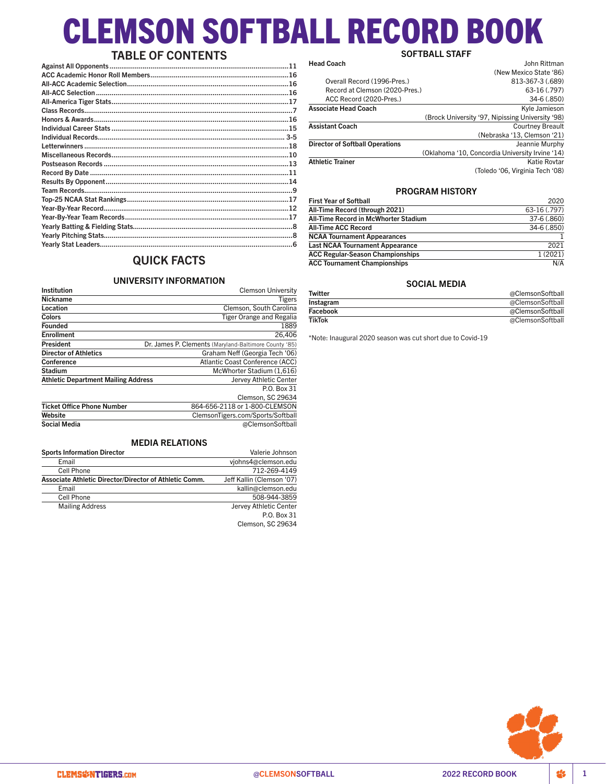# CLEMSON SOFTBALL RECORD BOOK SOFTBALL STAFF

# TABLE OF CONTENTS

| Letterwinners ……………………………………………………………………………………………18 |  |
|-----------------------------------------------------|--|
|                                                     |  |
|                                                     |  |
|                                                     |  |
|                                                     |  |
|                                                     |  |
|                                                     |  |
|                                                     |  |
|                                                     |  |
|                                                     |  |
|                                                     |  |
|                                                     |  |
|                                                     |  |

# QUICK FACTS

### UNIVERSITY INFORMATION UNIVERSITTINI VIRIMATION<br>Clemson University

| Institution                                | Clemson University                                    |
|--------------------------------------------|-------------------------------------------------------|
| <b>Nickname</b>                            | Tigers                                                |
| Location                                   | Clemson, South Carolina                               |
| Colors                                     | Tiger Orange and Regalia                              |
| <b>Founded</b>                             | 1889                                                  |
| <b>Enrollment</b>                          | 26.406                                                |
| President                                  | Dr. James P. Clements (Maryland-Baltimore County '85) |
| <b>Director of Athletics</b>               | Graham Neff (Georgia Tech '06)                        |
| Conference                                 | Atlantic Coast Conference (ACC)                       |
| <b>Stadium</b>                             | McWhorter Stadium (1,616)                             |
| <b>Athletic Department Mailing Address</b> | Jervey Athletic Center                                |
|                                            | P.O. Box 31                                           |
|                                            | Clemson, SC 29634                                     |
| <b>Ticket Office Phone Number</b>          | 864-656-2118 or 1-800-CLEMSON                         |
| Website                                    | ClemsonTigers.com/Sports/Softball                     |
| <b>Social Media</b>                        | @ClemsonSoftball                                      |
|                                            |                                                       |

# MEDIA RELATIONS

| <b>Sports Information Director</b>                     | Valerie Johnson           |
|--------------------------------------------------------|---------------------------|
| Email                                                  | viohns4@clemson.edu       |
| Cell Phone                                             | 712-269-4149              |
| Associate Athletic Director/Director of Athletic Comm. | Jeff Kallin (Clemson '07) |
| Email                                                  | kallin@clemson.edu        |
| Cell Phone                                             | 508-944-3859              |
| <b>Mailing Address</b>                                 | Jervey Athletic Center    |
|                                                        | P.O. Box 31               |
|                                                        | Clemson, SC 29634         |

|                                        | SUF I DALL SIAFF                                 |
|----------------------------------------|--------------------------------------------------|
| <b>Head Coach</b>                      | John Rittman                                     |
|                                        | (New Mexico State '86)                           |
| Overall Record (1996-Pres.)            | 813-367-3 (.689)                                 |
| Record at Clemson (2020-Pres.)         | 63-16 (.797)                                     |
| ACC Record (2020-Pres.)                | 34-6 (.850)                                      |
| <b>Associate Head Coach</b>            | Kyle Jamieson                                    |
|                                        | (Brock University '97, Nipissing University '98) |
| <b>Assistant Coach</b>                 | <b>Courtney Breault</b>                          |
|                                        | (Nebraska '13, Clemson '21)                      |
| <b>Director of Softball Operations</b> | Jeannie Murphy                                   |
|                                        | (Oklahoma '10, Concordia University Irvine '14)  |
| <b>Athletic Trainer</b>                | Katie Rovtar                                     |
|                                        | (Toledo '06. Virginia Tech '08)                  |
|                                        |                                                  |

# PROGRAM HISTORY

| <b>First Year of Softball</b>           | 2020         |
|-----------------------------------------|--------------|
| All-Time Record (through 2021)          | 63-16 (.797) |
| All-Time Record in McWhorter Stadium    | 37-6 (.860)  |
| <b>All-Time ACC Record</b>              | 34-6 (.850)  |
| <b>NCAA Tournament Appearances</b>      |              |
| <b>Last NCAA Tournament Appearance</b>  | 2021         |
| <b>ACC Regular-Season Championships</b> | 1(2021)      |
| <b>ACC Tournament Championships</b>     | N/A          |

# SOCIAL MEDIA

| <b>Twitter</b> | @ClemsonSoftball |
|----------------|------------------|
| Instagram      | @ClemsonSoftball |
| Facebook       | @ClemsonSoftball |
| <b>TikTok</b>  | @ClemsonSoftball |

\*Note: Inaugural 2020 season was cut short due to Covid-19

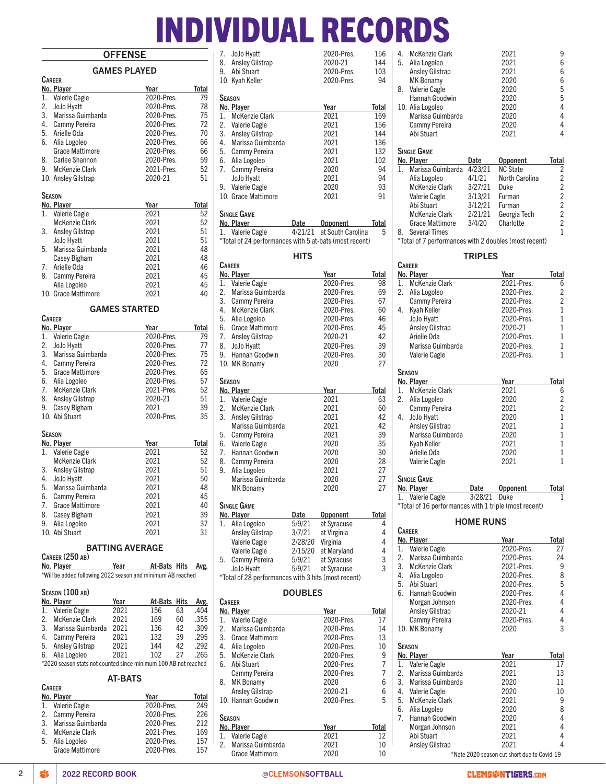# INDIVIDUAL RECORDS

# **OFFENSE**

|                                                             |      | UFFEINƏI               |                                                                 |  |  |
|-------------------------------------------------------------|------|------------------------|-----------------------------------------------------------------|--|--|
|                                                             |      | <b>GAMES PLAYED</b>    |                                                                 |  |  |
| <b>CAREER</b>                                               |      |                        |                                                                 |  |  |
| No. Player                                                  |      | Year                   | Total                                                           |  |  |
| 1.<br>Valerie Cagle                                         |      |                        | 79<br>2020-Pres.                                                |  |  |
| 2.<br>JoJo Hyatt                                            |      |                        | 78<br>2020-Pres.                                                |  |  |
| 3. Marissa Guimbarda                                        |      |                        | 75<br>2020-Pres.                                                |  |  |
| 4. Cammy Pereira                                            |      |                        | 2020-Pres.<br>72                                                |  |  |
| 5. Arielle Oda                                              |      |                        | 70<br>2020-Pres.                                                |  |  |
| 6. Alia Logoleo                                             |      |                        | 2020-Pres.<br>66                                                |  |  |
| Grace Mattimore                                             |      |                        | 2020-Pres.<br>66                                                |  |  |
| 8.<br>Carlee Shannon                                        |      |                        | 59<br>2020-Pres.                                                |  |  |
| 9. McKenzie Clark                                           |      |                        | 2021-Pres.<br>52                                                |  |  |
| 10. Ansley Gilstrap                                         |      | 2020-21                | 51                                                              |  |  |
| SEASON                                                      |      |                        |                                                                 |  |  |
| No. Player                                                  |      | Year                   | Total                                                           |  |  |
| Valerie Cagle<br>1.                                         |      | 2021                   | 52                                                              |  |  |
| <b>McKenzie Clark</b>                                       |      | 2021                   | 52                                                              |  |  |
| 3.<br><b>Ansley Gilstrap</b>                                |      | 2021                   | 51                                                              |  |  |
| JoJo Hyatt                                                  |      | 2021                   | 51                                                              |  |  |
| 5.<br>Marissa Guimbarda                                     |      | 2021                   | 48                                                              |  |  |
| Casey Bigham                                                |      | 2021                   | 48                                                              |  |  |
| 7.<br>Arielle Oda                                           |      | 2021                   | 46                                                              |  |  |
| 8.<br><b>Cammy Pereira</b>                                  |      |                        | 45                                                              |  |  |
|                                                             |      | 2021                   |                                                                 |  |  |
| Alia Logoleo                                                |      | 2021                   | 45                                                              |  |  |
| 10. Grace Mattimore                                         |      | 2021                   | 40                                                              |  |  |
|                                                             |      | <b>GAMES STARTED</b>   |                                                                 |  |  |
| <b>CAREER</b>                                               |      |                        |                                                                 |  |  |
| No. Player                                                  |      | Year                   | Total                                                           |  |  |
| 1.<br>Valerie Cagle                                         |      |                        | 2020-Pres.<br>79                                                |  |  |
| 2. JoJo Hyatt                                               |      |                        | 77<br>2020-Pres.                                                |  |  |
| 3. Marissa Guimbarda                                        |      |                        | 75<br>2020-Pres.                                                |  |  |
| 4. Cammy Pereira                                            |      |                        | 72<br>2020-Pres.                                                |  |  |
| 5. Grace Mattimore                                          |      |                        | 2020-Pres.<br>65                                                |  |  |
| 6. Alia Logoleo                                             |      |                        | 57<br>2020-Pres.                                                |  |  |
| 7.<br><b>McKenzie Clark</b>                                 |      |                        | 52<br>2021-Pres.                                                |  |  |
| 8. Ansley Gilstrap                                          |      | 2020-21                | 51                                                              |  |  |
| 9.<br><b>Casey Bigham</b>                                   |      | 2021                   | 39                                                              |  |  |
| 10. Abi Stuart                                              |      |                        | 2020-Pres.<br>35                                                |  |  |
|                                                             |      |                        |                                                                 |  |  |
| Season                                                      |      |                        |                                                                 |  |  |
| No. Player                                                  |      | Year                   | Total                                                           |  |  |
| 1. Valerie Cagle                                            |      | 2021                   | 52                                                              |  |  |
| <b>McKenzie Clark</b>                                       |      | 2021                   | 52                                                              |  |  |
| 3. Ansley Gilstrap                                          |      | 2021                   | 51                                                              |  |  |
| 4.<br>JoJo Hyatt                                            |      | 2021                   | 50                                                              |  |  |
| 5.<br>Marissa Guimbarda                                     |      | 2021                   | 48                                                              |  |  |
| 6.<br>Cammy Pereira                                         |      | 2021                   | 45                                                              |  |  |
| 7.<br>Grace Mattimore                                       |      | 2021                   | 40                                                              |  |  |
| 8.<br>Casey Bigham                                          |      | 2021                   | 39                                                              |  |  |
| 9.<br>Alia Logoleo                                          |      | 2021                   | 37                                                              |  |  |
| 10. Abi Stuart                                              |      | 2021                   | 31                                                              |  |  |
|                                                             |      | <b>BATTING AVERAGE</b> |                                                                 |  |  |
| CAREER (250 AB)                                             |      |                        |                                                                 |  |  |
| No. Player                                                  |      | Year ______            | At-Bats Hits Avg.                                               |  |  |
| *Will be added following 2022 season and minimum AB reached |      |                        |                                                                 |  |  |
| SEASON (100 AB)                                             |      |                        |                                                                 |  |  |
| No. Player                                                  | Year |                        | At-Bats Hits<br>Avg.                                            |  |  |
| 1.<br>Valerie Cagle                                         | 2021 | 156                    | 63<br>.404                                                      |  |  |
| 2. McKenzie Clark                                           | 2021 | 169                    | 60<br>.355                                                      |  |  |
| 3. Marissa Guimbarda                                        | 2021 | 136                    | 42<br>.309                                                      |  |  |
| 4. Cammy Pereira                                            | 2021 | 132                    | 39<br>.295                                                      |  |  |
| 5. Ansley Gilstrap                                          | 2021 | 144                    | 42<br>.292                                                      |  |  |
| 6.                                                          | 2021 | 102                    | 27<br>.265                                                      |  |  |
| Alia Logoleo                                                |      |                        | *2020 season stats not counted since minimum 100 AB not reached |  |  |
|                                                             |      |                        |                                                                 |  |  |
|                                                             |      | <b>AT-BATS</b>         |                                                                 |  |  |

| At-Bats Hits Av              |        |     |
|------------------------------|--------|-----|
| In and minimum AB reached    |        |     |
|                              |        |     |
|                              |        |     |
| At-Bats Hits Av              |        |     |
| 156                          | 63     | .40 |
| 169                          | 60     | .35 |
| 136                          | 42     | .30 |
| 132 39 .29                   |        |     |
| 144                          | 42     | .29 |
| 102                          | 27 .26 |     |
| ce minimum 100 AB not reache |        |     |
|                              |        |     |
| <b>ATS</b>                   |        |     |
|                              |        |     |
|                              |        |     |

| <b>CAREER</b>          |            |       |
|------------------------|------------|-------|
| No. Player             | Year       | Total |
| 1. Valerie Cagle       | 2020-Pres. | 249   |
| 2. Cammy Pereira       | 2020-Pres. | 226   |
| 3. Marissa Guimbarda   | 2020-Pres. | 212   |
| 4. McKenzie Clark      | 2021-Pres. | 169   |
| 5. Alia Logoleo        | 2020-Pres. | 157   |
| <b>Grace Mattimore</b> | 2020-Pres. | 157   |
|                        |            |       |

|            | 7. JoJo Hyatt      | 2020-Pres.              | 156 |
|------------|--------------------|-------------------------|-----|
|            | 8. Ansley Gilstrap | 2020-21                 | 144 |
| $\sqrt{ }$ | $A L: C+.$         | $2020$ D <sub>rea</sub> | າດລ |

## 8. Ansley Gilstrap 2020-21 144 9. Abi Stuart 2020-Pres. 103 10. Kyah Keller **SEASON No. Player Year Total**<br>
1. McKenzie Clark 2021 169 1. McKenzie Clark 2021 169<br>2. Valerie Cagle 2021 156 2. Valerie Cagle 2021 156<br>3. Anslev Gilstrap 2021 144 3. Ansley Gilstrap 2021 144 1. Marissa Guimbarda<br>
1. Marissa Guimbarda<br>
1. Cammy Pereira<br>
2021 132 5. Cammy Pereira 2021 132<br>Alia Logoleo 2021 102 6. Alia Logoleo 2021 102 7. Cammy Pereira 2020 94 JoJo Hyatt 2021 94 9. Valerie Cagle 2020 93 10. Grace Mattimore 2021 91

## Single Game

**CAREER** 

| No. Player                                             | Date | Opponent                  | Total |
|--------------------------------------------------------|------|---------------------------|-------|
| 1. Valerie Cagle                                       |      | 4/21/21 at South Carolina | 5     |
| *Total of 24 performances with 5 at-bats (most recent) |      |                           |       |

# **HITS** No. Player **No. Player No. Player No. Player**

| 1.            | <b>Valerie Cagle</b>   |         | 2020-Pres.      | 98    |
|---------------|------------------------|---------|-----------------|-------|
| 2.            | Marissa Guimbarda      |         | 2020-Pres.      | 69    |
| 3.            | Cammy Pereira          |         | 2020-Pres.      | 67    |
| 4.            | <b>McKenzie Clark</b>  |         | 2020-Pres.      | 60    |
| 5.            | Alia Logoleo           |         | 2020-Pres.      | 46    |
| 6.            | <b>Grace Mattimore</b> |         | 2020-Pres.      | 45    |
| 7.            | <b>Ansley Gilstrap</b> |         | 2020-21         | 42    |
| 8.            | JoJo Hyatt             |         | 2020-Pres.      | 39    |
| 9.            | Hannah Goodwin         |         | 2020-Pres.      | 30    |
|               | 10. MK Bonamy          |         | 2020            | 27    |
| <b>SEASON</b> |                        |         |                 |       |
|               | No. Player             |         | Year            | Total |
| 1.            | Valerie Cagle          |         | 2021            | 63    |
| 2.            | <b>McKenzie Clark</b>  |         | 2021            | 60    |
| 3.            | <b>Ansley Gilstrap</b> |         | 2021            | 42    |
|               | Marissa Guimbarda      |         | 2021            | 42    |
| 5.            | Cammy Pereira          |         | 2021            | 39    |
| 6.            | <b>Valerie Cagle</b>   |         | 2020            | 35    |
| 7.            | Hannah Goodwin         |         | 2020            | 30    |
| 8.            | Cammy Pereira          |         | 2020            | 28    |
| 9.            | Alia Logoleo           |         | 2021            | 27    |
|               | Marissa Guimbarda      |         | 2020            | 27    |
|               | <b>MK Bonamy</b>       |         | 2020            | 27    |
|               | <b>SINGLE GAME</b>     |         |                 |       |
|               | No. Player             | Date    | <b>Opponent</b> | Total |
| 1.            | Alia Logoleo           | 5/9/21  | at Syracuse     | 4     |
|               | <b>Ansley Gilstrap</b> | 3/7/21  | at Virginia     | 4     |
|               | Valerie Cagle          | 2/28/20 | Virginia        | 4     |
|               | <b>Valerie Cagle</b>   | 2/15/20 | at Maryland     | 4     |
| 5.            | Cammy Pereira          | 5/9/21  | at Syracuse     | 3     |
|               | JoJo Hyatt             | 5/9/21  | at Syracuse     | 3     |

# \*Total of 28 performances with 3 hits (most recent)

# DOUBLES

| CARFFR                     |            |              |
|----------------------------|------------|--------------|
| No. Player                 | Year       | Total        |
| <b>Valerie Cagle</b><br>1. | 2020-Pres. | 17           |
| Marissa Guimbarda<br>2.    | 2020-Pres. | 14           |
| 3.<br>Grace Mattimore      | 2020-Pres. | 13           |
| 4.<br>Alia Logoleo         | 2020-Pres. | 10           |
| 5. McKenzie Clark          | 2020-Pres. | 9            |
| 6. Abi Stuart              | 2020-Pres. | 7            |
| Cammy Pereira              | 2020-Pres. | 7            |
| <b>MK Bonamy</b><br>8.     | 2020       | 6            |
| <b>Ansley Gilstrap</b>     | 2020-21    | 6            |
| 10. Hannah Goodwin         | 2020-Pres. | 5            |
| <b>SEASON</b>              |            |              |
| No. Player                 | Year       | <b>Total</b> |
| <b>Valerie Cagle</b><br>1. | 2021       | 12           |
| Marissa Guimbarda<br>2.    | 2021       | 10           |
| Grace Mattimore            | 2020       | 10           |

| 4. | <b>McKenzie Clark</b>                                 |                    | 2021            | 9              |
|----|-------------------------------------------------------|--------------------|-----------------|----------------|
| 5. | Alia Logoleo                                          |                    | 2021            | 6              |
|    | <b>Ansley Gilstrap</b>                                |                    | 2021            | 6              |
|    | <b>MK Bonamy</b>                                      |                    | 2020            | 6              |
| 8. | Valerie Cagle                                         |                    | 2020            | 5              |
|    | Hannah Goodwin                                        |                    | 2020            | 5              |
|    | 10. Alia Logoleo                                      |                    | 2020            | 4              |
|    | Marissa Guimbarda                                     |                    | 2020            | 4              |
|    | Cammy Pereira                                         |                    | 2020            | 4              |
|    | Abi Stuart                                            |                    | 2021            | 4              |
|    | <b>SINGLE GAME</b>                                    |                    |                 |                |
|    | No. Player                                            | Date               | Opponent        | <b>Total</b>   |
| 1. | Marissa Guimbarda                                     | 4/23/21            | <b>NC State</b> | $\overline{c}$ |
|    | Alia Logoleo                                          | 4/1/21             | North Carolina  |                |
|    | McKenzie Clark                                        | 3/27/21            | <b>Duke</b>     | 2 2 2 2 2 2    |
|    | Valerie Cagle                                         | 3/13/21            | Furman          |                |
|    | Abi Stuart                                            |                    | Furman          |                |
|    | McKenzie Clark                                        | 3/12/21<br>2/21/21 | Georgia Tech    |                |
|    | Grace Mattimore                                       | 3/4/20             | Charlotte       |                |
| 8. | <b>Several Times</b>                                  |                    |                 | 1              |
|    | *Total of 7 performances with 2 doubles (most recent) |                    |                 |                |
|    |                                                       |                    |                 |                |
|    |                                                       | <b>TRIPLES</b>     |                 |                |
|    | <b>CAREER</b>                                         |                    |                 |                |
|    | No. Player                                            |                    | Year            | Total          |
|    | 1. McKenzie Clark                                     |                    | 2021-Pres.      | 6              |
| 2. | Alia Logoleo                                          |                    | 2020-Pres.      | $\overline{c}$ |
|    | Cammy Pereira                                         |                    | 2020-Pres.      | $\overline{c}$ |
| 4. | Kyah Keller                                           |                    | 2020-Pres.      | $\mathbf{1}$   |
|    | JoJo Hyatt                                            |                    | 2020-Pres.      | $\mathbf{1}$   |
|    | <b>Ansley Gilstrap</b>                                |                    | 2020-21         | 1              |
|    | Arielle Oda                                           |                    | 2020-Pres.      | $\mathbf{1}$   |
|    | Marissa Guimbarda                                     |                    | 2020-Pres.      | $\mathbf{1}$   |
|    | Valerie Cagle                                         |                    | 2020-Pres.      | $\mathbf{1}$   |
|    | <b>SEASON</b>                                         |                    |                 |                |
|    | No. Player                                            |                    | Year            | <b>Total</b>   |
| 1. | McKenzie Clark                                        |                    | 2021            | 6              |
|    | 2. Alia Logoleo                                       |                    | 2020            | $\overline{c}$ |
|    | Cammy Pereira                                         |                    | 2021            | $\overline{2}$ |
| 4. | JoJo Hyatt                                            |                    | 2020            | $\mathbf{1}$   |
|    | <b>Ansley Gilstrap</b>                                |                    | 2021            | $\overline{1}$ |
|    | Marissa Guimbarda                                     |                    | 2020            | $\mathbf{1}$   |
|    | Kyah Keller                                           |                    | 2021            | $\mathbf{1}$   |
|    | Arielle Oda                                           |                    | 2020            | $\mathbf{1}$   |
|    | <b>Valerie Cagle</b>                                  |                    | 2021            | 1              |
|    |                                                       |                    |                 |                |

# Single Game

| No. Player                                            | Date         | <b>Opponent</b> | Total |
|-------------------------------------------------------|--------------|-----------------|-------|
| 1. Valerie Cagle                                      | 3/28/21 Duke |                 |       |
| *Total of 16 performances with 1 triple (most recent) |              |                 |       |

### HOME RUNS

|    | CAREER                 |                                             |       |
|----|------------------------|---------------------------------------------|-------|
|    | No. Player             | Year                                        | Total |
| 1. | Valerie Cagle          | 2020-Pres.                                  | 27    |
| 2. | Marissa Guimbarda      | 2020-Pres.                                  | 24    |
| 3. | <b>McKenzie Clark</b>  | 2021-Pres.                                  | 9     |
| 4. | Alia Logoleo           | 2020-Pres.                                  | 8     |
| 5. | Abi Stuart             | 2020-Pres.                                  | 5     |
| 6. | Hannah Goodwin         | 2020-Pres.                                  | 4     |
|    | Morgan Johnson         | 2020-Pres.                                  | 4     |
|    | <b>Ansley Gilstrap</b> | 2020-21                                     | 4     |
|    | Cammy Pereira          | 2020-Pres.                                  | 4     |
|    | 10. MK Bonamy          | 2020                                        | 3     |
|    |                        |                                             |       |
|    | Sfason                 |                                             |       |
|    | No. Player             | Year                                        | Total |
| 1. | <b>Valerie Cagle</b>   | 2021                                        | 17    |
| 2. | Marissa Guimbarda      | 2021                                        | 13    |
| 3. | Marissa Guimbarda      | 2020                                        | 11    |
|    | 4. Valerie Cagle       | 2020                                        | 10    |
| 5. | <b>McKenzie Clark</b>  | 2021                                        | 9     |
| 6. | Alia Logoleo           | 2020                                        | 8     |
| 7. | Hannah Goodwin         | 2020                                        | 4     |
|    | Morgan Johnson         | 2021                                        | 4     |
|    | Abi Stuart             | 2021                                        | 4     |
|    | <b>Ansley Gilstrap</b> | 2021                                        | 4     |
|    |                        | *Note 2020 season cut short due to Covid-19 |       |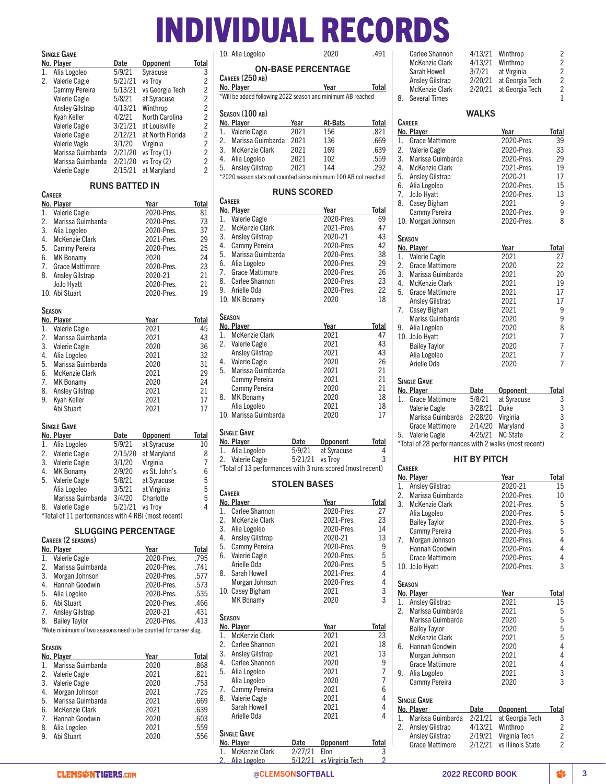# INDIVIDUAL RECORDS Carlee Shannon  $4/13/21$  Winthrop 2<br>McKenzie Clark  $4/13/21$  Winthrop 2

# Single Game

**CAREER** 

|    | No. Player             | Date    | <b>Opponent</b>  | Total          |
|----|------------------------|---------|------------------|----------------|
| 1. | Alia Logoleo           | 5/9/21  | Syracuse         | 3              |
| 2. | Valerie Cag;e          | 5/21/21 | vs Troy          | 2              |
|    | Cammy Pereira          | 5/13/21 | vs Georgia Tech  | $\overline{2}$ |
|    | Valerie Cagle          | 5/8/21  | at Syracuse      | $\overline{2}$ |
|    | <b>Ansley Gilstrap</b> | 4/13/21 | Winthrop         | $\overline{2}$ |
|    | Kyah Keller            | 4/2/21  | North Carolina   | $\overline{c}$ |
|    | Valerie Cagle          | 3/21/21 | at Louisville    | $\overline{2}$ |
|    | Valerie Cagle          | 2/12/21 | at North Florida | $\overline{2}$ |
|    | Valerie Vagle          | 3/1/20  | Virginia         | $\overline{2}$ |
|    | Marissa Guimbarda      | 2/21/20 | vs Troy $(1)$    | $\overline{2}$ |
|    | Marissa Guimbarda      | 2/21/20 | vs Troy (2)      | $\overline{2}$ |
|    | <b>Valerie Cagle</b>   | 2/15/21 | at Maryland      | 2              |
|    |                        |         |                  |                |

# RUNS BATTED IN

|    | No. Player             |        | Year            | Total |
|----|------------------------|--------|-----------------|-------|
| 1. | Valerie Cagle          |        | 2020-Pres.      | 81    |
| 2. | Marissa Guimbarda      |        | 2020-Pres.      | 73    |
| 3. | Alia Logoleo           |        | 2020-Pres.      | 37    |
| 4. | <b>McKenzie Clark</b>  |        | 2021-Pres.      | 29    |
| 5. | Cammy Pereira          |        | 2020-Pres.      | 25    |
| 6. | <b>MK Bonamy</b>       |        | 2020            | 24    |
| 7. | <b>Grace Mattimore</b> |        | 2020-Pres.      | 23    |
|    | 8. Ansley Gilstrap     |        | 2020-21         | 21    |
|    | JoJo Hyatt             |        | 2020-Pres.      | 21    |
|    | 10. Abi Stuart         |        | 2020-Pres.      | 19    |
|    | Season                 |        |                 |       |
|    | No. Player             |        | Year            | Total |
| 1. | <b>Valerie Cagle</b>   |        | 2021            | 45    |
| 2. | Marissa Guimbarda      |        | 2021            | 43    |
|    | 3. Valerie Cagle       |        | 2020            | 36    |
|    | 4. Alia Logoleo        |        | 2021            | 32    |
| 5. | Marissa Guimbarda      |        | 2020            | 31    |
| 6. | <b>McKenzie Clark</b>  |        | 2021            | 29    |
| 7. | <b>MK Bonamy</b>       |        | 2020            | 24    |
| 8. | <b>Ansley Gilstrap</b> |        | 2021            | 21    |
| 9. | Kyah Keller            |        | 2021            | 17    |
|    | Abi Stuart             |        | 2021            | 17    |
|    | SINGLE GAME            |        |                 |       |
|    | No. Player             | Date   | <b>Opponent</b> | Total |
| 1. | Alia Logoleo           | 5/9/21 | at Syracuse     | 10    |

| Alia Logoleo         | 5/9/21  | at Syracuse   | 10                                                 |
|----------------------|---------|---------------|----------------------------------------------------|
| <b>Valerie Cagle</b> | 2/15/20 | at Maryland   | 8                                                  |
| <b>Valerie Cagle</b> | 3/1/20  | Virginia      | 7                                                  |
| <b>MK Bonamy</b>     | 2/9/20  | vs St. John's | 6                                                  |
| Valerie Cagle        | 5/8/21  | at Syracuse   | 5                                                  |
| Alia Logoleo         | 3/5/21  | at Virginia   | 5                                                  |
| Marissa Guimbarda    | 3/4/20  | Charlotte     | 5                                                  |
| Valerie Cagle        | 5/21/21 | vs Trov       | 4                                                  |
|                      |         |               |                                                    |
|                      |         |               | *Total of 11 performances with 4 RBI (most recent) |

## SLUGGING PERCENTAGE

# Career (2 seasons)

| No. Player                                                                                                                                                                                                                            | Year       | Total |
|---------------------------------------------------------------------------------------------------------------------------------------------------------------------------------------------------------------------------------------|------------|-------|
| 1. Valerie Cagle                                                                                                                                                                                                                      | 2020-Pres. | .795  |
| 2. Marissa Guimbarda                                                                                                                                                                                                                  | 2020-Pres. | .741  |
| 3. Morgan Johnson                                                                                                                                                                                                                     | 2020-Pres. | .577  |
| 4. Hannah Goodwin                                                                                                                                                                                                                     | 2020-Pres. | .573  |
| 5. Alia Logoleo                                                                                                                                                                                                                       | 2020-Pres. | .535  |
| 6. Abi Stuart                                                                                                                                                                                                                         | 2020-Pres. | .466  |
| 7. Ansley Gilstrap                                                                                                                                                                                                                    | 2020-21    | .431  |
| 8. Bailey Taylor                                                                                                                                                                                                                      | 2020-Pres. | .413  |
| $\frac{1}{2}$ and $\frac{1}{2}$ . The contract of the contract of the contract of the contract of the contract of the contract of the contract of the contract of the contract of the contract of the contract of the contract of the |            |       |

\*Note minimum of two seasons need to be counted for career slug.

# Season

|    | No. Player           | Year | Total |
|----|----------------------|------|-------|
| 1. | Marissa Guimbarda    | 2020 | .868  |
|    | 2. Valerie Cagle     | 2021 | .821  |
|    | 3. Valerie Cagle     | 2020 | .753  |
| 4. | Morgan Johnson       | 2021 | .725  |
|    | 5. Marissa Guimbarda | 2021 | .669  |
|    | 6. McKenzie Clark    | 2021 | .639  |
|    | 7. Hannah Goodwin    | 2020 | .603  |
|    | 8. Alia Logoleo      | 2021 | .559  |
| 9. | Abi Stuart           | 2020 | .556  |
|    |                      |      |       |

| 10. Alia Logoleo | 2020 | .491 |
|------------------|------|------|

# ON-BASE PERCENTAGE

Career (250 ab) No. Player Year Year Total

\*Will be added following 2022 season and minimum AB reached

### Season (100 ab)

|    | No. Player                                                      | Year | At-Bats | Total |
|----|-----------------------------------------------------------------|------|---------|-------|
| 1. | Valerie Cagle                                                   | 2021 | 156     | .821  |
|    | 2. Marissa Guimbarda                                            | 2021 | 136     | .669  |
|    | 3. McKenzie Clark                                               | 2021 | 169     | .639  |
|    | 4. Alia Logoleo                                                 | 2021 | 102     | .559  |
|    | 5. Ansley Gilstrap                                              | 2021 | 144     | .292  |
|    | *2020 season stats not counted since minimum 100 AB not reached |      |         |       |

# RUNS SCORED

| <b>CAREER</b>                    |            |       |
|----------------------------------|------------|-------|
| No. Player                       | Year       | Total |
| <b>Valerie Cagle</b><br>1.       | 2020-Pres. | 69    |
| 2.<br><b>McKenzie Clark</b>      | 2021-Pres. | 47    |
| 3. Ansley Gilstrap               | 2020-21    | 43    |
| 4.<br>Cammy Pereira              | 2020-Pres. | 42    |
| 5.<br>Marissa Guimbarda          | 2020-Pres. | 38    |
| 6. Alia Logoleo                  | 2020-Pres. | 29    |
| 7. Grace Mattimore               | 2020-Pres. | 26    |
| 8. Carlee Shannon                | 2020-Pres. | 23    |
| 9. Arielle Oda                   | 2020-Pres. | 22    |
| 10. MK Bonamy                    | 2020       | 18    |
|                                  |            |       |
|                                  |            |       |
| SEASON                           |            |       |
| No. Player                       | Year       | Total |
| <b>McKenzie Clark</b><br>$1_{-}$ | 2021       | 47    |
| 2. Valerie Cagle                 | 2021       | 43    |
| <b>Ansley Gilstrap</b>           | 2021       | 43    |
| 4. Valerie Cagle                 | 2020       | 26    |
| 5.<br>Marissa Guimbarda          | 2021       | 21    |
| Cammy Pereira                    | 2021       | 21    |
| Cammy Pereira                    | 2020       | 21    |
| <b>MK Bonamy</b><br>8.           | 2020       | 18    |
| Alia Logoleo                     | 2021       | 18    |
| 10. Marissa Guimbarda            | 2020       | 17    |

# Single Game

Single Game

| No. Player                                                                                                                                                                                                                                                                                                                                                                                                                                                               | Date            | <b>Opponent</b>                           | Total |
|--------------------------------------------------------------------------------------------------------------------------------------------------------------------------------------------------------------------------------------------------------------------------------------------------------------------------------------------------------------------------------------------------------------------------------------------------------------------------|-----------------|-------------------------------------------|-------|
| 1. Alia Logoleo                                                                                                                                                                                                                                                                                                                                                                                                                                                          |                 | 5/9/21 at Syracuse                        | 4     |
| 2. Valerie Cagle                                                                                                                                                                                                                                                                                                                                                                                                                                                         | 5/21/21 vs Trov |                                           | -3    |
| $\omega$ $\tau$ $\rightarrow$ $\tau$ $\tau$ $\rightarrow$ $\tau$ $\rightarrow$ $\tau$ $\rightarrow$ $\tau$ $\rightarrow$ $\tau$ $\rightarrow$ $\tau$ $\rightarrow$ $\tau$ $\rightarrow$ $\tau$ $\rightarrow$ $\tau$ $\rightarrow$ $\tau$ $\rightarrow$ $\tau$ $\rightarrow$ $\tau$ $\rightarrow$ $\tau$ $\rightarrow$ $\tau$ $\rightarrow$ $\tau$ $\rightarrow$ $\tau$ $\rightarrow$ $\tau$ $\rightarrow$ $\tau$ $\rightarrow$ $\tau$ $\rightarrow$ $\tau$ $\rightarrow$ |                 | $\sim$ $\sim$ $\sim$ $\sim$ $\sim$ $\sim$ |       |

\*Total of 13 performances with 3 runs scored (most recent)

# STOLEN BASES

|         | <b>CAREER</b>          |            |                |  |
|---------|------------------------|------------|----------------|--|
|         | No. Player             | Year       | Total          |  |
| $1_{-}$ | Carlee Shannon         | 2020-Pres. | 27             |  |
| 2.      | <b>McKenzie Clark</b>  | 2021-Pres. | 23             |  |
| 3.      | Alia Logoleo           | 2020-Pres. | 14             |  |
| 4.      | <b>Ansley Gilstrap</b> | 2020-21    | 13             |  |
| 5.      | Cammy Pereira          | 2020-Pres. | 9              |  |
| 6.      | <b>Valerie Cagle</b>   | 2020-Pres. | 5              |  |
|         | Arielle Oda            | 2020-Pres. | 5              |  |
| 8.      | Sarah Howell           | 2021-Pres. | 4              |  |
|         | Morgan Johnson         | 2020-Pres. | 4              |  |
|         | 10. Casey Bigham       | 2021       | 3              |  |
|         | <b>MK Bonamy</b>       | 2020       | 3              |  |
|         |                        |            |                |  |
|         | Sfason                 |            |                |  |
|         | No. Player             | Year       | Total          |  |
| 1.      | <b>McKenzie Clark</b>  | 2021       | 23             |  |
| 2.      | Carlee Shannon         | 2021       | 18             |  |
| 3.      | <b>Ansley Gilstrap</b> | 2021       | 13             |  |
|         | 4. Carlee Shannon      | 2020       | 9              |  |
| 5.      | Alia Logoleo           | 2021       | 7              |  |
|         | Alia Logoleo           | 2020       | $\overline{7}$ |  |
| 7.      | Cammy Pereira          | 2021       | 6              |  |
| 8.      | <b>Valerie Cagle</b>   | 2021       | 4              |  |
|         | Sarah Howell           | 2021       | 4              |  |
|         | Arielle Oda            | 2021       | 4              |  |
|         |                        |            |                |  |

| Sarah Howell                     |                                        | 3/7/21              | at Virginia                                          | $\overline{c}$ |
|----------------------------------|----------------------------------------|---------------------|------------------------------------------------------|----------------|
|                                  | Ansley Gilstrap                        | 2/20/21             | at Georgia Tech                                      | $\overline{c}$ |
|                                  | McKenzie Clark                         | 2/20/21             | at Georgia Tech                                      | $\overline{c}$ |
| 8.                               | <b>Several Times</b>                   |                     |                                                      | 1              |
|                                  |                                        | <b>WALKS</b>        |                                                      |                |
| Career                           |                                        |                     |                                                      |                |
| No. Player                       |                                        |                     | Year                                                 | <b>Total</b>   |
| 1.                               | <b>Grace Mattimore</b>                 |                     | 2020-Pres.                                           | 39             |
| 2.                               | Valerie Cagle                          |                     | 2020-Pres.                                           | 33             |
| 3.                               | Marissa Guimbarda                      |                     | 2020-Pres.                                           | 29             |
|                                  | 4. McKenzie Clark                      |                     | 2021-Pres.                                           | 19             |
|                                  | 5. Ansley Gilstrap                     |                     | 2020-21                                              | 17             |
| 6. Alia Logoleo<br>7. JoJo Hyatt |                                        |                     | 2020-Pres.<br>2020-Pres.                             | 15<br>13       |
|                                  | 8. Casey Bigham                        |                     | 2021                                                 | 9              |
|                                  | Cammy Pereira                          |                     | 2020-Pres.                                           | 9              |
|                                  | 10. Morgan Johnson                     |                     | 2020-Pres.                                           | 8              |
|                                  |                                        |                     |                                                      |                |
| <b>SEASON</b>                    |                                        |                     |                                                      |                |
| No. Player                       |                                        |                     | Year                                                 | Total          |
|                                  | 1. Valerie Cagle                       |                     | 2021                                                 | 27             |
| 2.                               | <b>Grace Mattimore</b>                 |                     | 2020                                                 | 22             |
| 3.                               | Marissa Guimbarda<br>4. McKenzie Clark |                     | 2021<br>2021                                         | 20<br>19       |
| 5.                               | <b>Grace Mattimore</b>                 |                     | 2021                                                 | 17             |
|                                  | <b>Ansley Gilstrap</b>                 |                     | 2021                                                 | 17             |
| 7.                               | Casey Bigham                           |                     | 2021                                                 | 9              |
|                                  | Mariss Guimbarda                       |                     | 2020                                                 | 9              |
| 9.                               | Alia Logoleo                           |                     | 2020                                                 | 8              |
| 10. JoJo Hyatt                   |                                        |                     | 2021                                                 | 7              |
|                                  | <b>Bailey Taylor</b>                   |                     | 2020                                                 | 7              |
|                                  | Alia Logoleo                           |                     | 2021                                                 | 7              |
|                                  |                                        |                     | 2020                                                 | 7              |
| Arielle Oda                      |                                        |                     |                                                      |                |
|                                  |                                        |                     |                                                      |                |
| Single Game                      |                                        |                     |                                                      |                |
| No. Player<br>1.                 |                                        | Date 20             | Opponent                                             | <b>Total</b>   |
|                                  | <b>Grace Mattimore</b>                 | 5/8/21              | at Syracuse<br>Duke                                  |                |
|                                  | Valerie Cagle<br>Marissa Guimbarda     | 3/28/21<br>2/28/20  | Virginia                                             |                |
|                                  | <b>Grace Mattimore</b>                 | 2/14/20             | Maryland                                             |                |
| 5.                               | Valerie Cagle                          | 4/25/21             | <b>NC State</b>                                      | 3332           |
|                                  |                                        |                     | *Total of 28 performances with 2 walks (most recent) |                |
|                                  |                                        |                     |                                                      |                |
| Career                           |                                        | <b>HIT BY PITCH</b> |                                                      |                |
|                                  |                                        |                     | Year                                                 | Total          |
| No. Player                       | 1. Ansley Gilstrap                     |                     | 2020-21                                              | 15             |
|                                  | 2. Marissa Guimbarda                   |                     | 2020-Pres.                                           | 10             |
| 3.                               | <b>McKenzie Clark</b>                  |                     | 2021-Pres.                                           | 5              |
|                                  | Alia Logoleo                           |                     | 2020-Pres.                                           | 5              |
|                                  | <b>Bailey Taylor</b>                   |                     | 2020-Pres.                                           | 5              |
|                                  | Cammy Pereira                          |                     | 2020-Pres.                                           | 5              |
| 7.                               | Morgan Johnson                         |                     | 2020-Pres.                                           | 4              |
|                                  | Hannah Goodwin                         |                     | 2020-Pres.                                           | 4              |
| 10. JoJo Hyatt                   | <b>Grace Mattimore</b>                 |                     | 2020-Pres.<br>2020-Pres.                             | 4<br>3         |
|                                  |                                        |                     |                                                      |                |
| <b>SEASON</b>                    |                                        |                     |                                                      |                |
| No. Player                       |                                        |                     | Year                                                 | <b>Total</b>   |
| 1.                               | <b>Ansley Gilstrap</b>                 |                     | 2021                                                 | 15             |
| 2.                               | Marissa Guimbarda                      |                     | 2021                                                 | 5              |
|                                  | Marissa Guimbarda                      |                     | 2020                                                 | 5              |
|                                  | <b>Bailey Taylor</b><br>McKenzie Clark |                     | 2020<br>2021                                         | 5<br>5         |

McKenzie Clark 4/13/21 Winthrop

|    | <b>McKenzie Clark</b>  | 2021 | 5 |
|----|------------------------|------|---|
| 6. | Hannah Goodwin         | 2020 | 4 |
|    | Morgan Johnson         | 2021 | 4 |
|    | <b>Grace Mattimore</b> | 2021 | 4 |
|    | Alia Logoleo           | 2021 | 3 |
|    | Cammy Pereira          | 2020 | 3 |
|    |                        |      |   |

|    | Single Game            |         |                   |       |
|----|------------------------|---------|-------------------|-------|
|    | No. Player             | Date    | Opponent          | Total |
| 1. | Marissa Guimbarda      | 2/21/21 | at Georgia Tech   | 3     |
| 2. | <b>Ansley Gilstrap</b> | 4/13/21 | Winthrop          |       |
|    | <b>Ansley Gilstrap</b> | 2/19/21 | Virginia Tech     |       |
|    | <b>Grace Mattimore</b> | 2/12/21 | vs Illinois State |       |

No. Player **Date Opponent Total**<br>1. McKenzie Clark 2/27/21 Elon 3 1. McKenzie Clark 2/27/21 Elon 3 2. Alia Logoleo 5/12/21 vs Virginia Tech 2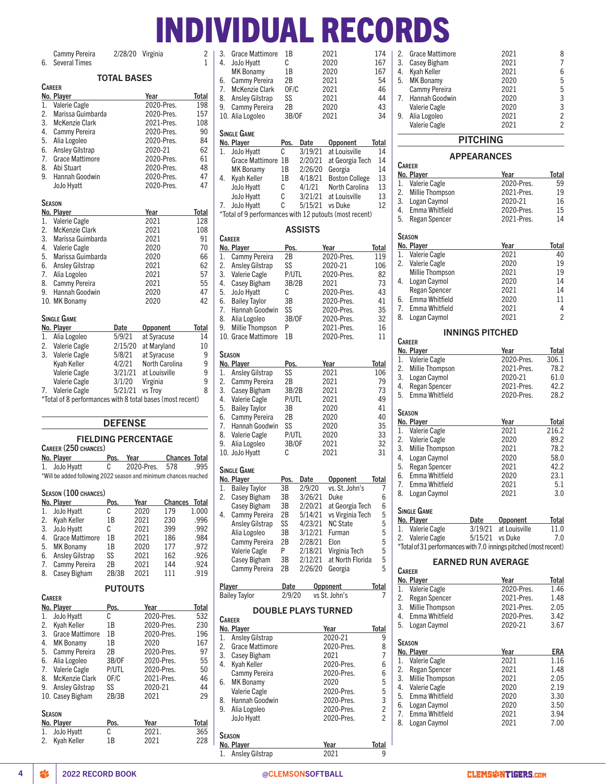# INDIVIDUAL RECORDS

Cammy Pereira 2/28/20 Virginia 2<br>Several Times 1 6. Several Times

# TAL RASES

|    | IUIAL DASES            |         |                 |       |  |  |
|----|------------------------|---------|-----------------|-------|--|--|
|    | <b>CAREER</b>          |         |                 |       |  |  |
|    | No. Player             |         | Year            | Total |  |  |
| 1. | Valerie Cagle          |         | 2020-Pres.      | 198   |  |  |
| 2. | Marissa Guimbarda      |         | 2020-Pres.      | 157   |  |  |
| 3. | <b>McKenzie Clark</b>  |         | 2021-Pres.      | 108   |  |  |
| 4. | Cammy Pereira          |         | 2020-Pres.      | 90    |  |  |
| 5. | Alia Logoleo           |         | 2020-Pres.      | 84    |  |  |
| 6. | <b>Ansley Gilstrap</b> |         | 2020-21         | 62    |  |  |
| 7. | <b>Grace Mattimore</b> |         | 2020-Pres.      | 61    |  |  |
| 8. | Abi Stuart             |         | 2020-Pres.      | 48    |  |  |
| 9. | Hannah Goodwin         |         | 2020-Pres.      | 47    |  |  |
|    | JoJo Hyatt             |         | 2020-Pres.      | 47    |  |  |
|    |                        |         |                 |       |  |  |
|    | SEASON                 |         |                 |       |  |  |
|    | No. Player             |         | Year            | Total |  |  |
| 1. | Valerie Cagle          |         | 2021            | 128   |  |  |
| 2. | <b>McKenzie Clark</b>  |         | 2021            | 108   |  |  |
| 3. | Marissa Guimbarda      |         | 2021            | 91    |  |  |
| 4. | <b>Valerie Cagle</b>   |         | 2020            | 70    |  |  |
| 5. | Marissa Guimbarda      |         | 2020            | 66    |  |  |
| 6. | <b>Ansley Gilstrap</b> |         | 2021            | 62    |  |  |
| 7. | Alia Logoleo           |         | 2021            | 57    |  |  |
| 8. | Cammy Pereira          |         | 2021            | 55    |  |  |
| 9. | Hannah Goodwin         |         | 2020            | 47    |  |  |
|    | 10. MK Bonamy          |         | 2020            | 42    |  |  |
|    |                        |         |                 |       |  |  |
|    | SINGLE GAME            |         |                 |       |  |  |
|    | No. Player             | Date    | <b>Opponent</b> | Total |  |  |
| 1. | Alia Logoleo           | 5/9/21  | at Syracuse     | 14    |  |  |
| 2. | Valerie Cagle          | 2/15/20 | at Maryland     | 10    |  |  |
| 3. | Valerie Cagle          | 5/8/21  | at Syracuse     | 9     |  |  |
|    | Kyah Keller            | 4/2/21  | North Carolina  | 9     |  |  |
|    | Valerie Cagle          | 3/21/21 | at Louisville   | 9     |  |  |
|    | <b>Valerie Cagle</b>   | 3/1/20  | Virginia        | 9     |  |  |
| 7. | Valerie Cagle          | 5/21/21 | vs Troy         | 8     |  |  |

\*Total of 8 performances with 8 total bases (most recent)

### DEFENSE

# FIELDING PERCENTAGE

| CAREER (250 CHANCES) |                                                                  |      |                |               |      |
|----------------------|------------------------------------------------------------------|------|----------------|---------------|------|
|                      | No. Plaver                                                       | Pos. | Year           | Chances Total |      |
|                      | 1. JoJo Hvatt                                                    | C.   | 2020-Pres. 578 |               | .995 |
|                      | *Will be added following 2022 season and minimum chances reached |      |                |               |      |

# Season (100 chances)

Capren

|    | No. Player             | Pos.  | Year | <b>Chances</b> | <b>Total</b> |
|----|------------------------|-------|------|----------------|--------------|
| 1. | JoJo Hyatt             | C     | 2020 | 179            | 1.000        |
| 2. | Kyah Keller            | 1B    | 2021 | 230            | .996         |
| 3. | JoJo Hyatt             | C     | 2021 | 399            | .992         |
| 4. | <b>Grace Mattimore</b> | 1B    | 2021 | 186            | .984         |
| 5. | MK Bonamy              | 1B    | 2020 | 177            | .972         |
| 6. | Ansley Gilstrap        | SS    | 2021 | 162            | .926         |
| 7. | Cammy Pereira          | 2B    | 2021 | 144            | .924         |
| 8. | <b>Casey Bigham</b>    | 2B/3B | 2021 | 111            | .919         |

# PUTOUTS

|               | No. Player             | Pos.  | Year       | Total        |  |
|---------------|------------------------|-------|------------|--------------|--|
| 1.            | JoJo Hyatt             | C     | 2020-Pres. | 532          |  |
| 2.            | Kvah Keller            | 1B    | 2020-Pres. | 230          |  |
| 3.            | <b>Grace Mattimore</b> | 1B    | 2020-Pres. | 196          |  |
| 4.            | <b>MK Bonamy</b>       | 1B    | 2020       | 167          |  |
| 5.            | Cammy Pereira          | 2B    | 2020-Pres. | 97           |  |
| 6.            | Alia Logoleo           | 3B/OF | 2020-Pres. | 55           |  |
| 7.            | Valerie Cagle          | P/UTL | 2020-Pres. | 50           |  |
| 8.            | <b>McKenzie Clark</b>  | OF/C  | 2021-Pres. | 46           |  |
| 9.            | <b>Ansley Gilstrap</b> | SS    | 2020-21    | 44           |  |
|               | 10. Casev Bigham       | 2B/3B | 2021       | 29           |  |
| <b>SEASON</b> |                        |       |            |              |  |
|               | No. Player             | Pos.  | Year       | <b>Total</b> |  |
|               | 1. JoJo Hyatt          | С     | 2021.      | 365          |  |
| 2.            | Kyah Keller            | 1B    | 2021       | 228          |  |

| 3.       | Grace Mattimore                      | 1В         |                | 2021                                                   | 174          |
|----------|--------------------------------------|------------|----------------|--------------------------------------------------------|--------------|
| 4.       | JoJo Hyatt                           | С          |                | 2020                                                   | 167          |
|          | MK Bonamy                            | 1B         |                | 2020                                                   | 167          |
| 6.       | Cammy Pereira                        | 2В         |                | 2021                                                   | 54           |
| 7.       | <b>McKenzie Clark</b>                | OF/C       |                | 2021                                                   | 46           |
| 8.       | <b>Ansley Gilstrap</b>               | SS         |                | 2021                                                   | 44           |
| 9.       | <b>Cammy Pereira</b>                 | 2B         |                | 2020                                                   | 43           |
|          | 10. Alia Logoleo                     | 3B/0F      |                | 2021                                                   | 34           |
|          | SINGLE GAME                          |            |                |                                                        |              |
|          | No. Player                           | Pos.       | Date           | Opponent                                               | Total        |
| 1.       | JoJo Hyatt                           | С          | 3/19/21        | at Louisville                                          | 14           |
|          | Grace Mattimore 1B                   |            | 2/20/21        | at Georgia Tech                                        | 14           |
|          | <b>MK Bonamy</b>                     | 1B         | 2/26/20        | Georgia                                                | 14           |
| 4.       | Kyah Keller                          | 1B         | 4/18/21        | <b>Boston College</b>                                  | 13           |
|          | JoJo Hyatt                           | С          | 4/1/21         | North Carolina                                         | 13           |
|          | JoJo Hyatt                           | C          | 3/21/21        | at Louisville                                          | 13           |
| 7.       | JoJo Hyatt                           | C          | 5/15/21        | vs Duke                                                | 12           |
|          |                                      |            |                | *Total of 9 performances with 12 putouts (most recent) |              |
|          |                                      |            | <b>ASSISTS</b> |                                                        |              |
|          | CAREER                               |            |                |                                                        |              |
| 1.       | No. Player<br>Cammy Pereira          | Pos.<br>2B |                | Year<br>2020-Pres.                                     | Total<br>119 |
| 2.       | <b>Ansley Gilstrap</b>               | SS         |                | 2020-21                                                | 106          |
| 3.       | Valerie Cagle                        | P/UTL      |                | 2020-Pres.                                             | 82           |
| 4.       | <b>Casey Bigham</b>                  | 3B/2B      |                | 2021                                                   | 73           |
| 5.       | JoJo Hyatt                           | С          |                | 2020-Pres.                                             | 43           |
|          | 6. Bailey Taylor                     | 3B         |                | 2020-Pres.                                             | 41           |
| 7.       | Hannah Goodwin                       | SS         |                | 2020-Pres.                                             | 35           |
| 8.       | Alia Logoleo                         | 3B/OF      |                | 2020-Pres.                                             | 32           |
| 9.       | Millie Thompson                      | P          |                | 2021-Pres.                                             | 16           |
|          | 10. Grace Mattimore                  | 1В         |                | 2020-Pres.                                             | 11           |
|          |                                      |            |                |                                                        |              |
|          | Season                               |            |                |                                                        |              |
|          | No. Player                           | Pos.       |                | Year                                                   | Total        |
| 1.       | <b>Ansley Gilstrap</b>               | SS<br>2B   |                | 2021                                                   | 106<br>79    |
| 2.<br>3. | Cammy Pereira<br><b>Casey Bigham</b> | 3B/2B      |                | 2021<br>2021                                           | 73           |
| 4.       | Valerie Cagle                        | P/UTL      |                | 2021                                                   | 49           |
| 5.       | <b>Bailey Taylor</b>                 | 3B         |                | 2020                                                   | 41           |
| 6.       | Cammy Pereira                        | 2B         |                | 2020                                                   | 40           |
| 7.       | Hannah Goodwin                       | SS         |                | 2020                                                   | 35           |
| 8.       | <b>Valerie Cagle</b>                 | P/UTL      |                | 2020                                                   | 33           |
| 9.       | Alia Logoleo                         | 3B/0F      |                | 2021                                                   | 32           |
|          | 10. JoJo Hyatt                       | С          |                | 2021                                                   | 31           |
|          | SINGLE GAME                          |            |                |                                                        |              |
|          | No. Player                           | Pos.       | Date           | <b>Opponent</b>                                        | <b>Total</b> |
| 1.       | <b>Bailey Taylor</b>                 | ЗB         | 2/9/20         | vs. St. John's                                         | 7            |
| 2.       | Casey Bigham                         | 3B         | 3/26/21        | Duke                                                   | 6            |
|          | Casey Bigham                         | 3B         | 2/20/21        | at Georgia Tech                                        | 6            |
| 4.       | Cammy Pereira                        | 2B         | 5/14/21        | vs Virginia Tech                                       | 5            |
|          | <b>Ansley Gilstrap</b>               | SS         | 4/23/21        | <b>NC State</b>                                        | 5            |
|          | Alia Logoleo                         | 3B         | 3/12/21        | Furman                                                 | 5            |
|          | Cammy Pereira                        | 2B         | 2/28/21        | Elon                                                   | 5            |
|          | Valerie Cagle                        | P          | 2/18/21        | Virginia Tech                                          | 5            |
|          | Casey Bigham                         | 3B         | 2/12/21        | at North Florida                                       | 5            |
|          | Cammy Pereira                        | 2B         | 2/26/20        | Georgia                                                | 5            |
| Player   |                                      | Date       |                | <b>Opponent</b>                                        | <b>Total</b> |
|          | <b>Bailey Taylor</b>                 | 2/9/20     |                | vs St. John's                                          | 7            |
|          |                                      |            |                |                                                        |              |
|          | <b>CAREER</b>                        |            |                | <b>DOUBLE PLAYS TURNED</b>                             |              |
|          | No. Player                           |            |                | Year                                                   | Total        |
| 1.       | Ansley Gilstrap                      |            |                | 2020-21                                                | 9            |
| 2.       | Grace Mattimore                      |            |                | 2020-Pres.                                             | 8            |
| 3.       | Casey Bigham                         |            |                | 2021                                                   | 7            |
| 4.       | Kyah Keller                          |            |                | 2020-Pres.                                             | 6            |
|          | Cammy Pereira                        |            |                | 2020-Pres.                                             | 6            |
| 6.       | <b>MK Bonamy</b>                     |            |                | 2020                                                   | 5            |
|          | Valerie Cagle                        |            |                | 2020-Pres.                                             | 5            |

|    | Valerie Cagle     | 2021 | 2 |
|----|-------------------|------|---|
| 9. | Alia Logoleo      | 2021 | 2 |
|    | Valerie Cagle     | 2020 | 3 |
|    | 7. Hannah Goodwin | 2020 | 3 |
|    | Cammy Pereira     | 2021 | 5 |
|    | 5. MK Bonamy      | 2020 | 5 |
| 4. | Kyah Keller       | 2021 | 6 |
| 3. | Casey Bigham      | 2021 |   |
| 2. | Grace Mattimore   | 2021 | 8 |
|    |                   |      |   |

# PITCHING

### APPEARANCES **CAREER No. Player Carres Vear Total Property** Contact Total 1. Valerie Cagle Cagle 2020-Pres. 59 1. Valerie Cagle 2020-Pres. 59<br>2. Millie Thompson 2021-Pres. 19 2. Millie Thompson 2021-Pres. 19<br>3. Logan Caymol 2020-21 16 3. Logan Caymol 2020-21 16 4. Emma Whitfield 2020-Pres. 15 5. Regan Spencer 2021-Pres. 14 Season No. Player **Year Year** Total 1. Valerie Cagle 2021 40 2. Valerie Cagle 2020 19<br>Millie Thompson 2021 19 Millie Thompson 4. Logan Caymol 2020 14 Regan Spencer 2021 14<br>
6. Emma Whitfield 2020 11 Emma Whitfield 7. Emma Whitfield 2021 4<br>18. Logan Caymol 2021 2 8. Logan Caymol INNINGS PITCHED **CAREER** No. Player Year Total<br>1. Valerie Cagle 2020-Pres. 306.1 1. Valerie Cagle 2020-Pres. 306.1

| 2. | <b>Millie Thompson</b> |         | 2021-Pres.      | 78.2  |
|----|------------------------|---------|-----------------|-------|
| 3. | Logan Caymol           |         | 2020-21         | 61.0  |
| 4. | <b>Regan Spencer</b>   |         | 2021-Pres.      | 42.2  |
| 5. | Emma Whitfield         |         | 2020-Pres.      | 28.2  |
|    | SEASON                 |         |                 |       |
|    |                        |         |                 |       |
|    | No. Player             |         | Year            | Total |
| 1. | <b>Valerie Cagle</b>   |         | 2021            | 216.2 |
| 2. | <b>Valerie Cagle</b>   |         | 2020            | 89.2  |
| 3. | <b>Millie Thompson</b> |         | 2021            | 78.2  |
| 4. | Logan Caymol           |         | 2020            | 58.0  |
| 5. | <b>Regan Spencer</b>   |         | 2021            | 42.2  |
| 6. | Emma Whitfield         |         | 2020            | 23.1  |
| 7. | Emma Whitfield         |         | 2021            | 5.1   |
| 8. | Logan Caymol           |         | 2021            | 3.0   |
|    | <b>SINGLE GAME</b>     |         |                 |       |
|    |                        |         |                 |       |
|    | No. Player             | Date    | <b>Opponent</b> | Total |
| 1. | <b>Valerie Cagle</b>   | 3/19/21 | at Louisville   | 11.0  |
| 2. | <b>Valerie Cagle</b>   | 5/15/21 | vs Duke         | 7.0   |

| <b>VUIDITO UUGIO</b> |  | $U = U/L + V U U U$ | , . v                                                            |
|----------------------|--|---------------------|------------------------------------------------------------------|
|                      |  |                     | *Total of 31 performances with 7.0 innings pitched (most recent) |

# EARNED RUN AVERAGE

|               | <b>CAREER</b>          |            |       |  |  |  |  |  |  |  |  |
|---------------|------------------------|------------|-------|--|--|--|--|--|--|--|--|
|               | No. Player             | Year       | Total |  |  |  |  |  |  |  |  |
| 1.            | <b>Valerie Cagle</b>   | 2020-Pres. | 1.46  |  |  |  |  |  |  |  |  |
| 2.            | <b>Regan Spencer</b>   | 2021-Pres. | 1.48  |  |  |  |  |  |  |  |  |
| 3.            | <b>Millie Thompson</b> | 2021-Pres. | 2.05  |  |  |  |  |  |  |  |  |
| 4.            | <b>Fmma Whitfield</b>  | 2020-Pres. | 3.42  |  |  |  |  |  |  |  |  |
| 5.            | Logan Caymol           | 2020-21    | 3.67  |  |  |  |  |  |  |  |  |
|               |                        |            |       |  |  |  |  |  |  |  |  |
| <b>SEASON</b> |                        |            |       |  |  |  |  |  |  |  |  |
|               | No. Player             | Year       | ERA   |  |  |  |  |  |  |  |  |
| 1.            | <b>Valerie Cagle</b>   | 2021       | 1.16  |  |  |  |  |  |  |  |  |
| 2.            | <b>Regan Spencer</b>   | 2021       | 1.48  |  |  |  |  |  |  |  |  |
| 3.            | <b>Millie Thompson</b> | 2021       | 2.05  |  |  |  |  |  |  |  |  |
| 4.            | Valerie Cagle          | 2020       | 2.19  |  |  |  |  |  |  |  |  |
| 5.            | Emma Whitfield         | 2020       | 3.30  |  |  |  |  |  |  |  |  |
| 6.            | Logan Caymol           | 2020       | 3.50  |  |  |  |  |  |  |  |  |
| 7.            | Emma Whitfield         | 2021       | 3.94  |  |  |  |  |  |  |  |  |
| 8.            | Logan Caymol           | 2021       | 7.00  |  |  |  |  |  |  |  |  |
|               |                        |            |       |  |  |  |  |  |  |  |  |

8. Hannah Goodwin 2020-Pres. 3 9. Alia Logoleo 2020-Pres. 2<br>
JoJo Hyatt 2020-Pres. 2 JoJo Hyatt 2020-Pres.

No. Player Year Year Total 1. Ansley Gilstrap 2021 9

Valerie Cagle

Season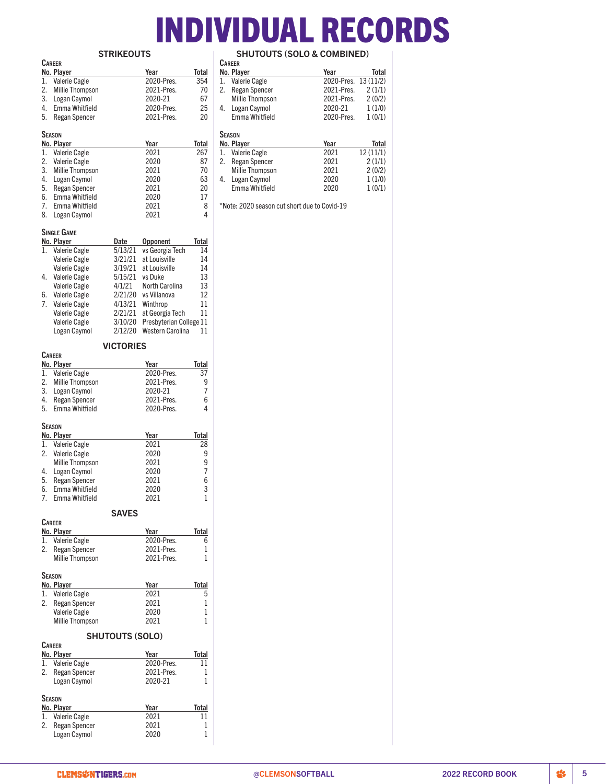# INDIVIDUAL RECORDS

|          |                                         | <b>STRIKEOUTS</b>      |                          |              |
|----------|-----------------------------------------|------------------------|--------------------------|--------------|
|          | <b>CAREER</b>                           |                        |                          |              |
|          | No. Player                              |                        | Year                     | Total        |
| 1.       | Valerie Cagle                           |                        | 2020-Pres.               | 354          |
| 2.       | <b>Millie Thompson</b>                  |                        | 2021-Pres.               | 70           |
| 3.<br>4. | Logan Caymol<br>Emma Whitfield          |                        | 2020-21<br>2020-Pres.    | 67<br>25     |
| 5.       | <b>Regan Spencer</b>                    |                        | 2021-Pres.               | 20           |
|          |                                         |                        |                          |              |
|          | Season                                  |                        |                          |              |
|          | No. Player                              |                        | Year                     | Total        |
| 1.       | Valerie Cagle                           |                        | 2021                     | 267          |
| 2.       | Valerie Cagle                           |                        | 2020                     | 87           |
| 3.<br>4. | <b>Millie Thompson</b>                  |                        | 2021<br>2020             | 70<br>63     |
| 5.       | Logan Caymol<br>Regan Spencer           |                        | 2021                     | 20           |
| 6.       | Emma Whitfield                          |                        | 2020                     | 17           |
| 7.       | Emma Whitfield                          |                        | 2021                     | 8            |
| 8.       | Logan Caymol                            |                        | 2021                     | 4            |
|          |                                         |                        |                          |              |
|          | SINGLE GAME<br>No. Player               | Date                   | Opponent                 | <b>Total</b> |
| 1.       | Valerie Cagle                           | 5/13/21                | vs Georgia Tech          | 14           |
|          | Valerie Cagle                           | 3/21/21                | at Louisville            | 14           |
|          | Valerie Cagle                           | 3/19/21                | at Louisville            | 14           |
| 4.       | Valerie Cagle                           | 5/15/21                | vs Duke                  | 13           |
|          | Valerie Cagle                           | 4/1/21                 | North Carolina           | 13           |
| 6.       | <b>Valerie Cagle</b>                    | 2/21/20                | vs Villanova             | 12           |
| 7.       | Valerie Cagle                           | 4/13/21                | Winthrop                 | 11           |
|          | Valerie Cagle                           | 2/21/21                | at Georgia Tech          | 11           |
|          | Valerie Cagle                           | 3/10/20                | Presbyterian College 11  |              |
|          | Logan Caymol                            | 2/12/20                | Western Carolina         | 11           |
|          |                                         | <b>VICTORIES</b>       |                          |              |
|          | <b>CAREER</b>                           |                        |                          |              |
|          | No. Player                              |                        | Year                     | Total        |
| 1.<br>2. | <b>Valerie Cagle</b><br>Millie Thompson |                        | 2020-Pres.<br>2021-Pres. | 37<br>9      |
| 3.       | Logan Caymol                            |                        | 2020-21                  | 7            |
| 4.       | <b>Regan Spencer</b>                    |                        | 2021-Pres.               | 6            |
| 5.       | Emma Whitfield                          |                        | 2020-Pres.               | 4            |
|          |                                         |                        |                          |              |
|          | <b>SEASON</b>                           |                        |                          |              |
| 1.       | No. Player<br><b>Valerie Cagle</b>      |                        | Year<br>2021             | Total<br>28  |
| 2.       | <b>Valerie Cagle</b>                    |                        | 2020                     | 9            |
|          | <b>Millie Thompson</b>                  |                        | 2021                     | 9            |
| 4.       | Logan Caymol                            |                        | 2020                     | 7            |
| 5.       | <b>Regan Spencer</b>                    |                        | 2021                     | 6            |
| 6.       | Emma Whitfield                          |                        | 2020                     | 3            |
| 7.       | Emma Whitfield                          |                        | 2021                     | 1            |
|          |                                         | <b>SAVES</b>           |                          |              |
|          | <b>CAREER</b>                           |                        |                          |              |
|          | No. Player                              |                        | <u>Year</u>              | Total        |
| 1.       | <b>Valerie Cagle</b>                    |                        | 2020-Pres.               | 6            |
| 2.       | <b>Regan Spencer</b>                    |                        | 2021-Pres.               | 1            |
|          | <b>Millie Thompson</b>                  |                        | 2021-Pres.               | 1            |
|          | SEASON                                  |                        |                          |              |
|          | No. Player                              |                        | Year                     | Total        |
| 1.       | <b>Valerie Cagle</b>                    |                        | 2021                     | 5            |
| 2.       | <b>Regan Spencer</b>                    |                        | 2021                     | 1            |
|          | Valerie Cagle                           |                        | 2020                     | 1            |
|          | <b>Millie Thompson</b>                  |                        | 2021                     | 1            |
|          |                                         | <b>SHUTOUTS (SOLO)</b> |                          |              |
|          | <b>CAREER</b>                           |                        |                          |              |
|          | No. Player                              |                        | Year                     | Total        |
| 1.       | Valerie Cagle                           |                        | 2020-Pres.               | 11           |
| 2.       | <b>Regan Spencer</b>                    |                        | 2021-Pres.<br>2020-21    | 1<br>1       |
|          | Logan Caymol                            |                        |                          |              |
|          | Season                                  |                        |                          |              |
|          | No. Player                              |                        | Year                     | Total        |
| 1.       | Valerie Cagle                           |                        | 2021                     | 11           |
| 2.       | <b>Regan Spencer</b>                    |                        | 2021                     | 1            |
|          | Logan Cavmol                            |                        | 2020                     | 1            |

SHUTOUTS (SOLO & COMBINED)

|    | <b>CAREER</b>          |                      |          |
|----|------------------------|----------------------|----------|
|    | No. Player             | Year                 | Total    |
| 1. | Valerie Cagle          | 2020-Pres. 13 (11/2) |          |
| 2. | <b>Regan Spencer</b>   | 2021-Pres.           | 2(1/1)   |
|    | <b>Millie Thompson</b> | 2021-Pres.           | 2(0/2)   |
| 4. | Logan Caymol           | 2020-21              | 1(1/0)   |
|    | Emma Whitfield         | 2020-Pres.           | 1(0/1)   |
|    | <b>SEASON</b>          |                      |          |
|    | No. Player             | Year                 | Total    |
| 1. | Valerie Cagle          | 2021                 | 12(11/1) |
| 2. | <b>Regan Spencer</b>   | 2021                 | 2(1/1)   |
|    | <b>Millie Thompson</b> | 2021                 | 2(0/2)   |
| 4. | Logan Caymol           | 2020                 | 1(1/0)   |
|    | Emma Whitfield         | 2020                 | 1(0/1)   |

\*Note: 2020 season cut short due to Covid-19

Logan Caymol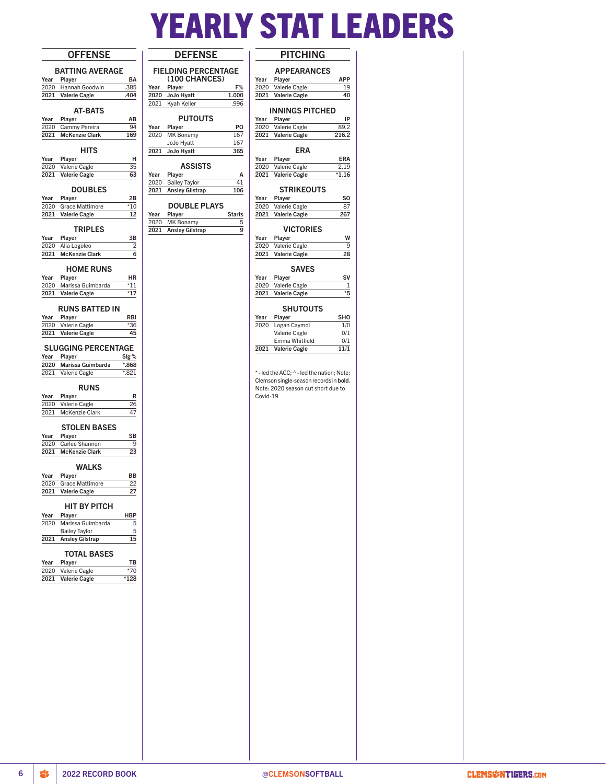# YEARLY STAT LEADERS

| <b>OFFENSE</b>                                                         | <b>DEFENSE</b>                                          |
|------------------------------------------------------------------------|---------------------------------------------------------|
| <b>BATTING AVERAGE</b>                                                 | <b>FIELDING PERCENTAGE</b>                              |
| Year<br>Player<br>BA                                                   | (100 CHANCES)                                           |
| .385<br>2020<br>Hannah Goodwin                                         | Year<br>Player<br>F%                                    |
| 2021<br><b>Valerie Cagle</b><br>.404                                   | 2020<br>1.000<br>JoJo Hyatt                             |
|                                                                        | Kyah Keller<br>2021<br>.996                             |
| <b>AT-BATS</b>                                                         |                                                         |
| Year<br>Player<br>ΑВ                                                   | <b>PUTOUTS</b>                                          |
| 2020<br>Cammy Pereira<br>94<br><b>McKenzie Clark</b><br>2021<br>169    | PO<br>Player<br>Year<br>2020<br>167<br><b>MK Bonamy</b> |
|                                                                        | JoJo Hyatt<br>167                                       |
| HITS                                                                   | 2021<br>JoJo Hyatt<br>365                               |
| Year<br>Player<br>н                                                    |                                                         |
| 2020<br>Valerie Cagle<br>35                                            | ASSISTS                                                 |
| <b>Valerie Cagle</b><br>63<br>2021                                     | Year<br>Player<br>Α                                     |
|                                                                        | 2020<br>41<br><b>Bailey Taylor</b>                      |
| <b>DOUBLES</b>                                                         | 2021<br><b>Ansley Gilstrap</b><br>106                   |
| Player<br>Year<br>2В<br>2020<br>Grace Mattimore<br>$*10$               | <b>DOUBLE PLAYS</b>                                     |
| 2021<br><b>Valerie Cagle</b><br>12                                     | Year<br>Player<br><b>Starts</b>                         |
|                                                                        | 2020<br><b>MK Bonamy</b><br>5                           |
| <b>TRIPLES</b>                                                         | 2021<br><b>Ansley Gilstrap</b><br>9                     |
| 3B<br>Year<br>Player                                                   |                                                         |
| Alia Logoleo<br>2020<br>2                                              |                                                         |
| <b>McKenzie Clark</b><br>2021<br>6                                     |                                                         |
|                                                                        |                                                         |
| <b>HOME RUNS</b>                                                       |                                                         |
| Year<br>Player<br>ΗR<br>2020<br>$*11$                                  |                                                         |
| Marissa Guimbarda<br><b>Valerie Cagle</b><br>*17<br>2021               |                                                         |
|                                                                        |                                                         |
| <b>RUNS BATTED IN</b>                                                  |                                                         |
| Player<br>Year<br>RBI                                                  |                                                         |
| 2020<br>Valerie Cagle<br>$*36$                                         |                                                         |
| 2021<br><b>Valerie Cagle</b><br>45                                     |                                                         |
|                                                                        |                                                         |
| <b>SLUGGING PERCENTAGE</b>                                             |                                                         |
| Year<br>Player<br>$\mathsf{Sig}\,\%$                                   |                                                         |
| 2020<br>Marissa Guimbarda<br>$*868$<br>$*821$<br>2021<br>Valerie Cagle |                                                         |
|                                                                        |                                                         |
| <b>RUNS</b>                                                            |                                                         |
| Year<br>Player<br>R                                                    |                                                         |
| 2020 Valerie Cagle<br>26                                               |                                                         |
| McKenzie Clark<br>47<br>2021                                           |                                                         |
|                                                                        |                                                         |
| <b>STOLEN BASES</b>                                                    |                                                         |
| Player<br>SB<br>Year<br>2020<br>Carlee Shannon<br>9                    |                                                         |
| 2021<br><b>McKenzie Clark</b><br>23                                    |                                                         |
|                                                                        |                                                         |
| <b>WALKS</b>                                                           |                                                         |
| ВB<br>Year<br>Player                                                   |                                                         |
| 2020<br><b>Grace Mattimore</b><br>22                                   |                                                         |
| 27<br>2021<br><b>Valerie Cagle</b>                                     |                                                         |
|                                                                        |                                                         |
| HIT BY PITCH                                                           |                                                         |
| Year<br>Player<br>HBP<br>2020<br>Marissa Guimbarda<br>5                |                                                         |
| <b>Bailey Taylor</b><br>5                                              |                                                         |
| 2021<br><b>Ansley Gilstrap</b><br>15                                   |                                                         |
|                                                                        |                                                         |
| <b>TOTAL BASES</b>                                                     |                                                         |
| Year<br>Player<br>TВ                                                   |                                                         |
| 2020<br>Valerie Cagle<br>$*70$                                         |                                                         |
| 2021<br><b>Valerie Cagle</b><br>$*128$                                 |                                                         |
|                                                                        |                                                         |
|                                                                        |                                                         |
|                                                                        |                                                         |
|                                                                        |                                                         |
|                                                                        |                                                         |
|                                                                        |                                                         |
|                                                                        |                                                         |
|                                                                        |                                                         |
|                                                                        |                                                         |
|                                                                        |                                                         |
|                                                                        |                                                         |
|                                                                        |                                                         |
|                                                                        |                                                         |

|  |  | ۰.<br>. . |  |
|--|--|-----------|--|
|  |  |           |  |

|              | <b>APPEARANCES</b>                                                           |                                        |
|--------------|------------------------------------------------------------------------------|----------------------------------------|
| Year         | Player                                                                       | APP                                    |
| 2020<br>2021 | Valerie Cagle<br><b>Valerie Cagle</b>                                        | 19<br>40                               |
|              |                                                                              |                                        |
|              | <b>INNINGS PITCHED</b>                                                       |                                        |
| Year<br>2020 | Player                                                                       | IP<br>89.2                             |
| 2021         | Valerie Cagle<br>Valerie Cagle                                               | 216.2                                  |
|              |                                                                              |                                        |
|              | <b>ERA</b>                                                                   |                                        |
| Year<br>2020 | Player<br>Valerie Cagle                                                      | ERA                                    |
| 2021         | <b>Valerie Cagle</b>                                                         | 2.19<br>$*1.16$                        |
|              |                                                                              |                                        |
|              | <b>STRIKEOUTS</b>                                                            | SO                                     |
| Year<br>2020 | Player<br>Valerie Cagle                                                      | 87                                     |
| 2021         | <b>Valerie Cagle</b>                                                         | 267                                    |
|              |                                                                              |                                        |
| Year         | <b>VICTORIES</b><br>Player                                                   | w                                      |
| 2020         | Valerie Cagle                                                                | 9                                      |
| 2021         | Valerie Cagle                                                                | 28                                     |
|              | <b>SAVES</b>                                                                 |                                        |
| Year         | Player                                                                       | SV                                     |
| 2020         | Valerie Cagle                                                                | 1                                      |
| 2021         | <b>Valerie Cagle</b>                                                         | *5                                     |
|              | <b>SHUTOUTS</b>                                                              |                                        |
| Year         | Player                                                                       | SHO                                    |
| 2020         | Logan Caymol                                                                 | 1/0                                    |
|              | Valerie Cagle<br>Emma Whitfield                                              | 0/1<br>0/1                             |
| 2021         | Valerie Cagle                                                                | 11/1                                   |
|              | Clemson single-season records in bold.<br>Note: 2020 season cut short due to | *-led the ACC; ^-led the nation; Note: |
|              |                                                                              |                                        |
|              |                                                                              |                                        |
|              |                                                                              |                                        |
|              |                                                                              |                                        |
|              |                                                                              |                                        |
| Covid-19     |                                                                              |                                        |
|              |                                                                              |                                        |
|              |                                                                              |                                        |
|              |                                                                              |                                        |
|              |                                                                              |                                        |
|              |                                                                              |                                        |
|              |                                                                              |                                        |
|              |                                                                              |                                        |
|              |                                                                              |                                        |
|              |                                                                              |                                        |
|              |                                                                              |                                        |
|              |                                                                              |                                        |
|              |                                                                              |                                        |
|              |                                                                              |                                        |
|              |                                                                              |                                        |
|              |                                                                              |                                        |
|              |                                                                              |                                        |
|              |                                                                              |                                        |
|              |                                                                              |                                        |
|              |                                                                              |                                        |
|              |                                                                              |                                        |
|              |                                                                              |                                        |
|              |                                                                              |                                        |
|              |                                                                              |                                        |
|              |                                                                              |                                        |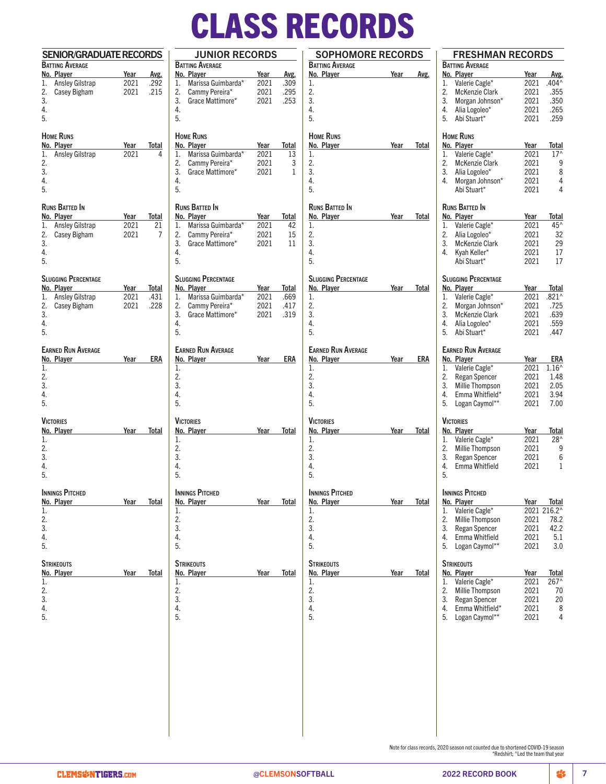# CLASS RECORDS RECORDS

| <b>SENIOR/GRADUATE RECORDS</b> |                        | <b>JUNIOR RECORDS</b>      |                      | <b>SOPHOMORE RECORDS</b>   |      |            |
|--------------------------------|------------------------|----------------------------|----------------------|----------------------------|------|------------|
| <b>BATTING AVERAGE</b>         |                        | <b>BATTING AVERAGE</b>     |                      | <b>BATTING AVERAGE</b>     |      |            |
| No. Player                     | Year<br>Avg.           | No. Player                 | Year<br>Avg.         | No. Plaver                 | Year | Avg.       |
| Ansley Gilstrap<br>1.          | 2021<br>.292           | Marissa Guimbarda*<br>1.   | 2021<br>.309         | 1.                         |      |            |
| Casey Bigham<br>2.             | 2021<br>.215           | Cammy Pereira*<br>2.       | 2021<br>.295         | 2.                         |      |            |
| 3.                             |                        | 3.<br>Grace Mattimore*     | 2021<br>.253         | 3.                         |      |            |
| 4.                             |                        | 4.                         |                      | 4.                         |      |            |
| 5.                             |                        | 5.                         |                      | 5.                         |      |            |
| <b>HOME RUNS</b>               |                        | <b>HOME RUNS</b>           |                      | <b>HOME RUNS</b>           |      |            |
| No. Player                     | Year<br>Total          | No. Player                 | Year<br>Total        | No. Player                 | Year | Total      |
| Ansley Gilstrap<br>1.          | 2021<br>4              | Marissa Guimbarda*<br>1.   | 2021<br>13           | 1.                         |      |            |
| 2.                             |                        | 2.<br>Cammy Pereira*       | 2021<br>3            | 2.                         |      |            |
| 3.                             |                        | 3.<br>Grace Mattimore*     | 2021<br>$\mathbf{1}$ | 3.                         |      |            |
| 4.                             |                        | 4.                         |                      | 4.                         |      |            |
| 5.                             |                        | 5.                         |                      | 5.                         |      |            |
|                                |                        |                            |                      |                            |      |            |
| <b>RUNS BATTED IN</b>          |                        | <b>RUNS BATTED IN</b>      |                      | <b>RUNS BATTED IN</b>      |      |            |
| No. Player                     | Year<br>Total          | No. Player                 | Total<br>Year        | No. Player                 | Year | Total      |
| Ansley Gilstrap<br>1.          | 2021<br>21             | Marissa Guimbarda*<br>1.   | 2021<br>42           | 1.                         |      |            |
| 2.<br>Casey Bigham             | 2021<br>$\overline{7}$ | 2.<br>Cammy Pereira*       | 2021<br>15           | 2.                         |      |            |
| 3.                             |                        | 3.<br>Grace Mattimore*     | 2021<br>11           | 3.                         |      |            |
| 4.                             |                        | 4.                         |                      | 4.                         |      |            |
| 5.                             |                        | 5.                         |                      | 5.                         |      |            |
| <b>SLUGGING PERCENTAGE</b>     |                        | <b>SLUGGING PERCENTAGE</b> |                      | <b>SLUGGING PERCENTAGE</b> |      |            |
| No. Player                     | Year<br>Total          | No. Player                 | Year<br>Total        | No. Player                 | Year | Total      |
|                                | 2021<br>.431           | Marissa Guimbarda*<br>1.   | 2021                 | 1.                         |      |            |
| Ansley Gilstrap<br>1.          |                        |                            | .669                 |                            |      |            |
| 2.<br>Casey Bigham             | .228<br>2021           | 2.<br>Cammy Pereira*       | 2021<br>.417         | 2.                         |      |            |
| 3.                             |                        | 3.<br>Grace Mattimore*     | 2021<br>.319         | 3.                         |      |            |
| 4.                             |                        | 4.                         |                      | 4.                         |      |            |
| 5.                             |                        | 5.                         |                      | 5.                         |      |            |
| <b>EARNED RUN AVERAGE</b>      |                        | <b>EARNED RUN AVERAGE</b>  |                      | <b>EARNED RUN AVERAGE</b>  |      |            |
| No. Player                     | <b>ERA</b><br>Year     | No. Player                 | <b>ERA</b><br>Year   | No. Player                 | Year | <b>ERA</b> |
| 1.                             |                        | 1.                         |                      | 1.                         |      |            |
| 2.                             |                        | 2.                         |                      | 2.                         |      |            |
| 3.                             |                        | 3.                         |                      | 3.                         |      |            |
| 4.                             |                        | 4.                         |                      | 4.                         |      |            |
| 5.                             |                        | 5.                         |                      | 5.                         |      |            |
|                                |                        |                            |                      |                            |      |            |
| <b>VICTORIES</b>               |                        | <b>VICTORIES</b>           |                      | <b>VICTORIES</b>           |      |            |
| No. Player<br>1.               | Total<br>Year          | No. Player<br>1.           | Year<br>Total        | No. Player<br>1.           | Year | Total      |
| 2.                             |                        | 2.                         |                      | 2.                         |      |            |
|                                |                        |                            |                      |                            |      |            |
| 3.                             |                        | 3.                         |                      | 3.                         |      |            |
| 4.                             |                        | 4.                         |                      | 4.                         |      |            |
| 5.                             |                        | 5.                         |                      | 5.                         |      |            |
| <b>INNINGS PITCHED</b>         |                        | <b>INNINGS PITCHED</b>     |                      | <b>INNINGS PITCHED</b>     |      |            |
| No. Player                     | Total<br>Year          | No. Player                 | Year<br>Total        | No. Player                 | Year | Total      |
| 1.                             |                        | 1.                         |                      | 1.                         |      |            |
| 2.                             |                        | 2.                         |                      | 2.                         |      |            |
| 3.                             |                        | 3.                         |                      | 3.                         |      |            |
| 4.                             |                        | 4.                         |                      | 4.                         |      |            |
| 5.                             |                        | 5.                         |                      | 5.                         |      |            |
|                                |                        |                            |                      |                            |      |            |
| <b>STRIKEOUTS</b>              |                        | <b>STRIKEOUTS</b>          |                      | <b>STRIKEOUTS</b>          |      |            |
| No. Player                     | Year<br>Total          | No. Player                 | Year<br>Total        | No. Player                 | Year | Total      |
| 1.                             |                        | 1.                         |                      | 1.                         |      |            |
| 2.                             |                        | 2.                         |                      | 2.                         |      |            |
| 3.                             |                        | 3.                         |                      | 3.                         |      |            |
| 4.                             |                        | 4.                         |                      | 4.                         |      |            |
| 5.                             |                        | 5.                         |                      | 5.                         |      |            |
|                                |                        |                            |                      |                            |      |            |
|                                |                        |                            |                      |                            |      |            |
|                                |                        |                            |                      |                            |      |            |
|                                |                        |                            |                      |                            |      |            |
|                                |                        |                            |                      |                            |      |            |
|                                |                        |                            |                      |                            |      |            |
|                                |                        |                            |                      |                            |      |            |

|          | <b>BATTING AVERAGE</b><br>No. Player | Year | Avg.           |
|----------|--------------------------------------|------|----------------|
| 1.       | Valerie Cagle*                       | 2021 | $.404^$        |
| 2.       | <b>McKenzie Clark</b>                | 2021 | .355           |
| 3.       | Morgan Johnson*                      | 2021 | .350           |
| 4.       | Alia Logoleo*                        | 2021 | .265           |
| 5.       | Abi Stuart*                          | 2021 | .259           |
|          | <b>HOME RUNS</b>                     |      |                |
|          | No. Player                           | Year | Total          |
| 1.       | Valerie Cagle*                       | 2021 | $17^$          |
| 2.       | McKenzie Clark                       | 2021 | 9              |
| 3.       | Alia Logoleo*                        | 2021 | 8              |
| 4.       | Morgan Johnson*                      | 2021 | 4              |
|          | Abi Stuart*                          | 2021 | 4              |
|          | Runs Batted In                       |      |                |
|          | No. Player                           | Year | <b>Total</b>   |
| 1.       | Valerie Cagle*                       | 2021 | 45^            |
| 2.       | Alia Logoleo*                        | 2021 | 32             |
| 3.       | <b>McKenzie Clark</b>                | 2021 | 29             |
| 4.       | Kyah Keller*                         | 2021 | 17             |
|          | Abi Stuart*                          | 2021 | 17             |
|          | <b>SLUGGING PERCENTAGE</b>           |      |                |
|          | No. Player                           | Year | Total          |
| 1.       | Valerie Cagle*                       | 2021 | $.821^$        |
| 2.       | Morgan Johnson*                      | 2021 | .725           |
| 3.       | <b>McKenzie Clark</b>                | 2021 | .639           |
| 4.       | Alia Logoleo*                        | 2021 | .559           |
| 5.       | Abi Stuart*                          | 2021 | .447           |
|          | <b>EARNED RUN AVERAGE</b>            |      |                |
|          | No. Player                           | Year | ERA            |
| 1.       | Valerie Cagle*                       | 2021 | $1.16^{\circ}$ |
| 2.       | Regan Spencer                        | 2021 | 1.48           |
| 3.       | Millie Thompson                      | 2021 | 2.05           |
| 4.       | Emma Whitfield*                      | 2021 | 3.94           |
| 5.       | Logan Caymol**                       | 2021 | 7.00           |
|          | <b>VICTORIES</b>                     |      |                |
|          | No. Player                           | Year | Total          |
| 1.       | Valerie Cagle*                       | 2021 | 28^            |
| 2.       | Millie Thompson                      | 2021 | 9              |
| 3.       | Regan Spencer                        | 2021 | 6              |
| 4.       | <b>Fmma Whitfield</b>                | 2021 | 1              |
| 5.       |                                      |      |                |
|          | <b>INNINGS PITCHED</b>               |      |                |
|          | No. Player                           | Year | <b>Total</b>   |
| 1.       | Valerie Cagle*                       | 2021 | 216.2^         |
| 2.       | Millie Thompson                      | 2021 | 78.2           |
| 3.       | Regan Spencer                        | 2021 | 42.2           |
| 4.       | Emma Whitfield                       | 2021 | 5.1            |
| 5.       | Logan Caymol**                       | 2021 | 3.0            |
|          | <b>STRIKEOUTS</b>                    |      |                |
|          | No. Player                           | Year | Total          |
| 1.       | Valerie Cagle*                       | 2021 | 267^           |
| 2.       | Millie Thompson                      | 2021 | 70             |
| 3.       | Regan Spencer                        | 2021 | 20             |
|          | Emma Whitfield*                      | 2021 | 8              |
| 4.<br>5. | Logan Caymol**                       | 2021 | 4              |

Note for class records, 2020 season not counted due to shortened COVID-19 season \*Redshirt; ^Led the team that year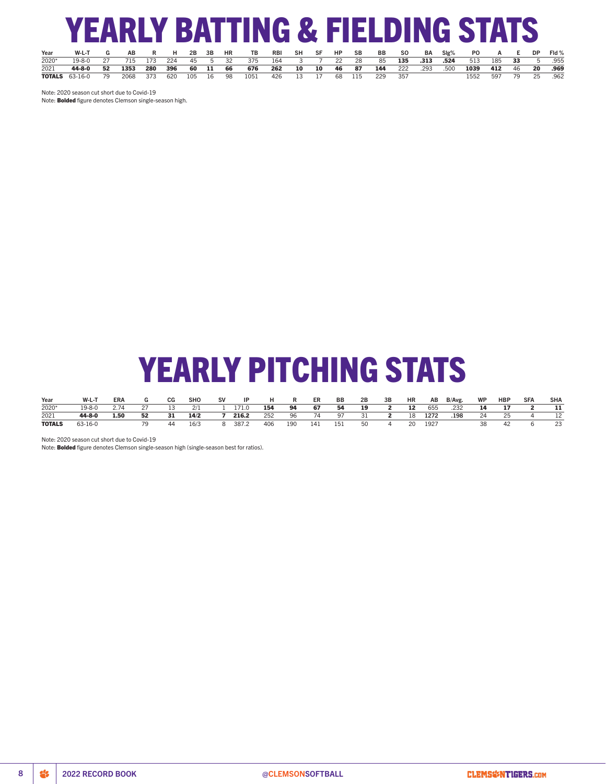# YEARLY BATTING & FIELDING STATS

| Year  | W-L-T                               | AB | R H 2B 3B HR |  | <b>TB</b>                   |                      | RBI SH SF HP SB |  | BB SO BA SIg%                            |     |  | PO                | A E DP |  | Fld %               |
|-------|-------------------------------------|----|--------------|--|-----------------------------|----------------------|-----------------|--|------------------------------------------|-----|--|-------------------|--------|--|---------------------|
| 2020* | 19-8-0 27 715 173 224 45 5 32 375   |    |              |  |                             |                      |                 |  | 164 3 7 22 28 85 <b>135 .313 .524</b>    |     |  | 513 185 33 5 .955 |        |  |                     |
| 2021  | 44-8-0 52 1353 280 396 60 11 66 676 |    |              |  |                             |                      |                 |  | <b>262 10 10 46 87 144</b> 222 .293 .500 |     |  | 1039 412 46 20    |        |  | .969                |
|       | <b>TOTALS</b> 63-16-0 79            |    |              |  | 2068 373 620 105 16 98 1051 | 426 13 17 68 115 229 |                 |  |                                          | 357 |  |                   |        |  | 1552 597 79 25 .962 |

Note: 2020 season cut short due to Covid-19

Note: **Bolded** figure denotes Clemson single-season high.

# YEARLY PITCHING STATS

| Year          | $W-L-1$ | <b>ERA</b> |     | CG   | <b>SHO</b> | <b>SV</b> | IP    |     | R   | ER  | BB  | 2B   | 3B | HR | AB   | B/Avg. | <b>WP</b> | <b>HBP</b> | <b>SFA</b> | <b>SHA</b> |
|---------------|---------|------------|-----|------|------------|-----------|-------|-----|-----|-----|-----|------|----|----|------|--------|-----------|------------|------------|------------|
| 2020*         | 19-8-0  | 2.74       |     |      | 2/1        |           | 171.0 | 154 | 94  | 67  | 54  | 19   |    | 12 | 655  | .232   | 14        |            |            |            |
| 2021          | 44-8-0  | 1.50       | 52  | - 31 | 14/2       |           | 216.2 | 252 | 96  | 74  | 97  | - 31 |    | 18 | 1272 | .198   | 24        | 25         |            |            |
| <b>TOTALS</b> | 63-16-0 |            | 70. | -44  | 16/3       |           | 387.2 | 406 | 190 | 141 | 151 | 50   |    | 20 | 1927 |        |           |            |            | 23         |

Note: 2020 season cut short due to Covid-19

Note: Bolded figure denotes Clemson single-season high (single-season best for ratios).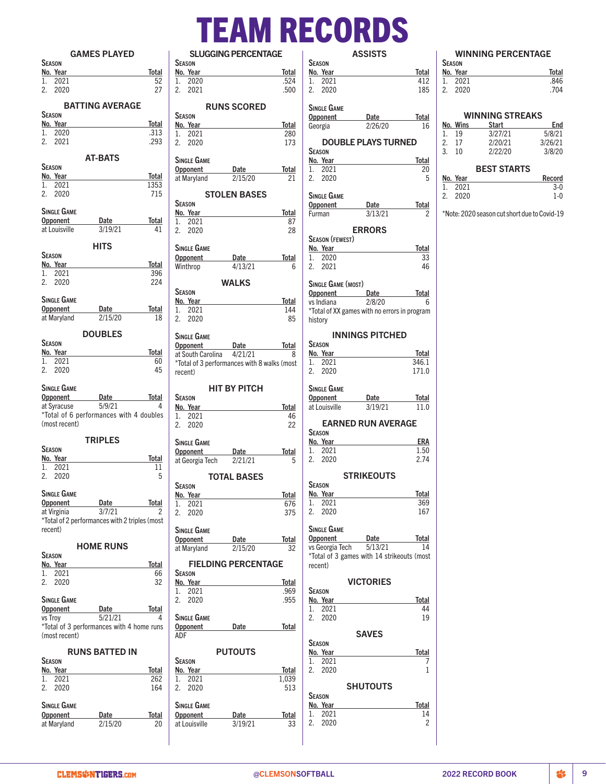# TEAM RECORDS SLUGGING PERCENTAGE

| <b>GAMES PLAYED</b>                                           | S                         |
|---------------------------------------------------------------|---------------------------|
| <b>SEASON</b>                                                 | Season                    |
| Total<br>No. Year                                             | No. Ye                    |
| 52<br>1.<br>2021<br>27                                        | 20<br>$1_{-}$<br>2.<br>20 |
| 2. 2020                                                       |                           |
| <b>BATTING AVERAGE</b>                                        |                           |
| <b>SEASON</b>                                                 | Season                    |
| No. Year<br>Total                                             | No. Ye                    |
| 1.<br>2020<br>.313<br>2.<br>2021<br>.293                      | 20<br>1.                  |
|                                                               | 2.<br>20                  |
| <b>AT-BATS</b>                                                | SINGLE                    |
| <b>SEASON</b>                                                 | Oppon                     |
| No. Year<br>Total                                             | at Mary                   |
| 1353<br>2021<br>1.                                            |                           |
| 2. 2020<br>715                                                |                           |
| SINGLE GAME                                                   | Season<br>No. Ye          |
| Date<br>Total<br>Opponent                                     | 20<br>1.                  |
| 3/19/21<br>at Louisville<br>41                                | 2.<br>20                  |
|                                                               |                           |
| <b>HITS</b>                                                   | Single                    |
| <b>SEASON</b>                                                 | Oppone                    |
| No. Year<br>Total<br>1. 2021<br>396                           | Winthro                   |
| 2. 2020<br>224                                                |                           |
|                                                               | Season                    |
| <b>SINGLE GAME</b>                                            | No. Ye                    |
| Date<br>Total<br><b>Opponent</b>                              | 20<br>1.                  |
| 2/15/20<br>18<br>at Maryland                                  | 2.<br>20                  |
| <b>DOUBLES</b>                                                |                           |
| <b>SEASON</b>                                                 | Single                    |
| No. Year<br><b>Total</b>                                      | Oppon<br>at Sout          |
| 1.<br>2021<br>60                                              | *Total d                  |
| 2.<br>45<br>2020                                              | recent)                   |
|                                                               |                           |
| SINGLE GAME                                                   |                           |
| Date<br>Total<br>Opponent<br>5/9/21<br>4                      | <b>SEASON</b>             |
| at Syracuse<br>*Total of 6 performances with 4 doubles        | No. Ye<br>20<br>1.        |
| (most recent)                                                 | 2.<br>20                  |
|                                                               |                           |
| <b>TRIPLES</b>                                                | Single                    |
| SEASON                                                        | Oppon                     |
| No. Year<br>Total<br>11<br>1.<br>2021                         | at Geor                   |
| 5<br>2.<br>2020                                               |                           |
|                                                               | <b>SEASON</b>             |
| <b>SINGLE GAME</b>                                            | No.<br>Ye                 |
| <b>Opponent</b> Date Total<br>at Virginia $\frac{3}{7}{21}$ 2 | 20<br>1.                  |
|                                                               | 2.<br>20                  |
| *Total of 2 performances with 2 triples (most                 |                           |
| recent)                                                       | Single                    |
| <b>HOME RUNS</b>                                              | Oppon<br>at Mary          |
| <b>SEASON</b>                                                 |                           |
| No. Year<br>Total                                             | FI                        |
| 2021<br>66<br>1.                                              | Season                    |
| 2.<br>2020<br>32                                              | No. Ye                    |
| SINGLE GAME                                                   | 20<br>1.<br>2.<br>20      |
| Opponent Date<br>Total                                        |                           |
| 5/21/21<br>vs Trov<br>4                                       | Single                    |
| *Total of 3 performances with 4 home runs                     | Oppon                     |
| (most recent)                                                 | ADF                       |
|                                                               |                           |
| <b>RUNS BATTED IN</b><br><b>SEASON</b>                        | Season                    |
| No. Year<br>Total                                             | No. Ye                    |
| 2021<br>1.<br>262                                             | 20<br>1.                  |
| 2.<br>2020<br>164                                             | 2.<br>20                  |
|                                                               |                           |
| SINGLE GAME                                                   | Single                    |
| Date<br><b>Total</b><br>Opponent                              | Oppon                     |
| at Maryland 2/15/20<br>20                                     | at Louis                  |

|                                                                                                                                                                                                                                | Total               |
|--------------------------------------------------------------------------------------------------------------------------------------------------------------------------------------------------------------------------------|---------------------|
| 2020<br>1.<br>2.<br>2021                                                                                                                                                                                                       | .524<br>.500        |
|                                                                                                                                                                                                                                |                     |
| <b>RUNS SCORED</b>                                                                                                                                                                                                             |                     |
| Season                                                                                                                                                                                                                         |                     |
| No. Year<br>2021<br>1.                                                                                                                                                                                                         | <b>Total</b><br>280 |
| 2.<br>2020                                                                                                                                                                                                                     | 173                 |
|                                                                                                                                                                                                                                |                     |
| Single Game                                                                                                                                                                                                                    |                     |
| Opponent<br>Date                                                                                                                                                                                                               | Total               |
| 2/15/20<br>at Maryland                                                                                                                                                                                                         | 21                  |
| <b>STOLEN BASES</b>                                                                                                                                                                                                            |                     |
| <b>SEASON</b>                                                                                                                                                                                                                  |                     |
| No. Year                                                                                                                                                                                                                       | <b>Total</b>        |
| 2021<br>1.<br>2. 2020                                                                                                                                                                                                          | 87<br>28            |
|                                                                                                                                                                                                                                |                     |
| <b>SINGLE GAME</b>                                                                                                                                                                                                             |                     |
| Opponent<br>Date                                                                                                                                                                                                               | <b>Total</b>        |
| Winthrop<br>4/13/21                                                                                                                                                                                                            | 6                   |
| <b>WALKS</b>                                                                                                                                                                                                                   |                     |
| Season                                                                                                                                                                                                                         |                     |
| No. Year                                                                                                                                                                                                                       | <b>Total</b>        |
| 2021<br>1.                                                                                                                                                                                                                     | 144                 |
| 2. 2020                                                                                                                                                                                                                        | 85                  |
| Single Game                                                                                                                                                                                                                    |                     |
| Opponent Date                                                                                                                                                                                                                  | Total               |
| at South Carolina 4/21/21                                                                                                                                                                                                      | 8                   |
| *Total of 3 performances with 8 walks (most                                                                                                                                                                                    |                     |
| recent)                                                                                                                                                                                                                        |                     |
| HIT BY PITCH                                                                                                                                                                                                                   |                     |
| Season                                                                                                                                                                                                                         |                     |
| No. Year                                                                                                                                                                                                                       | <b>Total</b>        |
| 1. 2021                                                                                                                                                                                                                        | 46<br>22            |
| 2. 2020                                                                                                                                                                                                                        |                     |
|                                                                                                                                                                                                                                |                     |
|                                                                                                                                                                                                                                |                     |
| SINGLE GAME<br>Opponent<br>Date                                                                                                                                                                                                | Total               |
| at Georgia Tech<br>2/21/21                                                                                                                                                                                                     | 5                   |
|                                                                                                                                                                                                                                |                     |
| <b>TOTAL BASES</b>                                                                                                                                                                                                             |                     |
| <b>SEASON</b><br>No. Year                                                                                                                                                                                                      | <b>Total</b>        |
| 2021<br>1.                                                                                                                                                                                                                     | 676                 |
| 2.<br>2020                                                                                                                                                                                                                     | 375                 |
|                                                                                                                                                                                                                                |                     |
| Single Game                                                                                                                                                                                                                    |                     |
| Opponent Date<br>at Maryland<br>2/15/20                                                                                                                                                                                        | <b>Total</b><br>32  |
|                                                                                                                                                                                                                                |                     |
| <b>FIELDING PERCENTAGE</b>                                                                                                                                                                                                     |                     |
| <b>SEASON</b>                                                                                                                                                                                                                  |                     |
| No. Year<br>1. 2021                                                                                                                                                                                                            | Total<br>.969       |
| 2. 2020                                                                                                                                                                                                                        | .955                |
|                                                                                                                                                                                                                                |                     |
| Single Game                                                                                                                                                                                                                    |                     |
| Opponent Date Total<br>ADF                                                                                                                                                                                                     |                     |
|                                                                                                                                                                                                                                |                     |
| <b>PUTOUTS</b>                                                                                                                                                                                                                 |                     |
| SEASON                                                                                                                                                                                                                         |                     |
| No. Year and the state of the state of the state of the state of the state of the state of the state of the state of the state of the state of the state of the state of the state of the state of the state of the state of t | <b>Total</b>        |
| 1. 2021<br>2. 2020                                                                                                                                                                                                             | 1,039<br>513        |
|                                                                                                                                                                                                                                |                     |
| <b>SINGLE GAME</b>                                                                                                                                                                                                             |                     |
| Opponent<br>Date<br>at Louisville<br>3/19/21                                                                                                                                                                                   | <b>Total</b><br>33  |

|               |                        | <b>ASSISTS</b>                                                        |                |
|---------------|------------------------|-----------------------------------------------------------------------|----------------|
|               | Season                 |                                                                       |                |
|               | No. Year               |                                                                       | Total          |
|               | 1. 2021<br>2. 2020     |                                                                       | 412<br>185     |
|               | SINGLE GAME            |                                                                       |                |
|               |                        | Opponent Date<br>2/26/20                                              | Total<br>16    |
|               | Georgia                |                                                                       |                |
| <b>SEASON</b> |                        | <b>DOUBLE PLAYS TURNED</b>                                            |                |
|               | No. Year               |                                                                       | Total          |
|               | 1. 2021                |                                                                       | 20             |
|               | 2. 2020                |                                                                       | 5              |
|               | SINGLE GAME            |                                                                       |                |
| Furman        |                        | Opponent Date<br>3/13/21                                              | Total          |
|               |                        |                                                                       | 2              |
|               | <b>SEASON (FEWEST)</b> | <b>ERRORS</b>                                                         |                |
|               | No. Year               |                                                                       | Total          |
|               | 1. 2020                |                                                                       | 33             |
|               | 2. 2021                |                                                                       | 46             |
|               | SINGLE GAME (MOST)     |                                                                       |                |
|               |                        | Opponent Date                                                         | Total          |
|               |                        | $\overline{\text{vs}}$ Indiana $\overline{\text{2/8}/20}$             | - 6            |
| history       |                        | *Total of XX games with no errors in program                          |                |
|               |                        | <b>INNINGS PITCHED</b>                                                |                |
| <b>SEASON</b> |                        |                                                                       |                |
|               | No. Year<br>1. 2021    |                                                                       | Total<br>346.1 |
|               | 2. 2020                |                                                                       | 171.0          |
|               |                        |                                                                       |                |
|               | SINGLE GAME            |                                                                       |                |
|               | at Louisville          | Opponent Date<br>3/19/21                                              | Total<br>11.0  |
|               |                        |                                                                       |                |
|               | <b>SEASON</b>          | <b>EARNED RUN AVERAGE</b>                                             |                |
|               | No. Year               |                                                                       | ERA            |
|               | 1. 2021                |                                                                       | 1.50           |
| 2.            | 2020                   |                                                                       | 2.74           |
|               |                        | <b>STRIKEOUTS</b>                                                     |                |
| Season        | <u>No. Year</u>        |                                                                       | <b>Total</b>   |
| 1.            | 2021                   |                                                                       | 369            |
| 2.            | 2020                   |                                                                       | 167            |
|               | <b>SINGLE GAME</b>     |                                                                       |                |
|               | Opponent               | Date                                                                  | <u>Total</u>   |
|               |                        | vs Georgia Tech 5/13/21<br>*Total of 3 games with 14 strikeouts (most | 14             |
| recent)       |                        |                                                                       |                |
|               |                        | <b>VICTORIES</b>                                                      |                |
| Season        |                        |                                                                       |                |
|               | <u>No. Year</u>        |                                                                       | Total          |
| 1.<br>2.      | 2021<br>2020           |                                                                       | 44<br>19       |
|               |                        |                                                                       |                |
|               |                        | <b>SAVES</b>                                                          |                |
| Season        | No. Year               |                                                                       | <b>Total</b>   |
| 1.            | 2021                   |                                                                       | 7              |
|               | 2. 2020                |                                                                       | 1              |
|               |                        | <b>SHUTOUTS</b>                                                       |                |
| <b>SEASON</b> |                        |                                                                       |                |
|               | <u>No. Year</u>        |                                                                       | <u>Total</u>   |
| 1.            | 2021                   |                                                                       | 14             |
| 2.            | 2020                   |                                                                       | 2              |

### WINNING PERCENTAGE Season

| <b>JEASUN</b> |          |       |
|---------------|----------|-------|
|               | No. Year | Total |
|               | 1. 2021  | .846  |
|               | 2. 2020  | .704  |
|               |          |       |

|    |          | <b>WINNING STREAKS</b> |         |
|----|----------|------------------------|---------|
|    | No. Wins | <b>Start</b>           | End     |
| 1. | 19       | 3/27/21                | 5/8/21  |
| 2. | 17       | 2/20/21                | 3/26/21 |
| 3. | 10       | 2/22/20                | 3/8/20  |
|    |          | <b>BEST STARTS</b>     |         |
|    | No. Year |                        | Record  |

|    | ווטטו וענו | nuunu   |  |
|----|------------|---------|--|
| 1. | 2021       | $3-0$   |  |
| 2. | 2020       | $1 - 0$ |  |
|    |            |         |  |

\*Note: 2020 season cut short due to Covid-19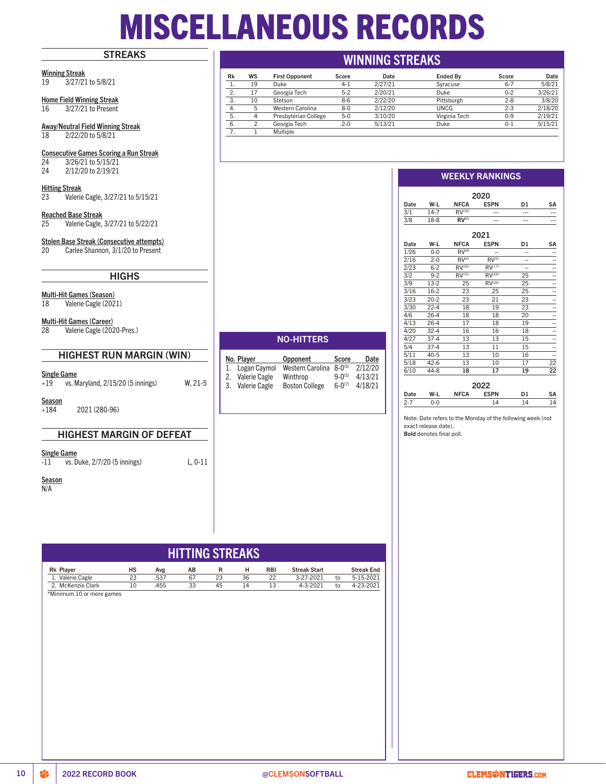# MISCELLANEOUS RECORDS

# **STREAKS**

Winning Streak 19 3/27/21 to 5/8/21

Home Field Winning Streak 16 3/27/21 to Present

Away/Neutral Field Winning Streak 18 2/22/20 to 5/8/21

# Consecutive Games Scoring a Run Streak

 $\overline{)24}$   $\overline{)3/26/21}$  to  $\overline{5/15/21}$ <br>24  $\overline{)2/12/20}$  to  $\overline{2/19/21}$ 2/12/20 to 2/19/21

Hitting Streak 23 Valerie Cagle, 3/27/21 to 5/15/21

Reached Base Streak 25 Valerie Cagle, 3/27/21 to 5/22/21

Stolen Base Streak (Consecutive attempts)

20 Carlee Shannon, 3/1/20 to Present

# **HIGHS**

**Multi-Hit Games (Season)**<br>18 Valerie Cagle (202 Valerie Cagle (2021)

Multi-Hit Games (Career)

28 Valerie Cagle (2020-Pres.)

# HIGHEST RUN MARGIN (WIN)

## Single Game

+19 vs. Maryland, 2/15/20 (5 innings) W, 21-5

**Season** +184 2021 (280-96)

# HIGHEST MARGIN OF DEFEAT

Single Game

-11 vs. Duke, 2/7/20 (5 innings) L, 0-11

**Season** 

N/A

|                                                | <b>NO-HITTERS</b>    |                       |               |         |  |  |  |  |  |
|------------------------------------------------|----------------------|-----------------------|---------------|---------|--|--|--|--|--|
| No. Player<br>Opponent<br><b>Score</b><br>Date |                      |                       |               |         |  |  |  |  |  |
| 1.                                             | Logan Caymol         | Western Carolina      | $8 - 0^{(5)}$ | 2/12/20 |  |  |  |  |  |
| 2.                                             | Valerie Cagle        | Winthrop              | $9 - 0^{(5)}$ | 4/13/21 |  |  |  |  |  |
| 3.                                             | <b>Valerie Cagle</b> | <b>Boston College</b> | $6 - 0^{(7)}$ | 4/18/21 |  |  |  |  |  |

# WINNING STREAKS

| Rk  | WS | <b>First Opponent</b> | Score   | Date    | <b>Ended By</b> | Score   | Date    |
|-----|----|-----------------------|---------|---------|-----------------|---------|---------|
|     | 19 | <b>Duke</b>           | $4 - 1$ | 2/27/21 | Syracuse        | $6 - 7$ | 5/8/21  |
| 2.  | 17 | Georgia Tech          | $5-2$   | 2/20/21 | <b>Duke</b>     | $0 - 2$ | 3/26/21 |
| 3.  | 10 | Stetson               | $8-6$   | 2/22/20 | Pittsburgh      | $2 - 8$ | 3/8/20  |
| 4.  | 5  | Western Carolina      | $8-0$   | 2/12/20 | UNCG            | $2 - 3$ | 2/18/20 |
| 5.  | 4  | Presbyterian College  | $5-0$   | 3/10/20 | Virginia Tech   | $0 - 9$ | 2/19/21 |
| -6. |    | Georgia Tech          | $2 - 0$ | 5/13/21 | Duke            | $0 - 1$ | 5/15/21 |
|     |    | Multiple              |         |         |                 |         |         |

# WEEKLY RANKINGS

|      |          |                    | 2020               |                |    |
|------|----------|--------------------|--------------------|----------------|----|
| Date | W-L      | <b>NFCA</b>        | <b>ESPN</b>        | D <sub>1</sub> | SΑ |
| 3/1  | $14 - 7$ | RV <sup>(10)</sup> |                    |                |    |
| 3/8  | $18-8$   | RV <sub>(6)</sub>  |                    |                |    |
|      |          |                    |                    |                |    |
|      |          |                    | 2021               |                |    |
| Date | W-L      | <b>NFCA</b>        | <b>ESPN</b>        | D <sub>1</sub> | SA |
| 1/26 | $0 - 0$  | $RV^{(9)}$         |                    | --             |    |
| 2/16 | $2 - 0$  | RV <sup>(6)</sup>  | RV <sup>(5)</sup>  |                |    |
| 2/23 | $6 - 2$  | RV <sup>(25)</sup> | RV <sup>(17)</sup> | --             |    |
| 3/2  | $9 - 2$  | RV <sup>(31)</sup> | RV <sup>(24)</sup> | 25             |    |
| 3/9  | $13-2$   | 25                 | RV <sup>(20)</sup> | 25             |    |
| 3/16 | $16-2$   | 23                 | 25                 | 25             |    |
| 3/23 | $20 - 2$ | 23                 | 21                 | 23             |    |
| 3/30 | $22 - 4$ | 18                 | 19                 | 23             |    |
| 4/6  | $26-4$   | 18                 | 18                 | 20             |    |
| 4/13 | $26 - 4$ | 17                 | 18                 | 19             |    |
| 4/20 | $32 - 4$ | 16                 | 16                 | 18             |    |
| 4/27 | $37-4$   | 13                 | 13                 | 15             |    |
| 5/4  | $37 - 4$ | 13                 | 11                 | 15             |    |
| 5/11 | $40 - 5$ | 13                 | 10                 | 16             | -- |
| 5/18 | $42 - 6$ | 13                 | 10                 | 17             | 22 |
| 6/10 | 44-8     | 18                 | 17                 | 19             | 22 |
|      |          |                    |                    |                |    |

|         |         |             | 2022        |    |    |
|---------|---------|-------------|-------------|----|----|
| Date    | W-L     | <b>NFCA</b> | <b>ESPN</b> | D1 | SA |
| $2 - 7$ | $0 - 0$ |             | 14          | 14 | 14 |
|         |         |             |             |    |    |

Note: Date refers to the Monday of the following week (not exact release date). Bold denotes final poll.

Rk Player HS Avg AB R H RBI Streak Start Streak End 1. Valerie Cagle 23 .537 67 23 36 22 3-27-2021 to 5-16. Note Clark 10 .455 33 45 14 13 4-3-2021 to 2. McKenzie Clark 10 .455 33 45 14 13 4-3-2021 to 4-23-2021 \*Minimum 10 or more games HITTING STREAKS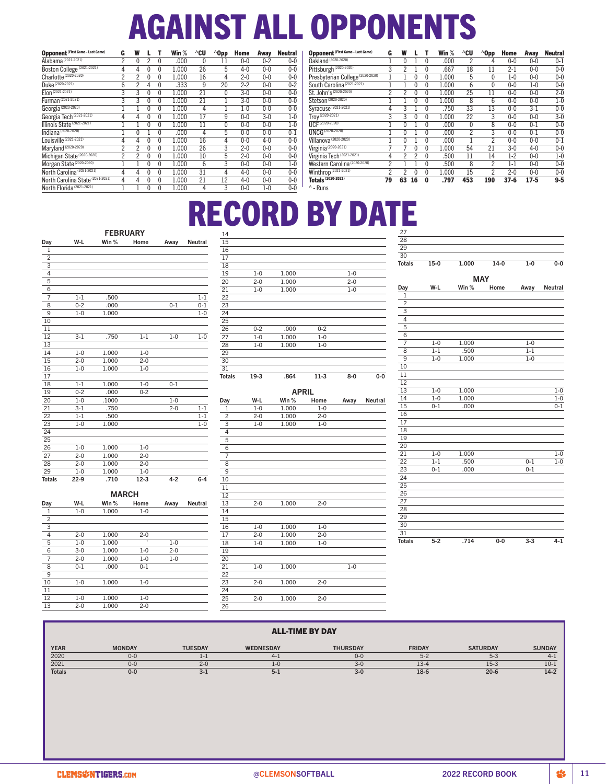# AGAINST ALL OPPONENTS

| <b>Opponent (First Game - Last Game)</b> | G              | W            |          |              | Win $%$ | $^{\wedge}$ CU | $^{\wedge}$ Opp | Home    | Away    | <b>Neutral</b> | <b>Opp</b>      |
|------------------------------------------|----------------|--------------|----------|--------------|---------|----------------|-----------------|---------|---------|----------------|-----------------|
| Alabama <sup>(2021-2021)</sup>           | $\overline{2}$ | $\mathbf{0}$ | 2        | 0            | .000    | 0              | 11              | $0-0$   | $0 - 2$ | $0 - 0$        | <b>Oakl</b>     |
| Boston College (2021-2021)               | 4              | 4            | 0        | $\mathbf{0}$ | 1.000   | 26             | 5               | $4 - 0$ | $0 - 0$ | $0 - 0$        | Pitts           |
| Charlotte <sup>(2020-2020)</sup>         | 2              | 2            | 0        | 0            | 1.000   | 16             | 4               | $2 - 0$ | $0 - 0$ | $0 - 0$        | Pres            |
| Duke (2020-2021)                         | 6              | 2            | 4        | 0            | .333    | 9              | 20              | $2 - 2$ | $0 - 0$ | $0 - 2$        | Sout            |
| Elon (2021-2021)                         | 3              | 3            | 0        | 0            | 1.000   | 21             | 0               | $3-0$   | $0 - 0$ | $0 - 0$        | St. J           |
| Furman <sup>(2021-2021)</sup>            | 3              | 3            | 0        | 0            | 1.000   | 21             |                 | $3 - 0$ | $0 - 0$ | $0 - 0$        | Stet:           |
| Georgia <sup>(2020-2020)</sup>           |                |              | 0        | 0            | 1.000   | 4              |                 | $1-0$   | $0 - 0$ | $0 - 0$        | Syra            |
| Georgia Tech (2021-2021)                 | 4              | 4            | 0        | $\mathbf{0}$ | 1.000   | 17             | 9               | $0 - 0$ | $3 - 0$ | $1-0$          | Troy            |
| Illinois State (2021-2021)               |                |              | 0        | 0            | 1.000   | 11             | 0               | $0 - 0$ | $0 - 0$ | $1-0$          | UCF             |
| Indiana <sup>(2020-2020)</sup>           |                | $\mathbf{0}$ |          | 0            | .000    | 4              | 5               | $0-0$   | $0 - 0$ | $0 - 1$        | <b>UNC</b>      |
| Louisville <sup>(2021-2021)</sup>        | 4              | 4            | 0        | 0            | 1.000   | 16             | 4               | $0-0$   | $4 - 0$ | $0 - 0$        | Villa           |
| Maryland (2020-2020)                     | 2              | 2            | 0        | 0            | 1.000   | 26             | 3               | $2 - 0$ | $0 - 0$ | $0 - 0$        | Virgi           |
| Michigan State (2020-2020)               | $\overline{2}$ | 2            | $\Omega$ | 0            | 1.000   | 10             | 5               | $2 - 0$ | $0 - 0$ | $0 - 0$        | Virgi           |
| Morgan State <sup>(2020-2020)</sup>      |                |              | $\Omega$ | 0            | 1.000   | 6              | 3               | $0 - 0$ | $0 - 0$ | $1-0$          | West            |
| North Carolina <sup>(2021-2021)</sup>    | 4              | 4            | 0        | 0            | 1.000   | 31             | 4               | $4 - 0$ | $0 - 0$ | $0 - 0$        | Wint            |
| North Carolina State (2021-2021)         | 4              | 4            | 0        | 0            | 1.000   | 21             | 12              | $4 - 0$ | $0 - 0$ | $0 - 0$        | Tota            |
| North Florida <sup>(2021-2021)</sup>     |                |              | 0        | 0            | 1.000   | 4              | 3               | $0-0$   | $1-0$   | $0 - 0$        | $^{\wedge}$ - R |

| <b>Opponent (First Game - Last Game)</b> | G              | W            |          |              | Win $%$ | ^CU | $^{\wedge}$ Opp | Home     | Away    | <b>Neutral</b> |
|------------------------------------------|----------------|--------------|----------|--------------|---------|-----|-----------------|----------|---------|----------------|
| Oakland (2020-2020)                      |                | $\mathbf{0}$ |          | $\mathbf{0}$ | .000    | 2   | 4               | $0 - 0$  | $0 - 0$ | $0 - 1$        |
| Pittsburgh <sup>(2020-2020)</sup>        | 3              | 2            |          | $\mathbf{0}$ | .667    | 18  | 11              | $2-1$    | $0 - 0$ | $0-0$          |
| Presbyterian College (2020-2020)         |                |              | 0        | $\mathbf{0}$ | 1.000   | 5   | 0               | $1-0$    | $0 - 0$ | $0 - 0$        |
| South Carolina <sup>(2021-2021)</sup>    |                |              | 0        | $\mathbf{0}$ | 1.000   | 6   | 0               | $0 - 0$  | $1 - 0$ | $0-0$          |
| St. John's (2020-2020)                   | 2              | 2            | 0        | $\mathbf{0}$ | 1.000   | 25  | 11              | $0-0$    | $0 - 0$ | $2 - 0$        |
| Stetson <sup>(2020-2020)</sup>           |                |              | $\Omega$ | $\mathbf{0}$ | 1.000   | 8   | 6               | $0-0$    | $0 - 0$ | $1 - 0$        |
| Syracuse <sup>(2021-2021)</sup>          | 4              | 3            |          | $\mathbf{0}$ | .750    | 33  | 13              | $0 - 0$  | $3-1$   | $0 - 0$        |
| $Troy^{(2020-2021)}$                     | 3              | 3            | 0        | 0            | 1.000   | 22  | 3               | $0-0$    | $0 - 0$ | $3 - 0$        |
| UCF(2020-2020)                           |                | 0            |          | $\mathbf{0}$ | .000    | 0   | 8               | $0-0$    | $0 - 1$ | $0 - 0$        |
| <b>UNCG (2020-2020)</b>                  |                | 0            |          | $\mathbf{0}$ | .000    | 2   | 3               | $0 - 0$  | $0 - 1$ | $0 - 0$        |
| Villanova <sup>(2020-2020)</sup>         |                | 0            |          | $\mathbf{0}$ | .000    |     | 2               | $0 - 0$  | $0 - 0$ | $0 - 1$        |
| Virginia <sup>(2020-2021)</sup>          |                |              | 0        | $\mathbf{0}$ | 1.000   | 54  | 21              | $3 - 0$  | $4 - 0$ | $0 - 0$        |
| Virginia Tech (2021-2021)                | 4              | 2            | 2        | $\mathbf{0}$ | .500    | 11  | 14              | $1 - 2$  | $0 - 0$ | $1 - 0$        |
| Western Carolina (2020-2020)             | 2              |              |          | $\mathbf{0}$ | .500    | 8   | 2               | $1 - 1$  | $0 - 0$ | $0 - 0$        |
| Winthrop (2021-2021)                     | $\overline{2}$ | 2            | $\Omega$ | $\mathbf{0}$ | 1.000   | 15  | $\overline{2}$  | $2 - 0$  | $0 - 0$ | $0-0$          |
| <b>Totals (2020-2021)</b>                | 79             | 63           | 16       | 0            | .797    | 453 | 190             | $37 - 6$ | $17-5$  | $9 - 5$        |

'uns

# RECORD BY DATE

 $\begin{tabular}{c c c c c c c c} 1.000 & & & 1-0 \\ 2-0 & & 1.000 & & & 2-0 \\ 1-0 & & 1.000 & & & 1-0 \\ \end{tabular}$  $1.000$  $1.000$ 

| <b>FEBRUARY</b> |         |              |         |         |                |  |  |  |  |
|-----------------|---------|--------------|---------|---------|----------------|--|--|--|--|
| Day             | W-L     | Win $%$      | Home    | Away    | <b>Neutral</b> |  |  |  |  |
| 1               |         |              |         |         |                |  |  |  |  |
| 2               |         |              |         |         |                |  |  |  |  |
| 3               |         |              |         |         |                |  |  |  |  |
| 4               |         |              |         |         |                |  |  |  |  |
| $\overline{5}$  |         |              |         |         |                |  |  |  |  |
| 6               |         |              |         |         |                |  |  |  |  |
| $\overline{7}$  | $1 - 1$ | .500         |         |         | $1 - 1$        |  |  |  |  |
| 8               | $0 - 2$ | .000         |         | $0 - 1$ | $0 - 1$        |  |  |  |  |
| 9               | $1 - 0$ | 1.000        |         |         | $1 - 0$        |  |  |  |  |
| 10              |         |              |         |         |                |  |  |  |  |
| 11              |         |              |         |         |                |  |  |  |  |
| 12              | $3 - 1$ | .750         | $1 - 1$ | $1 - 0$ | $1 - 0$        |  |  |  |  |
| 13              |         |              |         |         |                |  |  |  |  |
| 14              | $1 - 0$ | 1.000        | $1 - 0$ |         |                |  |  |  |  |
| 15              | $2 - 0$ | 1.000        | $2 - 0$ |         |                |  |  |  |  |
| 16              | $1 - 0$ | 1.000        | $1 - 0$ |         |                |  |  |  |  |
| 17              |         |              |         |         |                |  |  |  |  |
| 18              | $1 - 1$ | 1.000        | $1 - 0$ | $0 - 1$ |                |  |  |  |  |
| 19              | $0 - 2$ | .000         | $0 - 2$ |         |                |  |  |  |  |
| 20              | $1 - 0$ | .1000        |         | $1 - 0$ |                |  |  |  |  |
| 21              | $3-1$   | .750         |         | $2 - 0$ | $1 - 1$        |  |  |  |  |
| $\overline{22}$ | $1 - 1$ | .500         |         |         | $1 - 1$        |  |  |  |  |
| $\overline{23}$ | $1 - 0$ | 1.000        |         |         | $1 - 0$        |  |  |  |  |
| 24              |         |              |         |         |                |  |  |  |  |
| 25              |         |              |         |         |                |  |  |  |  |
| 26              | $1 - 0$ | 1.000        | $1 - 0$ |         |                |  |  |  |  |
| 27              | $2 - 0$ | 1.000        | $2 - 0$ |         |                |  |  |  |  |
| 28              | $2 - 0$ | 1.000        | $2 - 0$ |         |                |  |  |  |  |
| 29              | $1 - 0$ | 1.000        | $1 - 0$ |         |                |  |  |  |  |
| <b>Totals</b>   | $22-9$  | .710         | $12-3$  | $4 - 2$ | $6 - 4$        |  |  |  |  |
|                 |         | <b>MARCH</b> |         |         |                |  |  |  |  |
| Day             | W-L     | Win %        | Home    | Away    | <b>Neutral</b> |  |  |  |  |
| 1               | $1 - 0$ | 1.000        | $1 - 0$ |         |                |  |  |  |  |
| $\overline{2}$  |         |              |         |         |                |  |  |  |  |

| 22              |         |              |         |         |         |
|-----------------|---------|--------------|---------|---------|---------|
| 23              |         |              |         |         |         |
| 24              |         |              |         |         |         |
| $\overline{25}$ |         |              |         |         |         |
| 26              | $0 - 2$ | .000         | $0 - 2$ |         |         |
| 27              | $1 - 0$ | 1.000        | $1 - 0$ |         |         |
| 28              | $1 - 0$ | 1.000        | $1 - 0$ |         |         |
| 29              |         |              |         |         |         |
| 30              |         |              |         |         |         |
| 31              |         |              |         |         |         |
| <b>Totals</b>   | $19-3$  | .864         | $11-3$  | $8-0$   | $0-0$   |
|                 |         | <b>APRIL</b> |         |         |         |
| Day             | W-L     | Win %        | Home    | Away    | Neutral |
| 1               | $1 - 0$ | 1.000        | $1 - 0$ |         |         |
| $\overline{2}$  | $2 - 0$ | 1.000        | $2 - 0$ |         |         |
| 3               | $1 - 0$ | 1.000        | $1 - 0$ |         |         |
| $\overline{4}$  |         |              |         |         |         |
| $\overline{5}$  |         |              |         |         |         |
| $\overline{6}$  |         |              |         |         |         |
| 7               |         |              |         |         |         |
| $\overline{8}$  |         |              |         |         |         |
| 9               |         |              |         |         |         |
| 10              |         |              |         |         |         |
| 11              |         |              |         |         |         |
| 12              |         |              |         |         |         |
| 13              | $2 - 0$ | 1.000        | $2 - 0$ |         |         |
| $\overline{14}$ |         |              |         |         |         |
| 15              |         |              |         |         |         |
| 16              | $1 - 0$ | 1.000        | $1 - 0$ |         |         |
| 17              | $2 - 0$ | 1.000        | $2 - 0$ |         |         |
| 18              | $1-0$   | 1.000        | $1 - 0$ |         |         |
| 19              |         |              |         |         |         |
| 20              |         |              |         |         |         |
| 21              | $1 - 0$ | 1.000        |         | $1 - 0$ |         |
| 22              |         |              |         |         |         |
| $\overline{23}$ | $2 - 0$ | 1.000        | $2 - 0$ |         |         |
| 24              |         |              |         |         |         |
| 25              | $2 - 0$ | 1.000        | $2 - 0$ |         |         |
| 26              |         |              |         |         |         |
|                 |         |              |         |         |         |

| 27             |         |            |        |         |         |
|----------------|---------|------------|--------|---------|---------|
| 28             |         |            |        |         |         |
| 29             |         |            |        |         |         |
| 30             |         |            |        |         |         |
| <b>Totals</b>  | $15-0$  | 1.000      | $14-0$ | $1-0$   | $0-0$   |
|                |         | <b>MAY</b> |        |         |         |
| Day            | W-L     | Win $%$    | Home   | Away    | Neutral |
| $\mathbf{1}$   |         |            |        |         |         |
| $\overline{c}$ |         |            |        |         |         |
| 3              |         |            |        |         |         |
| $\overline{4}$ |         |            |        |         |         |
| $\overline{5}$ |         |            |        |         |         |
| 6              |         |            |        |         |         |
| $\overline{7}$ | $1 - 0$ | 1.000      |        | $1 - 0$ |         |
| 8              | $1 - 1$ | .500       |        | $1 - 1$ |         |
| 9              | $1 - 0$ | 1.000      |        | $1 - 0$ |         |
| 10             |         |            |        |         |         |
| 11             |         |            |        |         |         |
| 12             |         |            |        |         |         |
| 13             | $1 - 0$ | 1.000      |        |         | $1 - 0$ |
| 14             | $1 - 0$ | 1.000      |        |         | $1 - 0$ |
| 15             | $0 - 1$ | .000       |        |         | $0 - 1$ |
| 16             |         |            |        |         |         |
| 17             |         |            |        |         |         |
| 18             |         |            |        |         |         |
| 19             |         |            |        |         |         |
| 20             |         |            |        |         |         |
| 21             | $1 - 0$ | 1.000      |        |         | $1 - 0$ |
| 22             | $1 - 1$ | .500       |        | $0 - 1$ | $1 - 0$ |
| 23             | $0 - 1$ | .000       |        | $0 - 1$ |         |
| 24             |         |            |        |         |         |
| 25             |         |            |        |         |         |
| 26             |         |            |        |         |         |
| 27             |         |            |        |         |         |
| 28             |         |            |        |         |         |
| 29             |         |            |        |         |         |
| 30             |         |            |        |         |         |
| 31             |         |            |        |         |         |
| <b>Totals</b>  | $5 - 2$ | .714       | $0-0$  | $3 - 3$ | $4 - 1$ |

# 2-0 1.000 2-0  $\begin{tabular}{c|cccc} 1-0 & 1.000 & \cdot & 1-0 \\ \hline 3-0 & 1.000 & 1-0 & 2-0 \\ 2-0 & 1.000 & 1-0 & 1-0 \\ \end{tabular}$  $\frac{1.000}{1.000}$  1-0  $\begin{array}{ccccc} 2\text{-}0 & & 1.000 & & 1\text{-}0 \\ \text{0-}1 & & .000 & & 0\text{-}1 \end{array}$  $.000$   $1-0$   $1.000$   $1-0$   $\begin{array}{cccc} 1\text{-}0 & \text{1.000} & \text{1--0} \\ \text{2--0} & \text{1.000} & \text{2--0} \end{array}$  $1.000$

| <b>ALL-TIME BY DAY</b> |               |                |                  |                 |               |                 |               |
|------------------------|---------------|----------------|------------------|-----------------|---------------|-----------------|---------------|
| <b>YEAR</b>            | <b>MONDAY</b> | <b>TUESDAY</b> | <b>WEDNESDAY</b> | <b>THURSDAY</b> | <b>FRIDAY</b> | <b>SATURDAY</b> | <b>SUNDAY</b> |
| 2020                   | $0 - 0$       | 1-1            | $4 - 1$          | $0 - 0$         | $5 - 2$       | $5 - 3$         | 4-            |
| 2021                   | $0 - 0$       | $2 - 0$        | $1 - 0$          | $3 - 0$         | $13 - 4$      | $15 - 3$        | $10 - 3$      |
| <b>Totals</b>          | $0 - 0$       | -3-1           | $5 - 1$          | $3 - 0$         | $18-6$        | $20 - 6$        | $14-2$        |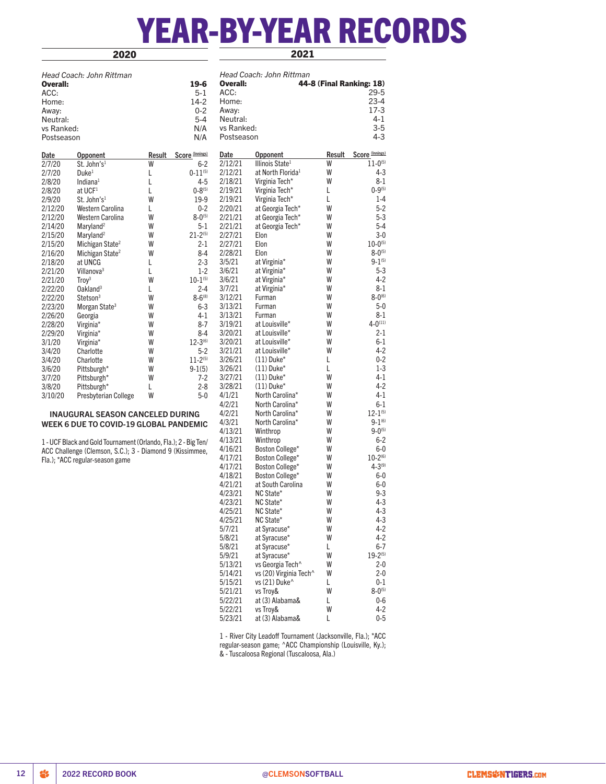# YEAR-BY-YEAR RECORDS

# 2020

2021

|            | Head Coach: John Rittman                                        |        |                 |            | Head Coach: John Rittman      |                          |                 |
|------------|-----------------------------------------------------------------|--------|-----------------|------------|-------------------------------|--------------------------|-----------------|
| Overall:   |                                                                 |        | $19-6$          | Overall:   |                               | 44-8 (Final Ranking: 18) |                 |
| ACC:       |                                                                 |        | $5-1$           | ACC:       |                               |                          | $29 - 5$        |
| Home:      |                                                                 |        | $14-2$          | Home:      |                               |                          | $23 - 4$        |
| Away:      |                                                                 |        | $0 - 2$         | Away:      |                               |                          | $17-3$          |
| Neutral:   |                                                                 |        | $5-4$           | Neutral:   |                               |                          | $4 - 1$         |
| vs Ranked: |                                                                 |        | N/A             | vs Ranked: |                               |                          | $3-5$           |
| Postseason |                                                                 |        | N/A             | Postseason |                               |                          | 4-3             |
| Date       | Opponent                                                        | Result | Score (Innings) | Date       | <b>Opponent</b>               | Result                   | Score (Innings) |
| 2/7/20     | St. John's1                                                     | W      | $6-2$           | 2/12/21    | Illinois State <sup>1</sup>   | W                        | $11 - 0^{(5)}$  |
| 2/7/20     | Duke <sup>1</sup>                                               | L      | $0 - 11^{(5)}$  | 2/12/21    | at North Florida <sup>1</sup> | W                        | 4-3             |
| 2/8/20     | Indiana $1$                                                     | L      | $4 - 5$         | 2/18/21    | Virginia Tech*                | W                        | 8-1             |
| 2/8/20     | at UCF <sup>1</sup>                                             | L      | $0 - 8^{(5)}$   | 2/19/21    | Virginia Tech*                | Г                        | $0 - 9^{(5)}$   |
| 2/9/20     | St. John's <sup>1</sup>                                         | W      | 19-9            | 2/19/21    | Virginia Tech*                | L                        | $1-4$           |
| 2/12/20    | Western Carolina                                                | L      | $0 - 2$         | 2/20/21    | at Georgia Tech*              | W                        | $5-2$           |
| 2/12/20    | Western Carolina                                                | W      | $8 - 0^{(5)}$   | 2/21/21    | at Georgia Tech*              | W                        | $5-3$           |
| 2/14/20    | Maryland <sup>2</sup>                                           | W      | 5-1             | 2/21/21    | at Georgia Tech*              | W                        | 5-4             |
| 2/15/20    | Maryland <sup>2</sup>                                           | W      | $21 - 2^{(5)}$  | 2/27/21    | Elon                          | W                        | $3-0$           |
| 2/15/20    | Michigan State <sup>2</sup>                                     | W      | 2-1             | 2/27/21    | Elon                          | W                        | $10 - 0^{(5)}$  |
| 2/16/20    | Michigan State <sup>2</sup>                                     | W      | $8-4$           | 2/28/21    | Elon                          | W                        | $8 - 0^{(5)}$   |
| 2/18/20    | at UNCG                                                         | L      | $2 - 3$         | 3/5/21     | at Virginia*                  | W                        | $9 - 1^{(5)}$   |
| 2/21/20    | Villanova <sup>3</sup>                                          | L      | $1-2$           | 3/6/21     | at Virginia*                  | W                        | 5-3             |
| 2/21/20    | Troy <sup>3</sup>                                               | W      | $10 - 1^{(5)}$  | 3/6/21     | at Virginia*                  | W                        | 4-2             |
| 2/22/20    | Oakland <sup>3</sup>                                            | L      | $2 - 4$         | 3/7/21     | at Virginia*                  | W                        | $8 - 1$         |
| 2/22/20    | Stetson <sup>3</sup>                                            | W      | $8 - 6^{(8)}$   | 3/12/21    | Furman                        | W                        | $8 - 0^{(6)}$   |
| 2/23/20    | Morgan State <sup>3</sup>                                       | W      | $6 - 3$         | 3/13/21    | Furman                        | W                        | $5-0$           |
| 2/26/20    | Georgia                                                         | W      | 4-1             | 3/13/21    | Furman                        | W                        | $8-1$           |
| 2/28/20    | Virginia*                                                       | W      | $8-7$           | 3/19/21    | at Louisville*                | W                        | $4 - 0^{(11)}$  |
| 2/29/20    | Virginia*                                                       | W      | 8-4             | 3/20/21    | at Louisville*                | W                        | $2-1$           |
| 3/1/20     | Virginia*                                                       | W      | $12-3^{(6)}$    | 3/20/21    | at Louisville*                | W                        | $6-1$           |
| 3/4/20     | Charlotte                                                       | W      | $5-2$           | 3/21/21    | at Louisville*                | W                        | $4-2$           |
| 3/4/20     | Charlotte                                                       | W      | $11 - 2^{(5)}$  | 3/26/21    | $(11)$ Duke <sup>*</sup>      | Г                        | $0 - 2$         |
| 3/6/20     | Pittsburgh*                                                     | W      | $9-1(5)$        | 3/26/21    | $(11)$ Duke <sup>*</sup>      | L                        | $1-3$           |
| 3/7/20     | Pittsburgh*                                                     | W      | $7-2$           | 3/27/21    | $(11)$ Duke <sup>*</sup>      | W                        | 4-1             |
| 3/8/20     | Pittsburgh*                                                     | L      | $2 - 8$         | 3/28/21    | $(11)$ Duke <sup>*</sup>      | W                        | $4-2$           |
| 3/10/20    | Presbyterian College                                            | W      | $5-0$           | 4/1/21     | North Carolina*               | W                        | 4-1             |
|            |                                                                 |        |                 | 4/2/21     | North Carolina*               | W                        | $6-1$           |
|            | <b>INAUGURAL SEASON CANCELED DURING</b>                         |        |                 | 4/2/21     | North Carolina*               | W                        | $12 - 1^{(5)}$  |
|            | <b>WEEK 6 DUE TO COVID-19 GLOBAL PANDEMIC</b>                   |        |                 | 4/3/21     | North Carolina*               | W                        | $9 - 1^{(6)}$   |
|            |                                                                 |        |                 | 4/13/21    | Winthrop                      | W                        | $9 - 0^{(5)}$   |
|            | 1 - UCF Black and Gold Tournament (Orlando, Fla.); 2 - Big Ten/ |        |                 | 4/13/21    | Winthrop                      | W                        | $6-2$           |
|            | ACC Challenge (Clemson, S.C.); 3 - Diamond 9 (Kissimmee,        |        |                 | 4/16/21    | Boston College*               | W                        | 6-0             |
|            | Fla.); *ACC regular-season game                                 |        |                 | 4/17/21    | Boston College*               | W                        | $10-2^{(6)}$    |
|            |                                                                 |        |                 | 4/17/21    | Boston College*               | W                        | $4 - 3^{(9)}$   |
|            |                                                                 |        |                 | 4/18/21    | Boston College*               | W                        | 6-0             |
|            |                                                                 |        |                 | 4/21/21    | at South Carolina             | W                        | $6-0$           |
|            |                                                                 |        |                 | 4/23/21    | NC State*                     | W                        | $9 - 3$         |
|            |                                                                 |        |                 | 4/23/21    | NC State*                     | W                        | 4-3             |
|            |                                                                 |        |                 | 4/25/21    | NC State*                     | W                        | $4 - 3$         |
|            |                                                                 |        |                 | 4/25/21    | NC State*                     | W                        | 4-3             |
|            |                                                                 |        |                 | 5/7/21     | at Syracuse*                  | W                        | $4 - 2$         |
|            |                                                                 |        |                 | 5/8/21     | at Syracuse*                  | W                        | $4-2$           |
|            |                                                                 |        |                 | 5/8/21     | at Syracuse*                  | Г                        | $6-7$           |
|            |                                                                 |        |                 | 5/9/21     | at Syracuse*                  | W                        | $19 - 2^{(5)}$  |

5/22/21 vs Troy& W 4-2  $at (3)$  Alabama& 1 - River City Leadoff Tournament (Jacksonville, Fla.); \*ACC regular-season game; ^ACC Championship (Louisville, Ky.); & - Tuscaloosa Regional (Tuscaloosa, Ala.)

5/13/21 vs Georgia Tech^ W 2-0<br>5/14/21 vs (20) Virginia Tech^ W 2-0 5/14/21 vs (20) Virginia Tech^ W 2-0  $\frac{5}{15/15/21}$  vs (21) Duke L<br> $\frac{0.1}{5/21/21}$  vs Trov& W 8-0<sup>(5)</sup> 5/21/21 vs Troy& W 8-0<sup>(5)</sup><br>5/22/21 at (3) Alabama& L 0-6 5/22/21 at (3) Alabama& L 0-6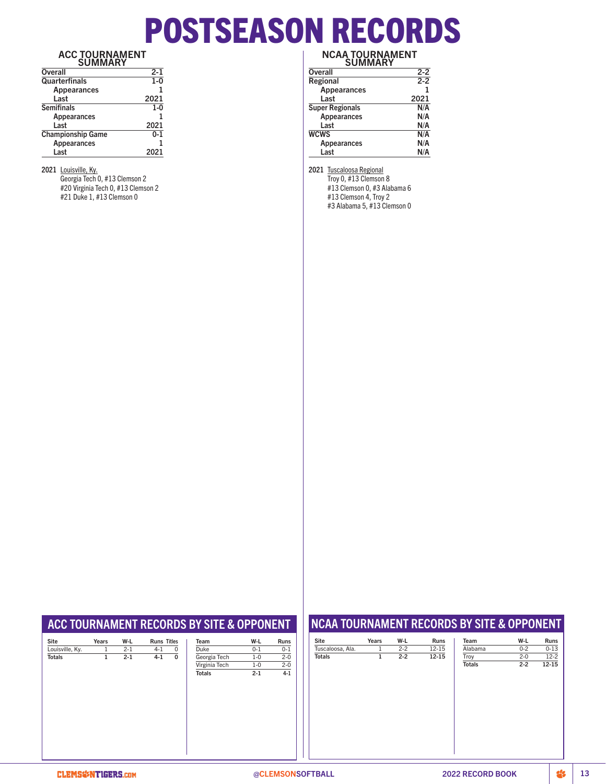# POSTSEASON RECORDS

### ACC TOURNAMENT SUMMARY

| $2 - 1$ |  |  |  |  |
|---------|--|--|--|--|
| $1 - 0$ |  |  |  |  |
| 1       |  |  |  |  |
| 2021    |  |  |  |  |
| $1 - 0$ |  |  |  |  |
|         |  |  |  |  |
| 2021    |  |  |  |  |
| $0 - 1$ |  |  |  |  |
|         |  |  |  |  |
| 2021    |  |  |  |  |
|         |  |  |  |  |

2021 Louisville, Ky.

Georgia Tech 0, #13 Clemson 2 #20 Virginia Tech 0, #13 Clemson 2 #21 Duke 1, #13 Clemson 0

### NCAA TOURNAMENT SUMMARY

| JUIVIIVAN I            |         |
|------------------------|---------|
| <b>Overall</b>         | $2 - 2$ |
| Regional               | $2 - 2$ |
| <b>Appearances</b>     | 1       |
| Last                   | 2021    |
| <b>Super Regionals</b> | N/A     |
| Appearances            | N/A     |
| Last                   | N/A     |
| <b>WCWS</b>            | N/A     |
| Appearances            | N/A     |
| Last                   | N/A     |

2021 Tuscaloosa Regional

Troy 0, #13 Clemson 8 #13 Clemson 0, #3 Alabama 6 #13 Clemson 4, Troy 2 #3 Alabama 5, #13 Clemson 0

# ACC TOURNAMENT RECORDS BY SITE & OPPONENT

| <b>Site</b>     | Years | W-L     | <b>Runs Titles</b> | Team          |
|-----------------|-------|---------|--------------------|---------------|
| Louisville, Ky. | 1     | $2 - 1$ | $4 - 1$<br>0       | Duke          |
| <b>Totals</b>   | 1     | $2 - 1$ | $4 - 1$<br>0       | Georgia Tech  |
|                 |       |         |                    | Virginia Tech |
|                 |       |         |                    | <b>Totals</b> |
|                 |       |         |                    |               |
|                 |       |         |                    |               |
|                 |       |         |                    |               |
|                 |       |         |                    |               |
|                 |       |         |                    |               |
|                 |       |         |                    |               |
|                 |       |         |                    |               |
|                 |       |         |                    |               |
|                 |       |         |                    |               |
|                 |       |         |                    |               |

| Team          | W-L     | <b>Runs</b> |
|---------------|---------|-------------|
| Duke          | $0 - 1$ | $0 - 1$     |
| Georgia Tech  | $1 - 0$ | $2 - 0$     |
| Virginia Tech | $1 - 0$ | $2 - 0$     |
| <b>Totals</b> | $2 - 1$ | $4 - 1$     |
|               |         |             |
|               |         |             |
|               |         |             |
|               |         |             |
|               |         |             |
|               |         |             |
|               |         |             |
|               |         |             |
|               |         |             |
|               |         |             |
|               |         |             |

# NCAA TOURNAMENT RECORDS BY SITE & OPPONENT

| Site             | Years | W-L     | Runs      | Team          | W-L     | Runs      |
|------------------|-------|---------|-----------|---------------|---------|-----------|
| Tuscaloosa, Ala. | 1     | $2 - 2$ | $12 - 15$ | Alabama       | $0 - 2$ | $0 - 13$  |
| <b>Totals</b>    | 1     | $2 - 2$ | $12 - 15$ | Troy          | $2 - 0$ | $12 - 2$  |
|                  |       |         |           | <b>Totals</b> | $2 - 2$ | $12 - 15$ |
|                  |       |         |           |               |         |           |
|                  |       |         |           |               |         |           |
|                  |       |         |           |               |         |           |
|                  |       |         |           |               |         |           |
|                  |       |         |           |               |         |           |
|                  |       |         |           |               |         |           |
|                  |       |         |           |               |         |           |
|                  |       |         |           |               |         |           |
|                  |       |         |           |               |         |           |
|                  |       |         |           |               |         |           |
|                  |       |         |           |               |         |           |
|                  |       |         |           |               |         |           |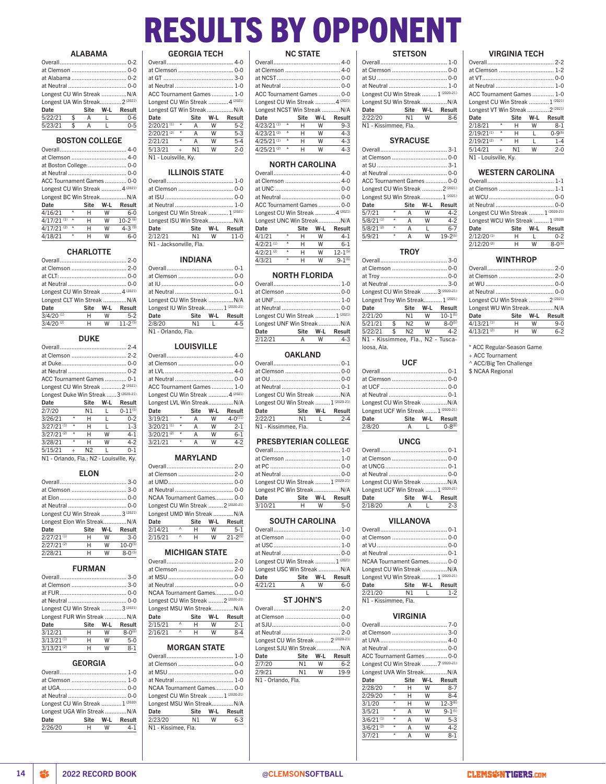# RESULTS BY OPPONENT

## ALABAMA

| Longest CU Win Streak  N/A    |  |    |                 |
|-------------------------------|--|----|-----------------|
| Longest UA Win Streak 2(2021) |  |    |                 |
| Date                          |  |    | Site W-L Result |
| $5/22/21$ \$ A                |  | L. | $0 - 6$         |
| $5/23/21$ \$ A                |  | L  | $0 - 5$         |
|                               |  |    |                 |

### BOSTON COLLEGE

| ACC Tournament Games  0-0           |   |   |                       |
|-------------------------------------|---|---|-----------------------|
| Longest CU Win Streak  4 (2021)     |   |   |                       |
| Longest BC Win Streak N/A           |   |   |                       |
| Date                                |   |   | Site W-L Result       |
| $\star$<br>4/16/21                  | н | w | $6 - 0$               |
| $\star$<br>$4/17/21$ <sup>(1)</sup> | н | W | $10-2$ <sup>(6)</sup> |
| $\star$<br>$4/17/21$ <sup>(2)</sup> | н | W | $4 - 3^{(9)}$         |
| $\star$<br>4/18/21                  | н | W | 6-0                   |

# **CHARLOTTE**

| Longest CU Win Streak  4 (2021) |    |       |                    |
|---------------------------------|----|-------|--------------------|
| Longest CLT Win Streak N/A      |    |       |                    |
| Date                            |    |       | Site W-L Result    |
| $3/4/20$ <sup>(1)</sup>         |    | $H$ W | $5 - 2$            |
| $3/4/20^{(2)}$                  | н. |       | $W = 11 - 2^{(5)}$ |

### DUKE

| ACC Tournament Games  0-1                      |         |                |     |                |
|------------------------------------------------|---------|----------------|-----|----------------|
| Longest CU Win Streak  2 <sup>(2021)</sup>     |         |                |     |                |
| Longest Duke Win Streak 3 <sup>(2020-21)</sup> |         |                |     |                |
| Date                                           |         | Site           | W-L | Result         |
| 2/7/20                                         |         | N1             | L   | $0 - 11^{(5)}$ |
| 3/26/21                                        | $\star$ | н              | L   | $0 - 2$        |
| $3/27/21^{(1)}$                                | $\star$ | н              | L   | $1 - 3$        |
| $3/27/21^{(2)}$                                | $\star$ | н              | W   | $4 - 1$        |
| 3/28/21                                        | $\star$ | н              | W   | $4 - 2$        |
| 5/15/21                                        | $+$     | N <sub>2</sub> | L   | $0 - 1$        |
| N1 - Orlando, Fla.; N2 - Louisville, Ky.       |         |                |     |                |
|                                                |         |                |     |                |

# ELON

| at Clemson  3-0                            |   |          |               |
|--------------------------------------------|---|----------|---------------|
|                                            |   |          |               |
|                                            |   |          |               |
| Longest CU Win Streak  3 <sup>(2021)</sup> |   |          |               |
| Longest Elon Win StreakN/A                 |   |          |               |
| Date                                       |   | Site W-L | Result        |
| $2/27/21^{(1)}$                            | н | W        | $3-0$         |
| $2/27/21^{(2)}$                            | н | W        | $10-0^{(5)}$  |
| 2/28/21                                    | н | W        | $8 - 0^{(5)}$ |
|                                            |   |          |               |

## FURMAN

| at Clemson  3-0                            |   |       |                 |
|--------------------------------------------|---|-------|-----------------|
|                                            |   |       |                 |
|                                            |   |       |                 |
| Longest CU Win Streak  3 <sup>(2021)</sup> |   |       |                 |
| Longest FUR Win Streak N/A                 |   |       |                 |
| Date                                       |   |       |                 |
|                                            |   |       | Site W-L Result |
| 3/12/21                                    |   | $H$ W | $8 - 0^{(6)}$   |
| $3/13/21^{(1)}$                            | н | W     | $5 - 0$         |
| $3/13/21^{(2)}$                            | н | W     | $8 - 1$         |

## GEORGIA

| at Clemson  1-0                            |     |                 |
|--------------------------------------------|-----|-----------------|
|                                            |     |                 |
|                                            |     |                 |
| Longest CU Win Streak  1 <sup>(2020)</sup> |     |                 |
| Longest UGA Win StreakN/A                  |     |                 |
| Date                                       |     | Site W-L Result |
| 2/26/20                                    | H W | $4-1$           |
|                                            |     |                 |

## GEORGIA TECH

| at Neutral  1-0                            |          |                |   |            |
|--------------------------------------------|----------|----------------|---|------------|
| ACC Tournament Games  1-0                  |          |                |   |            |
| Longest CU Win Streak  4 <sup>(2021)</sup> |          |                |   |            |
| Longest GT Win StreakN/A                   |          |                |   |            |
|                                            |          |                |   |            |
| Date                                       |          | Site           |   | W-L Result |
| $2/20/21^{(1)}$                            | $^\star$ | A              | W | $5 - 2$    |
| $2/20/21^{(2)}$                            | $\star$  | A              | W | $5-3$      |
| 2/21/21                                    | $\star$  | А              | W | $5 - 4$    |
| $5/13/21 +$                                |          | N <sub>1</sub> | W | $2 - 0$    |
| N1 - Louisville, Ky.                       |          |                |   |            |

### ILLINOIS STATE

| Longest CU Win Streak  1 (2021) |  |  |
|---------------------------------|--|--|
| Longest ISU Win StreakN/A       |  |  |
| Site W-L Result<br>Date         |  |  |
|                                 |  |  |
| 2/12/21    N1    W    11-0      |  |  |

### INDIANA

| Longest CU Win Streak N/A<br>Longest IU Win Streak 1 (2020-21)<br>Site W-L Result<br>Date<br>2/8/20<br>N1 L 4-5<br>N1 - Orlando. Fla. |  |  |
|---------------------------------------------------------------------------------------------------------------------------------------|--|--|
|                                                                                                                                       |  |  |
|                                                                                                                                       |  |  |
|                                                                                                                                       |  |  |
|                                                                                                                                       |  |  |
|                                                                                                                                       |  |  |
|                                                                                                                                       |  |  |
|                                                                                                                                       |  |  |
|                                                                                                                                       |  |  |

# LOUISVILLE

| ACC Tournament Games 1-0                   |         |      |     |                |
|--------------------------------------------|---------|------|-----|----------------|
| Longest CU Win Streak  4 <sup>(2021)</sup> |         |      |     |                |
| Longest LVL Win StreakN/A                  |         |      |     |                |
|                                            |         |      |     |                |
| Date                                       |         | Site | W-L | Result         |
| 3/19/21                                    | $\star$ | A    | W   | $4 - 0^{(11)}$ |
| 3/20/21(1)                                 | $\star$ | A    | W   | $2 - 1$        |
| 3/20/21(2)                                 | $\star$ | A    | W   | $6-1$          |
| 3/21/21                                    | $\star$ | A    | W   | 4-2            |

## MARYLAND

| NCAA Tournament Games 0-0         |   |   |   |                 |
|-----------------------------------|---|---|---|-----------------|
| Longest CU Win Streak 2 (2020-21) |   |   |   |                 |
| Longest UMD Win Streak N/A        |   |   |   |                 |
| Date                              |   |   |   | Site W-L Result |
| 2/14/21                           | Λ | н | W | $5-1$           |
| 2/15/21                           | Λ | н | w | $21 - 2^{(5)}$  |
|                                   |   |   |   |                 |

| NCAA Tournament Games 0-0         |           |   |   |                 |
|-----------------------------------|-----------|---|---|-----------------|
| Longest CU Win Streak 2 (2020-21) |           |   |   |                 |
| Longest MSU Win StreakN/A         |           |   |   |                 |
| Date                              |           |   |   | Site W-L Result |
| 2/15/21                           | $\wedge$  | н | W | $2 - 1$         |
| 2/16/21                           | $\Lambda$ | н | W | $8-4$           |
|                                   |           |   |   |                 |

# MORGAN STATE

| at Clemson  0-0                    |  |  |
|------------------------------------|--|--|
|                                    |  |  |
|                                    |  |  |
| NCAA Tournament Games 0-0          |  |  |
| Longest CU Win Streak  1 (2020-21) |  |  |
| Longest MSU Win StreakN/A          |  |  |
| Site W-L Result<br>Date            |  |  |
| 2/23/20 N1 W 6-3                   |  |  |
| N1 - Kissimee, Fla.                |  |  |
|                                    |  |  |

# NC STATE

|                          |         |      |   | at Clemson  4-0                            |
|--------------------------|---------|------|---|--------------------------------------------|
|                          |         |      |   |                                            |
|                          |         |      |   |                                            |
|                          |         |      |   | ACC Tournament Games  0-0                  |
|                          |         |      |   | Longest CU Win Streak  4 <sup>(2021)</sup> |
|                          |         |      |   | Longest NCST Win Streak N/A                |
| Date                     |         | Site |   | W-L Result                                 |
| 4/23/21(1)               | $\star$ | н    | W | $9-3$                                      |
| $4/23/21^{(2)}$          | $\star$ | н    | W | $4-3$                                      |
|                          |         |      |   |                                            |
| $4/25/21$ <sup>(1)</sup> | $\star$ | н    | W | $4-3$                                      |
| 4/25/21(2)               | $\star$ | н    | W | $4-3$                                      |

### NORTH CAROLINA

| ACC Tournament Games  0-0                  |         |   |   |                 |
|--------------------------------------------|---------|---|---|-----------------|
| Longest CU Win Streak  4 <sup>(2021)</sup> |         |   |   |                 |
| Longest UNC Win StreakN/A                  |         |   |   |                 |
| Date                                       |         |   |   | Site W-L Result |
| 4/1/21                                     | $\star$ | н | W | $4 - 1$         |
| $4/2/21$ <sup>(1)</sup>                    | $\star$ | н | W | $6-1$           |
| $4/2/21^{(2)}$                             | $\star$ | н | W | $12 - 1^{(5)}$  |
| 4/3/21                                     | $\star$ | н | W | $9 - 1^{(6)}$   |
|                                            |         |   |   |                 |

### NORTH FLORIDA

| Longest CU Win Streak  1 (2021) |   |   |                 |
|---------------------------------|---|---|-----------------|
| Longest UNF Win StreakN/A       |   |   |                 |
| Date                            |   |   | Site W-L Result |
| 2/12/21                         | A | W | $4 - 3$         |
|                                 |   |   |                 |

# OAKLAND

| N1 - Kissimmee, Fla.               |  |  |
|------------------------------------|--|--|
| 2/22/21 N1 L 2-4                   |  |  |
| Site W-L Result<br>Date            |  |  |
| Longest OU Win Streak  1 (2020-21) |  |  |
| Longest CU Win Streak N/A          |  |  |
|                                    |  |  |
|                                    |  |  |
|                                    |  |  |
|                                    |  |  |

## PRESBYTERIAN COLLEGE

| Longest CU Win Streak  1 (2020-21) |     |                 |
|------------------------------------|-----|-----------------|
| Longest PC Win StreakN/A           |     |                 |
| Date                               |     | Site W-L Result |
| 3/10/21                            | H W | $5-0$           |
|                                    |     |                 |

# SOUTH CAROLINA

| Longest CU Win Streak  1 (2021) |     |                 |
|---------------------------------|-----|-----------------|
| Longest USC Win Streak N/A      |     |                 |
| Date                            |     | Site W-L Result |
| 4/21/21                         | A W | $6 - 0$         |
|                                 |     |                 |

# HN'S

| Longest CU Win Streak 2(2020-21) |      |                 |
|----------------------------------|------|-----------------|
| Longest SJU Win StreakN/A        |      |                 |
| Date                             |      | Site W-L Result |
| 2/7/20                           | N1 W | $6 - 2$         |
| 2/9/21                           | N1 W | 19-9            |
| N1 - Orlando, Fla.               |      |                 |

# **STETSON**

| at Clemson  0-0                    |                 |       |
|------------------------------------|-----------------|-------|
|                                    |                 |       |
| at Neutral  1-0                    |                 |       |
| Longest CU Win Streak  1 (2020-21) |                 |       |
| Longest SU Win StreakN/A           |                 |       |
| Date Site W-L Result               |                 |       |
| 2/22/20 N1 W                       |                 | $8-6$ |
| N1 - Kissimmee, Fla.               |                 |       |
|                                    |                 |       |
|                                    | <b>SYRACUSE</b> |       |
|                                    |                 |       |
| at Clemson  0-0                    |                 |       |
|                                    |                 |       |
|                                    |                 |       |
|                                    |                 |       |

| ACC Tournament Games  0-0       |         |      |     |                |
|---------------------------------|---------|------|-----|----------------|
| Longest CU Win Streak  2 (2021) |         |      |     |                |
| Longest SU Win Streak 1 (2021)  |         |      |     |                |
| Date                            |         | Site | W-L | Result         |
| 5/7/21                          | $\star$ | А    | W   | $4 - 2$        |
| $5/8/21$ <sup>(1)</sup>         | $\star$ | A    | W   | $4 - 2$        |
| $5/8/21^{(2)}$                  | $\star$ | A    | L.  | $6 - 7$        |
| 5/9/21                          | $\star$ | A    | W   | $19 - 2^{(5)}$ |

## **TROY**

| Longest CU Win Streak 3(2020-21)  |              |                |     |               |
|-----------------------------------|--------------|----------------|-----|---------------|
| Longest Troy Win Streak 1 (2021)  |              |                |     |               |
|                                   |              |                |     |               |
| Date                              |              | Site           | W-L | Result        |
| 2/21/20                           |              | N1 1           | W   | $10-1^{(5)}$  |
| 5/21/21                           | $\mathbf{s}$ | $N2$ W         |     | $8 - 0^{(5)}$ |
| 5/22/21                           | \$           | N <sub>2</sub> | W   | $4 - 2$       |
| N1 - Kissimmee, Fla., N2 - Tusca- |              |                |     |               |

# **UCF**

| Longest CU Win Streak N/A           |            |                 |
|-------------------------------------|------------|-----------------|
| Longest UCF Win Streak  1 (2020-21) |            |                 |
| Date                                |            | Site W-L Result |
| 2/8/20                              | A L 0-8(8) |                 |
|                                     |            |                 |

# UNCG

| Longest CU Win Streak  N/A          |  |                 |
|-------------------------------------|--|-----------------|
| Longest UCF Win Streak  1 (2020-21) |  |                 |
| Date                                |  | Site W-L Result |
| 2/18/20                             |  | A L 2-3         |

### VILLANOVA

| NCAA Tournament Games 0-0         |  |  |
|-----------------------------------|--|--|
| Longest CU Win Streak  N/A        |  |  |
| Longest VU Win Streak 1 (2020-21) |  |  |
| Site W-L Result<br>Date           |  |  |
| 2/21/20 N1 L 1-2                  |  |  |
| N1 - Kissimmee, Fla.              |  |  |

# VIRGINIA

| at Clemson  3-0                  |         |      |   |                |
|----------------------------------|---------|------|---|----------------|
|                                  |         |      |   |                |
| at Neutral  0-0                  |         |      |   |                |
| ACC Tournament Games  0-0        |         |      |   |                |
| Longest CU Win Streak 7(2020-21) |         |      |   |                |
| Longest UVA Win StreakN/A        |         |      |   |                |
| Date                             |         | Site |   | W-L Result     |
| 2/28/20                          | $\star$ | н    | W | $8 - 7$        |
| 2/29/20                          | $\star$ | н    | W | $8-4$          |
| 3/1/20                           | $\star$ | Н    | W | $12 - 3^{(6)}$ |
| 3/5/21                           | $\star$ | A    | W | $9 - 1^{(5)}$  |
| $3/6/21^{(1)}$                   | $\star$ | A    | W | $5-3$          |
| $3/6/21^{(2)}$                   | $\star$ | A    | W | $4 - 2$        |
| 3/7/21                           | $\star$ | А    | W | $8 - 1$        |
|                                  |         |      |   |                |

# VIRGINIA TECH

| at Clemson  1-2                            |         |    |   |                 |
|--------------------------------------------|---------|----|---|-----------------|
|                                            |         |    |   |                 |
| at Neutral  1-0                            |         |    |   |                 |
| ACC Tournament Games  1-0                  |         |    |   |                 |
| Longest CU Win Streak  1 (2021)            |         |    |   |                 |
| Longest VT Win Streak  2 <sup>(2021)</sup> |         |    |   |                 |
|                                            |         |    |   |                 |
| Date                                       |         |    |   | Site W-L Result |
| 2/18/21                                    | $\star$ | н  | W | $8-1$           |
| $2/19/21^{(1)}$                            | $\star$ | н  | L | $0 - 9^{(5)}$   |
| 2/19/21 <sup>(2)</sup>                     | $\star$ | н  | L | $1 - 4$         |
| $5/14/21 +$                                |         | N1 | W | $2 - 0$         |

# WESTERN CAROLINA

| at Clemson  1-1                    |   |   |                 |
|------------------------------------|---|---|-----------------|
|                                    |   |   |                 |
|                                    |   |   |                 |
| Longest CU Win Streak  1 (2020-21) |   |   |                 |
| Longest WCU Win Streak  1 (2020)   |   |   |                 |
| Date                               |   |   | Site W-L Result |
| $2/12/20^{(1)}$                    | н | L | $0 - 2$         |
| $2/12/20^{(2)}$                    | н | W | $8 - 0^{(5)}$   |
|                                    |   |   |                 |

# WINTHROP

| Longest CU Win Streak  2 <sup>(2021)</sup> |   |   |                 |
|--------------------------------------------|---|---|-----------------|
| Longest WU Win StreakN/A                   |   |   |                 |
|                                            |   |   |                 |
| Date                                       |   |   | Site W-L Result |
| $4/13/21^{(1)}$                            | н | w | $9 - 0$         |
| $4/13/21^{(2)}$                            | н | W | $6 - 2$         |

\* ACC Regular-Season Game

+ ACC Tournament ^ ACC/Big Ten Challenge

\$ NCAA Regional

| at Clemson         |         | $21 - 2^{(5)}$                | W | н                     | $\wedge$ | 21 |
|--------------------|---------|-------------------------------|---|-----------------------|----------|----|
| at USC             |         |                               |   |                       |          |    |
| at Neutral         |         |                               |   | <b>MICHIGAN STATE</b> |          |    |
| Longest CU Win Str |         |                               |   |                       |          |    |
| Longest USC Win St |         | mson  2-0                     |   |                       |          |    |
| Sit                | Date    |                               |   |                       |          |    |
| A                  | 4/21/21 |                               |   |                       |          |    |
|                    |         | Tournament Games 0-0          |   |                       |          |    |
| ST JOI             |         | est CU Win Streak 2 (2020-21) |   |                       |          |    |
| Overall            |         | est MSU Win StreakN/A         |   |                       |          |    |
| at Clemson         |         | Site W-L Result               |   |                       |          |    |
| at SJU             |         | $2 - 1$                       | W | н                     | Λ        | 21 |
| at Neutral         |         | $8 - 4$                       | W | н                     | $\wedge$ | 21 |
|                    |         |                               |   |                       |          |    |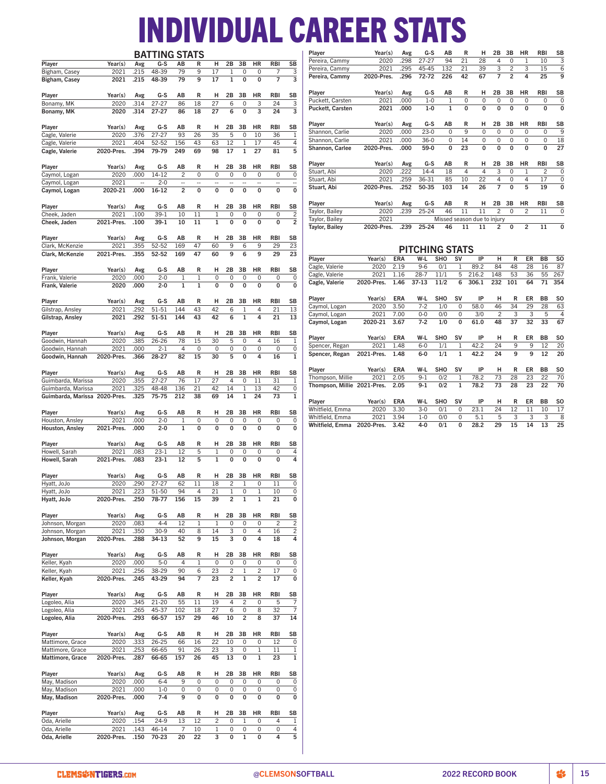# INDIVIDUAL CAREER STATS

|                               |                    |              | <b>BATTING STATS</b> |                          |                   |                |                |                   |                         |                |                         | Player                      | Year(s)         | Avg         | G-S                   | AB         |              | R<br>н                      | 2B             | 3B                | HR                      | RBI                   | SB             |
|-------------------------------|--------------------|--------------|----------------------|--------------------------|-------------------|----------------|----------------|-------------------|-------------------------|----------------|-------------------------|-----------------------------|-----------------|-------------|-----------------------|------------|--------------|-----------------------------|----------------|-------------------|-------------------------|-----------------------|----------------|
| Player                        | Year(s)            | Avg          | G-S                  | AB                       | R                 | н              | 2B             | 3B                | HR                      | <b>RBI</b>     | <b>SB</b>               | Pereira, Cammy              | 2020            | .298        | $27 - 27$             | 94         | 21           | 28                          | 4              | $\mathbf 0$       | 1                       | 10                    | 3              |
| Bigham, Casey                 | 2021               | .215         | 48-39                | 79                       | 9                 | 17             | 1              | 0                 | $\mathbf 0$             | 7              | 3                       | Pereira, Cammy              | 2021            | 295         | 45-45                 | 132        | 21           | 39                          | 3              | $\overline{c}$    | 3                       | 15                    | 6              |
| Bigham, Casey                 | 2021               | .215         | 48-39                | 79                       | 9                 | 17             | $\mathbf{1}$   | 0                 | 0                       | $\overline{7}$ | 3                       | Pereira, Cammy              | 2020-Pres.      | .296        | 72-72                 | 226        | 42           | 67                          | 7              | $\overline{2}$    | 4                       | 25                    | 9              |
|                               |                    |              |                      |                          |                   |                |                |                   |                         |                |                         |                             |                 |             |                       |            |              |                             |                |                   |                         |                       |                |
| Player                        | Year(s)            | Avg          | G-S                  | ΑВ                       | R                 | н              | 2B             | 3B                | HR                      | RBI            | SB                      | Player                      | Year(s)         | Avg         | G-S                   | ΑВ         |              | R<br>н                      | 2В             | 3B                | HR                      | RBI                   | SB             |
| Bonamy, MK                    | 2020               | .314         | $27 - 27$            | 86                       | 18                | 27             | 6              | 0                 | 3                       | 24             | 3                       | Puckett, Carsten            | 2021            | .000        | $1 - 0$               | 1          |              | 0<br>0                      | 0              | $\mathbf 0$       | 0                       | 0                     | 0              |
| Bonamy, MK                    | 2020               | .314         | $27 - 27$            | 86                       | 18                | 27             | 6              | 0                 | 3                       | 24             | 3                       | <b>Puckett, Carsten</b>     | 2021            | .000        | $1-0$                 |            | $\mathbf 1$  | $\mathbf 0$<br>0            | 0              | 0                 | 0                       | $\pmb{0}$             | 0              |
|                               |                    |              |                      |                          |                   |                |                |                   |                         |                |                         |                             |                 |             |                       |            |              |                             |                |                   |                         |                       |                |
| Player                        | Year(s)            | Avg          | G-S                  | AB                       | R                 | н              | 2B             | 3B                | HR                      | RBI            | SB                      | Player                      | Year(s)         | Avg         | G-S                   | ΑВ         |              | R<br>н                      | 2B             | 3B                | HR                      | RBI                   | SB             |
| Cagle, Valerie                | 2020               | .376         | $27 - 27$            | 93                       | 26                | 35             | 5              | 0                 | 10                      | 36             | 1                       | Shannon, Carlie             | 2020            | .000        | $23-0$                |            | $\mathbf 0$  | 9<br>0                      | 0              | $\mathbf 0$       | 0                       | $\mathsf 0$           | g              |
| Cagle, Valerie                | 2021               | .404         | 52-52                | 156                      | 43                | 63             | 12             | 1                 | 17                      | 45             | 4                       | Shannon, Carlie             | 2021            | .000        | $36-0$                |            | 0<br>14      | $\mathbf 0$                 | 0              | $\mathbf 0$       | 0                       | $\mathsf 0$           | 18             |
| Cagle, Valerie                | 2020-Pres.         | .394         | 79-79                | 249                      | 69                | 98             | 17             | $\mathbf{1}$      | 27                      | 81             | 5                       | Shannon, Carlee             | 2020-Pres.      | .000        | 59-0                  | 0          | 23           | 0                           | 0              | 0                 | 0                       | 0                     | 27             |
|                               |                    |              |                      |                          |                   |                |                |                   |                         |                |                         |                             |                 |             |                       |            |              | R                           |                |                   |                         |                       |                |
| Player                        | Year(s)            | Avg          | G-S                  | AB                       | R                 | н              | 2B             | 3B                | HR                      | RBI            | SB                      | Player<br>Stuart, Abi       | Year(s)<br>2020 | Avg<br>.222 | G-S<br>$14 - 4$       | AB<br>18   |              | н<br>4<br>4                 | 2B<br>3        | 3B<br>$\mathbf 0$ | ΗR<br>$\mathbf{1}$      | RBI<br>$\overline{c}$ | SB<br>0        |
| Caymol, Logan                 | 2020               | .000         | 14-12                | $\overline{c}$           | $\mathbf 0$       | 0              | $\mathbf 0$    | 0                 | $\mathbf 0$             | 0              | $\mathsf 0$             |                             | 2021            | .259        | 36-31                 | 85         | 10           | 22                          | 4              | 0                 | 4                       | 17                    | O              |
| Caymol, Logan                 | 2021               | ä,           | $2 - 0$              | $\overline{\phantom{a}}$ | $\overline{a}$    | ä,             | Ξ.             | ÷.                | μ.                      | $\sim$         | $\overline{a}$          | Stuart, Abi<br>Stuart, Abi  | 2020-Pres.      | .252        | 50-35                 | 103        | 14           | 26                          | 7              | 0                 | 5                       | 19                    | 0              |
| Caymol, Logan                 | 2020-21            | .000         | $16 - 12$            | $\overline{c}$           | 0                 | $\mathbf 0$    | $\mathbf 0$    | $\mathbf 0$       | 0                       | 0              | $\mathbf 0$             |                             |                 |             |                       |            |              |                             |                |                   |                         |                       |                |
|                               |                    |              |                      |                          |                   |                |                |                   |                         |                |                         | Player                      | Year(s)         | Avg         | G-S                   | AB         |              | н<br>R                      | 2В             | 3B                | HR                      | <b>RBI</b>            | SB             |
| Player                        | Year(s)            | Avg          | G-S                  | AB                       | R                 | н              | 2B             | 3B                | HR                      | RBI            | SB                      | Taylor, Bailey              | 2020            | .239        | 25-24                 | 46         | 11           | 11                          | $\overline{c}$ | $\mathbf 0$       | 2                       | 11                    | $\mathbf 0$    |
| Cheek, Jaden                  | 2021               | .100         | $39-1$               | 10                       | 11                | 1              | $\mathbf 0$    | 0                 | 0                       | 0              | $\overline{\mathbf{c}}$ | Taylor, Bailey              | 2021            |             |                       |            |              | Missed season due to injury |                |                   |                         |                       |                |
| Cheek, Jaden                  | 2021-Pres.         | .100         | $39-1$               | 10                       | 11                | $\mathbf{1}$   | $\mathbf 0$    | 0                 | 0                       | 0              | $\overline{2}$          | <b>Taylor, Bailey</b>       | 2020-Pres.      | .239        | 25-24                 | 46         |              | 11<br>11                    | 2              | 0                 | $\overline{\mathbf{c}}$ | 11                    | 0              |
|                               |                    |              |                      |                          |                   |                |                |                   |                         |                |                         |                             |                 |             |                       |            |              |                             |                |                   |                         |                       |                |
| Player                        | Year(s)            | Avg          | G-S                  | AB                       | R<br>47           | н              | 2B             | 3B                | HR                      | RBI            | SB                      |                             |                 |             |                       |            |              |                             |                |                   |                         |                       |                |
| Clark, McKenzie               | 2021<br>2021-Pres. | .355<br>.355 | 52-52<br>52-52       | 169<br>169               | 47                | 60<br>60       | 9<br>9         | 6<br>6            | 9<br>9                  | 29<br>29       | 23<br>23                |                             |                 |             | <b>PITCHING STATS</b> |            |              |                             |                |                   |                         |                       |                |
| Clark, McKenzie               |                    |              |                      |                          |                   |                |                |                   |                         |                |                         | Player                      | Year(s)         | ERA         | W-L                   | <b>SHO</b> | SV           | IP                          | н              | R                 | ER                      | ВB                    | <b>SO</b>      |
|                               | Year(s)            |              | G-S                  | AB                       | R                 | н              | 2B             | 3B                | HR                      | <b>RBI</b>     | SB                      | Cagle, Valerie              | 2020            | 2.19        | $9 - 6$               | 0/1        | 1            | 89.2                        | 84             | 48                | 28                      | 16                    | 87             |
| Player<br>Frank, Valerie      | 2020               | Avg<br>.000  | $2 - 0$              | 1                        | $\mathbf{1}$      | 0              | $\mathbf 0$    | 0                 | $\mathbf 0$             | 0              | $\pmb{0}$               | Cagle, Valerie              | 2021            | 1.16        | $28 - 7$              | 11/1       | 5            | 216.2                       | 148            | 53                | 36                      | 55                    | 267            |
| Frank, Valerie                | 2020               | .000         | $2 - 0$              | 1                        | $\mathbf{1}$      | 0              | $\mathbf 0$    | 0                 | 0                       | 0              | $\mathbf 0$             | Cagle, Valerie              | 2020-Pres.      | 1.46        | 37-13                 | 11/2       | 6            | 306.1                       | 232            | 101               | 64                      | 71                    | 354            |
|                               |                    |              |                      |                          |                   |                |                |                   |                         |                |                         |                             |                 |             |                       |            |              |                             |                |                   |                         |                       |                |
| Player                        | Year(s)            | Avg          | G-S                  | AB                       | R                 | н              | 2B             | 3B                | HR                      | <b>RBI</b>     | SB                      | Player                      | Year(s)         | ERA         | W-L                   | SHO        | <b>SV</b>    | IP                          | н              | R                 | ER                      | BB                    | SO             |
| Gilstrap, Ansley              | 2021               | .292         | 51-51                | 144                      | 43                | 42             | 6              | 1                 | 4                       | 21             | 13                      | Caymol, Logan               | 2020            | 3.50        | $7 - 2$               | 1/0        | 0            | 58.0                        | 46             | 34                | 29                      | 28                    | 63             |
| Gilstrap, Ansley              | 2021               | .292         | 51-51                | 144                      | 43                | 42             | 6              | $\mathbf{1}$      | 4                       | 21             | 13                      | Caymol, Logan               | 2021            | 7.00        | $0 - 0$               | 0/0        | 0            | 3/0                         | $\overline{c}$ | 3                 | 3                       | 5                     | 4              |
|                               |                    |              |                      |                          |                   |                |                |                   |                         |                |                         | Caymol, Logan               | 2020-21         | 3.67        | $7 - 2$               | 1/0        | 0            | 61.0                        | 48             | 37                | 32                      | 33                    | 67             |
| Player                        | Year(s)            | Avg          | G-S                  | AB                       | R                 | н              | 2B             | 3B                | HR                      | RBI            | SB                      |                             |                 |             |                       |            |              |                             |                |                   |                         |                       |                |
| Goodwin, Hannah               | 2020               | .385         | 26-26                | 78                       | 15                | 30             | 5              | 0                 | 4                       | 16             | $1\,$                   | Player                      | Year(s)         | ERA         | W-L                   | SHO        | sv           | IP                          | н              | R                 | ER                      | BB                    | SO             |
| Goodwin, Hannah               | 2021               | .000         | $2 - 1$              | $\overline{4}$           | $\mathbf 0$       | 0              | 0              | 0                 | 0                       | 0              | $\pmb{0}$               | Spencer, Regan              | 2021            | 1.48        | $6 - 0$               | 1/1        | $\mathbf{1}$ | 42.2                        | 24             | 9                 | 9                       | 12                    | 20             |
| Goodwin, Hannah               | 2020-Pres.         | .366         | 28-27                | 82                       | 15                | 30             | 5              | 0                 | 4                       | 16             | $\overline{1}$          | Spencer, Regan              | 2021-Pres.      | 1.48        | $6-0$                 | 1/1        | $\mathbf{1}$ | 42.2                        | 24             | 9                 | 9                       | 12                    | 20             |
|                               |                    |              |                      |                          |                   |                |                |                   |                         |                |                         |                             |                 |             |                       |            |              |                             |                |                   |                         |                       |                |
| Player                        | Year(s)            | Avg          | G-S                  | AB                       | R                 | н              | 2B             | 3B                | HR                      | <b>RBI</b>     | <b>SB</b>               | Player                      | Year(s)         | ERA         | W-L                   | SHO        | <b>SV</b>    | IP                          | н              | R                 | ER                      | BB                    | SO             |
| Guimbarda, Marissa            | 2020               | .355         | $27 - 27$            | 76                       | 17                | 27             | 4              | 0                 | 11                      | 31             | $\mathbf 1$             | Thompson, Millie            | 2021            | 2.05        | $9 - 1$               | 0/2        | 1            | 78.2                        | 73             | 28                | 23                      | 22                    | 70             |
| Guimbarda, Marissa            | 2021               | .325         | 48-48                | 136                      | 21                | 42             | 14             | $\mathbf{1}$      | 13                      | 42             | $\mathsf 0$             | Thompson, Millie 2021-Pres. |                 | 2.05        | $9 - 1$               | 0/2        | $\mathbf{1}$ | 78.2                        | 73             | 28                | 23                      | 22                    | 70             |
| Guimbarda, Marissa 2020-Pres. |                    | .325         | 75-75                | 212                      | 38                | 69             | 14             | $\mathbf{1}$      | 24                      | 73             | $\mathbf{1}$            |                             |                 |             |                       |            |              |                             |                |                   |                         |                       |                |
|                               |                    |              |                      |                          |                   |                |                |                   |                         |                |                         | Player                      | Year(s)         | <b>ERA</b>  | W-L                   | <b>SHO</b> | sv           | IP                          | н              | R                 | ER                      | ВB                    | S <sub>0</sub> |
| Player                        | Year(s)            | Avg          | G-S                  | AB                       | R                 | н              | 2B             | 3B                | HR                      | <b>RBI</b>     | SB                      | Whitfield, Emma             | 2020            | 3.30        | $3-0$                 | 0/1        | 0            | 23.1                        | 24             | 12                | 11                      | 10                    | 17             |
| Houston, Ansley               | 2021               | .000         | $2 - 0$              | 1                        | $\mathbf 0$       | 0              | $\mathbf 0$    | 0                 | $\mathbf 0$             | 0              | 0                       | Whitfield, Emma             | 2021            | 3.94        | $1 - 0$               | 0/0        | 0            | 5.1                         | 5              | 3                 | 3                       | 3                     | 8              |
| Houston, Ansley               | 2021-Pres.         | .000         | $2 - 0$              | $\mathbf{1}$             | $\mathbf 0$       | 0              | $\mathbf 0$    | 0                 | 0                       | 0              | $\mathbf 0$             | Whitfield, Emma             | 2020-Pres.      | 3.42        | 4-0                   | 0/1        | 0            | 28.2                        | 29             | 15                | 14                      | 13                    | 25             |
|                               |                    |              |                      |                          |                   |                |                |                   |                         |                |                         |                             |                 |             |                       |            |              |                             |                |                   |                         |                       |                |
| Player                        | Year(s)            | Avg          | G-S                  | AB                       | R                 | н              | 2B             | зв                | HR                      | RBI            | SB                      |                             |                 |             |                       |            |              |                             |                |                   |                         |                       |                |
| Howell, Sarah                 | 2021               | .083         | $23 - 1$             | 12                       | 5                 | 1              | 0              | 0                 | 0                       | 0              | 4                       |                             |                 |             |                       |            |              |                             |                |                   |                         |                       |                |
| Howell, Sarah                 | 2021-Pres.         | .083         | $23-1$               | 12                       | 5                 | $\mathbf{1}$   | $\mathbf 0$    | 0                 | $\mathbf 0$             | 0              | 4                       |                             |                 |             |                       |            |              |                             |                |                   |                         |                       |                |
|                               |                    |              |                      |                          |                   |                |                |                   |                         |                |                         |                             |                 |             |                       |            |              |                             |                |                   |                         |                       |                |
| Player                        | Year(s)            | Avg          | G-S                  | AB                       | R                 | н              | 2B             | 3B                | HR                      | RBI            | SB                      |                             |                 |             |                       |            |              |                             |                |                   |                         |                       |                |
| Hyatt, JoJo                   | 2020               | .290         | $27 - 27$            | 62                       | 11                | 18             | $\overline{c}$ | $\mathbf{1}$      | $\mathbf 0$             | 11             | $\mathbf 0$             |                             |                 |             |                       |            |              |                             |                |                   |                         |                       |                |
| Hyatt, JoJo                   | 2021<br>2020-Pres. | .223         | 51-50                | 94                       | 4                 | 21             |                | O                 |                         | 10             | 0                       |                             |                 |             |                       |            |              |                             |                |                   |                         |                       |                |
| Hyatt, JoJo                   |                    | .250         | 78-77                | 156                      | 15                | 39             | $\overline{c}$ | 1                 | 1                       | 21             | 0                       |                             |                 |             |                       |            |              |                             |                |                   |                         |                       |                |
|                               |                    |              |                      |                          |                   |                |                |                   |                         |                |                         |                             |                 |             |                       |            |              |                             |                |                   |                         |                       |                |
| Player<br>Johnson, Morgan     | Year(s)<br>2020    | Avg<br>.083  | G-S<br>$4 - 4$       | AB<br>12                 | R<br>$\mathbf{1}$ | н<br>1         | 2B<br>0        | 3B<br>$\mathbf 0$ | HR<br>0                 | RBI<br>2       | SB<br>$\overline{2}$    |                             |                 |             |                       |            |              |                             |                |                   |                         |                       |                |
| Johnson, Morgan               | 2021               | .350         | $30-9$               | 40                       | 8                 | 14             | 3              | $\mathbf 0$       | 4                       | 16             | $\overline{2}$          |                             |                 |             |                       |            |              |                             |                |                   |                         |                       |                |
| Johnson, Morgan               | 2020-Pres.         | .288         | 34-13                | 52                       | 9                 | 15             | 3              | $\pmb{0}$         | 4                       | 18             | 4                       |                             |                 |             |                       |            |              |                             |                |                   |                         |                       |                |
|                               |                    |              |                      |                          |                   |                |                |                   |                         |                |                         |                             |                 |             |                       |            |              |                             |                |                   |                         |                       |                |
| Player                        | Year(s)            | Avg          | G-S                  | AB                       | R                 | н              | 2B             | 3B                | HR                      | RBI            | SB                      |                             |                 |             |                       |            |              |                             |                |                   |                         |                       |                |
| Keller, Kyah                  | 2020               | .000         | $5 - 0$              | $\overline{4}$           | 1                 | 0              | 0              | $\mathbf 0$       | 0                       | 0              | 0                       |                             |                 |             |                       |            |              |                             |                |                   |                         |                       |                |
| Keller, Kyah                  | 2021               | .256         | 38-29                | 90                       | 6                 | 23             | $\overline{c}$ | 1                 | 2                       | 17             | $\pmb{0}$               |                             |                 |             |                       |            |              |                             |                |                   |                         |                       |                |
| Keller, Kyah                  | 2020-Pres.         | .245         | 43-29                | 94                       | $\overline{7}$    | 23             | $\overline{c}$ | $\mathbf{1}$      | $\overline{\mathbf{c}}$ | 17             | 0                       |                             |                 |             |                       |            |              |                             |                |                   |                         |                       |                |
|                               |                    |              |                      |                          |                   |                |                |                   |                         |                |                         |                             |                 |             |                       |            |              |                             |                |                   |                         |                       |                |
| Player                        | Year(s)            | Avg          | G-S                  | AВ                       | R                 | н              | 2В             | 3B                | HR                      | RBI            | SB                      |                             |                 |             |                       |            |              |                             |                |                   |                         |                       |                |
| Logoleo, Alia                 | 2020               | .345         | 21-20                | 55                       | 11                | 19             | 4              | $\overline{c}$    | 0                       | 5              | $\overline{7}$          |                             |                 |             |                       |            |              |                             |                |                   |                         |                       |                |
| Logoleo, Alia                 | 2021               | .265         | 45-37                | 102                      | 18                | 27             | 6              | $\mathbf 0$       | 8                       | 32             | $\overline{7}$          |                             |                 |             |                       |            |              |                             |                |                   |                         |                       |                |
| Logoleo, Alia                 | 2020-Pres.         | .293         | 66-57                | 157                      | 29                | 46             | 10             | $\overline{c}$    | 8                       | 37             | 14                      |                             |                 |             |                       |            |              |                             |                |                   |                         |                       |                |
|                               |                    |              |                      |                          |                   |                |                |                   |                         |                |                         |                             |                 |             |                       |            |              |                             |                |                   |                         |                       |                |
| Player                        | Year(s)            | Avg          | G-S                  | AB                       | R                 | н              | 2B             | 3B                | HR                      | RBI            | SB                      |                             |                 |             |                       |            |              |                             |                |                   |                         |                       |                |
| Mattimore, Grace              | 2020               | .333         | 26-25                | 66                       | 16                | 22             | 10             | $\mathbf 0$       | 0                       | 12             | $\pmb{0}$               |                             |                 |             |                       |            |              |                             |                |                   |                         |                       |                |
| Mattimore, Grace              | 2021               | .253         | 66-65                | 91                       | 26                | 23             | 3              | $\mathbf 0$       | $\mathbf 1$             | 11             | $\,1\,$                 |                             |                 |             |                       |            |              |                             |                |                   |                         |                       |                |
| Mattimore, Grace              | 2020-Pres.         | .287         | 66-65                | 157                      | 26                | 45             | 13             | $\bf{0}$          | $\mathbf 1$             | 23             | $\mathbf{1}$            |                             |                 |             |                       |            |              |                             |                |                   |                         |                       |                |
|                               |                    |              |                      |                          |                   |                |                |                   |                         |                |                         |                             |                 |             |                       |            |              |                             |                |                   |                         |                       |                |
| Player                        | Year(s)            | Avg          | G-S                  | AB                       | R                 | н              | 2B             | 3B                | HR                      | RBI            | SB                      |                             |                 |             |                       |            |              |                             |                |                   |                         |                       |                |
| May, Madison                  | 2020               | .000         | $6 - 4$              | 9                        | $\mathsf 0$       | 0              | 0              | $\mathbf 0$       | 0                       | 0              | 0                       |                             |                 |             |                       |            |              |                             |                |                   |                         |                       |                |
| May, Madison                  | 2021               | .000         | $1 - 0$              | 0                        | 0                 | 0              | 0              | 0                 | 0                       | 0              | $\pmb{0}$               |                             |                 |             |                       |            |              |                             |                |                   |                         |                       |                |
| May, Madison                  | 2020-Pres.         | .000         | $7 - 4$              | 9                        | 0                 | 0              | 0              | 0                 | 0                       | 0              | 0                       |                             |                 |             |                       |            |              |                             |                |                   |                         |                       |                |
|                               |                    |              |                      |                          |                   |                |                |                   |                         |                |                         |                             |                 |             |                       |            |              |                             |                |                   |                         |                       |                |
| Player                        | Year(s)            | Avg          | G-S                  | AВ                       | R                 | н              | 2B             | 3B                | HR                      | RBI            | SB                      |                             |                 |             |                       |            |              |                             |                |                   |                         |                       |                |
| Oda, Arielle                  | 2020               | .154         | $24-9$               | 13                       | 12                | $\overline{c}$ | $\mathbf 0$    | 1                 | 0                       | 4              | $\mathbf{1}$            |                             |                 |             |                       |            |              |                             |                |                   |                         |                       |                |
| Oda, Arielle                  | 2021               | .143         | 46-14                | $\overline{7}$           | 10                | 1              | 0              | $\pmb{0}$         | 0                       | 0              | 4                       |                             |                 |             |                       |            |              |                             |                |                   |                         |                       |                |
| Oda, Arielle                  | 2020-Pres.         | .150         | 70-23                | 20                       | 22                | 3              | 0              | $\mathbf{1}$      | 0                       | 4              | $\overline{5}$          |                             |                 |             |                       |            |              |                             |                |                   |                         |                       |                |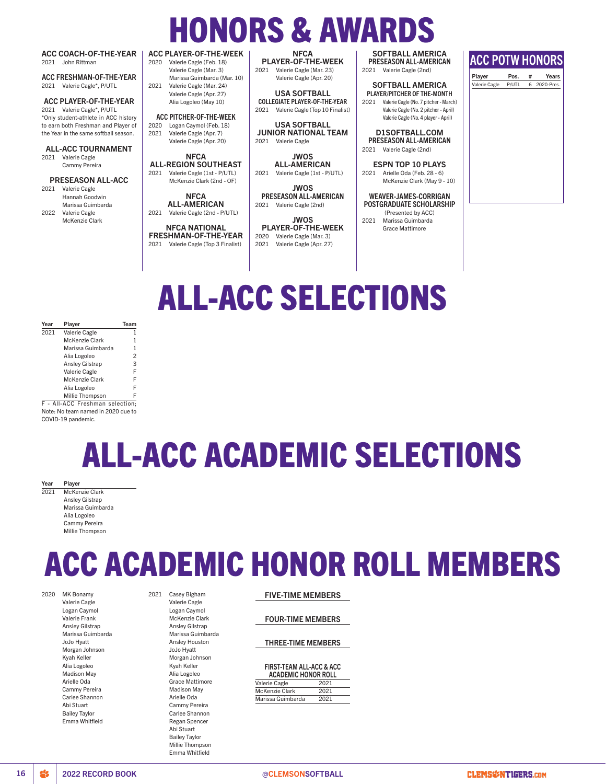# HONORS & AWARDS ACC PLAYER-OF-THE-WEEK

2021 Valerie Cagle Hannah Goodwin Marissa Guimbarda 2022 Valerie Cagle

McKenzie Clark

**NFCA** ALL-AMERICAN 2021 Valerie Cagle (2nd - P/UTL)

NFCA NATIONAL FRESHMAN-OF-THE-YEAR 2021 Valerie Cagle (Top 3 Finalist)

JWOS PRESEASON ALL-AMERICAN 2021 Valerie Cagle (2nd)

JWOS PLAYER-OF-THE-WEEK 2020 Valerie Cagle (Mar. 3) 2021 Valerie Cagle (Apr. 27)

# SOFTBALL AMERICA

WEAVER-JAMES-CORRIGAN POSTGRADUATE SCHOLARSHIP (Presented by ACC) 2021 Marissa Guimbarda

Grace Mattimore

| <b>ACC COACH-OF-THE-YEAR</b>          | ACC PLAYER-OF-THE-WEEK              | <b>NFCA</b>                             | <b>SOFTBALL AMERICA</b>                       |                        |       |   |            |
|---------------------------------------|-------------------------------------|-----------------------------------------|-----------------------------------------------|------------------------|-------|---|------------|
| John Rittman<br>2021                  | Valerie Cagle (Feb. 18)<br>2020     | <b>PLAYER-OF-THE-WEEK</b>               | <b>PRESEASON ALL-AMERICAN</b>                 | <b>ACC POTW HONORS</b> |       |   |            |
|                                       | Valerie Cagle (Mar. 3)              | Valerie Cagle (Mar. 23)<br>2021         | Valerie Cagle (2nd)<br>2021                   |                        |       |   |            |
| ACC FRESHMAN-OF-THE-YEAR              | Marissa Guimbarda (Mar. 10)         | Valerie Cagle (Apr. 20)                 |                                               | Player                 | Pos.  | # | Years      |
| Valerie Cagle*, P/UTL<br>2021         | Valerie Cagle (Mar. 24)<br>2021     |                                         | <b>SOFTBALL AMERICA</b>                       | Valerie Cagle          | P/UTL | 6 | 2020-Pres. |
|                                       | Valerie Cagle (Apr. 27)             | <b>USA SOFTBALL</b>                     | PLAYER/PITCHER OF THE-MONTH                   |                        |       |   |            |
| ACC PLAYER-OF-THE-YEAR                | Alia Logoleo (May 10)               | <b>COLLEGIATE PLAYER-OF-THE-YEAR</b>    | Valerie Cagle (No. 7 pitcher - March)<br>2021 |                        |       |   |            |
| 2021 Valerie Cagle*, P/UTL            |                                     | Valerie Cagle (Top 10 Finalist)<br>2021 | Valerie Cagle (No. 2 pitcher - April)         |                        |       |   |            |
| *Only student-athlete in ACC history  | <b>ACC PITCHER-OF-THE-WEEK</b>      |                                         | Valerie Cagle (No. 4 player - April)          |                        |       |   |            |
| to earn both Freshman and Player of   | Logan Caymol (Feb. 18)<br>2020      | <b>USA SOFTBALL</b>                     |                                               |                        |       |   |            |
| the Year in the same softball season. | 2021<br>Valerie Cagle (Apr. 7)      | <b>JUNIOR NATIONAL TEAM</b>             | <b>DISOFTBALL.COM</b>                         |                        |       |   |            |
|                                       | Valerie Cagle (Apr. 20)             | Valerie Cagle<br>2021                   | <b>PRESEASON ALL-AMERICAN</b>                 |                        |       |   |            |
| <b>ALL-ACC TOURNAMENT</b>             |                                     |                                         | Valerie Cagle (2nd)<br>2021                   |                        |       |   |            |
| Valerie Cagle<br>2021                 | <b>NFCA</b>                         | <b>JWOS</b>                             |                                               |                        |       |   |            |
| Cammy Pereira                         | <b>ALL-REGION SOUTHEAST</b>         | <b>ALL-AMERICAN</b>                     | <b>ESPN TOP 10 PLAYS</b>                      |                        |       |   |            |
|                                       | Valerie Cagle (1st - P/UTL)<br>2021 | Valerie Cagle (1st - P/UTL)<br>2021     | Arielle Oda (Feb. 28 - 6)<br>2021             |                        |       |   |            |
| <b>PRESEASON ALL-ACC</b>              | McKenzie Clark (2nd - OF)           |                                         | McKenzie Clark (May 9 - 10)                   |                        |       |   |            |
| Valerie Cagle<br>2021                 |                                     | <b>JWOS</b>                             |                                               |                        |       |   |            |
| Hannah Goodwin                        | <b>NFCA</b>                         | PRESEASON ALL-AMERICAN                  | <b>WEAVER-JAMES-CORRIGAN</b>                  |                        |       |   |            |

# ALL-ACC SELECTIONS

| 2021<br>Valerie Cagle<br>McKenzie Clark<br>Marissa Guimbarda<br>Alia Logoleo<br><b>Ansley Gilstrap</b> | Year | Player        | Team |
|--------------------------------------------------------------------------------------------------------|------|---------------|------|
|                                                                                                        |      |               |      |
|                                                                                                        |      |               | 1    |
|                                                                                                        |      |               | 1    |
|                                                                                                        |      |               | 2    |
|                                                                                                        |      |               | 3    |
|                                                                                                        |      | Valerie Cagle | F    |
| <b>McKenzie Clark</b>                                                                                  |      |               | F    |
| Alia Logoleo                                                                                           |      |               | F    |
| Millie Thompson                                                                                        |      |               |      |

F - All-ACC Freshman selection; Note: No team named in 2020 due to COVID-19 pandemic.

# ALL-ACC ACADEMIC SELECTIONS

Year Player

McKenzie Clark Ansley Gilstrap Marissa Guimbarda Alia Logoleo Cammy Pereira Millie Thompson

# ACC ACADEMIC HONOR ROLL MEMBERS

2020 MK Bonamy

Valerie Cagle Logan Caymol Valerie Frank Ansley Gilstrap Marissa Guimbarda JoJo Hyatt Morgan Johnson Kyah Keller Alia Logoleo Madison May Arielle Oda Cammy Pereira Carlee Shannon Abi Stuart Bailey Taylor Emma Whitfield

2021 Casey Bigham Valerie Cagle

> Logan Caymol McKenzie Clark Ansley Gilstrap Marissa Guimbarda Ansley Houston JoJo Hyatt Morgan Johnson Kyah Keller Alia Logoleo Grace Mattimore Madison May Arielle Oda Cammy Pereira Carlee Shannon Regan Spencer Abi Stuart Bailey Taylor Millie Thompson Emma Whitfield

## FIVE-TIME MEMBERS

FOUR-TIME MEMBERS

### THREE-TIME MEMBERS

### FIRST-TEAM ALL-ACC & ACC

| <b>ACADEMIC HONOR ROLL</b> |      |
|----------------------------|------|
| Valerie Cagle              | 2021 |
| McKenzie Clark             | 2021 |
| Marissa Guimbarda          | 2021 |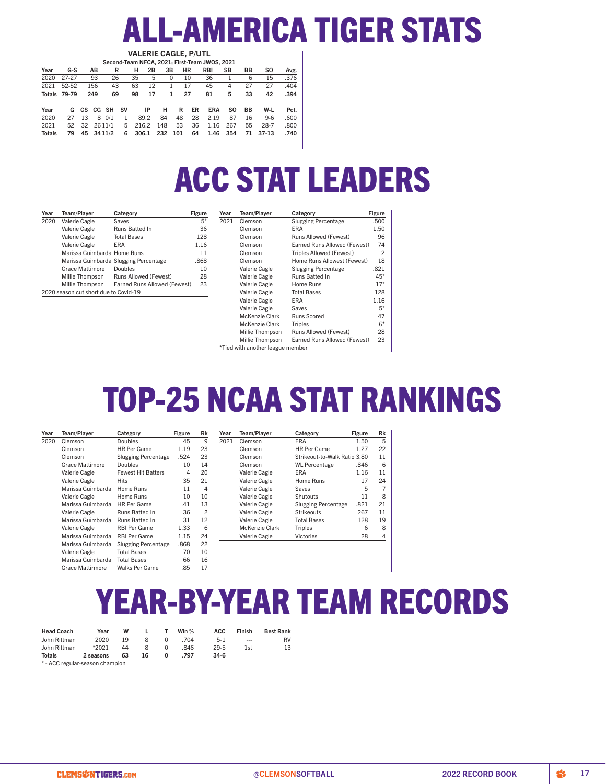# ALL-AMERICA TIGER STATS VALERIE CAGLE, P/UTL

|               |                     |    |     |           |           |       |    |     |     |           |    | Second-Team NFCA, 2021; First-Team JWOS, 2021 |     |    |           |      |
|---------------|---------------------|----|-----|-----------|-----------|-------|----|-----|-----|-----------|----|-----------------------------------------------|-----|----|-----------|------|
| Year          | G-S                 |    | AВ  | R         |           | н     | 2В | 3B  |     | <b>HR</b> |    | <b>RBI</b>                                    | SB  | BB | <b>SO</b> | Avg. |
| 2020          | 27-27               |    | 93  | 26        |           | 35    | 5  |     | 0   | 10        |    | 36                                            |     | 6  | 15        | .376 |
| 2021          | 52-52               |    | 156 | 43        |           | 63    | 12 |     |     | 17        |    | 45                                            | 4   | 27 | 27        | .404 |
|               | <b>Totals 79-79</b> |    | 249 | 69        |           | 98    | 17 |     |     | 27        |    | 81                                            | 5   | 33 | 42        | .394 |
|               |                     |    |     |           |           |       |    |     |     |           |    |                                               |     |    |           |      |
| Year          | G                   | GS | CG  | <b>SH</b> | <b>SV</b> |       | ΙP | н   |     | R         | ER | <b>ERA</b>                                    | S0  | ВB | W-L       | Pct. |
| 2020          | 27                  | 13 | 8   | 0/1       |           | 89.2  |    | 84  | 48  |           | 28 | 2.19                                          | 87  | 16 | $9 - 6$   | .600 |
| 2021          | 52                  | 32 |     | 26 1 1/1  | 5         | 216.2 |    | 148 | 53  |           | 36 | 1.16                                          | 267 | 55 | $28 - 7$  | .800 |
| <b>Totals</b> | 79                  | 45 |     | 34 1 1/2  | 6         | 306.1 |    | 232 | 101 |           | 64 | 1.46                                          | 354 | 71 | $37-13$   | .740 |

# ACC STAT LEADERS

| Year | Team/Player                           | Category                              | Figure |
|------|---------------------------------------|---------------------------------------|--------|
| 2020 | Valerie Cagle                         | Saves                                 | $5*$   |
|      | Valerie Cagle                         | Runs Batted In                        | 36     |
|      | Valerie Cagle                         | <b>Total Bases</b>                    | 128    |
|      | Valerie Cagle                         | <b>ERA</b>                            | 1.16   |
|      | Marissa Guimbarda Home Runs           |                                       | 11     |
|      |                                       | Marissa Guimbarda Slugging Percentage | .868   |
|      | Grace Mattimore                       | Doubles                               | 10     |
|      | Millie Thompson                       | Runs Allowed (Fewest)                 | 28     |
|      | Millie Thompson                       | Earned Runs Allowed (Fewest)          | 23     |
|      | 2020 season cut short due to Covid-19 |                                       |        |

| Year | Team/Player                      | Category                     | Figure         |
|------|----------------------------------|------------------------------|----------------|
| 2021 | Clemson                          | <b>Slugging Percentage</b>   | .500           |
|      | Clemson                          | ERA                          | 1.50           |
|      | Clemson                          | Runs Allowed (Fewest)        | 96             |
|      | Clemson                          | Earned Runs Allowed (Fewest) | 74             |
|      | Clemson                          | Triples Allowed (Fewest)     | $\overline{2}$ |
|      | Clemson                          | Home Runs Allowest (Fewest)  | 18             |
|      | Valerie Cagle                    | <b>Slugging Percentage</b>   | .821           |
|      | Valerie Cagle                    | Runs Batted In               | $45*$          |
|      | Valerie Cagle                    | Home Runs                    | $17*$          |
|      | Valerie Cagle                    | <b>Total Bases</b>           | 128            |
|      | Valerie Cagle                    | ERA                          | 1.16           |
|      | Valerie Cagle                    | Saves                        | $5*$           |
|      | McKenzie Clark                   | Runs Scored                  | 47             |
|      | McKenzie Clark                   | <b>Triples</b>               | $6*$           |
|      | Millie Thompson                  | Runs Allowed (Fewest)        | 28             |
|      | Millie Thompson                  | Earned Runs Allowed (Fewest) | 23             |
|      | *Tied with another league member |                              |                |

# TOP-25 NCAA STAT RANKINGS

| Year | <b>Team/Player</b>     | Category                   | Figure | Rk             | Year | <b>Team/Plaver</b> | Category                     | Figure | Rk |
|------|------------------------|----------------------------|--------|----------------|------|--------------------|------------------------------|--------|----|
| 2020 | Clemson                | <b>Doubles</b>             | 45     | 9              | 2021 | Clemson            | ERA                          | 1.50   | 5  |
|      | Clemson                | <b>HR Per Game</b>         | 1.19   | 23             |      | Clemson            | <b>HR Per Game</b>           | 1.27   | 22 |
|      | Clemson                | <b>Slugging Percentage</b> | .524   | 23             |      | Clemson            | Strikeout-to-Walk Ratio 3.80 |        | 11 |
|      | <b>Grace Mattimore</b> | <b>Doubles</b>             | 10     | 14             |      | Clemson            | <b>WL Percentage</b>         | .846   | 6  |
|      | Valerie Cagle          | <b>Fewest Hit Batters</b>  | 4      | 20             |      | Valerie Cagle      | ERA                          | 1.16   | 11 |
|      | Valerie Cagle          | <b>Hits</b>                | 35     | 21             |      | Valerie Cagle      | Home Runs                    | 17     | 24 |
|      | Marissa Guimbarda      | Home Runs                  | 11     | 4              |      | Valerie Cagle      | Saves                        | 5      | 7  |
|      | Valerie Cagle          | Home Runs                  | 10     | 10             |      | Valerie Cagle      | Shutouts                     | 11     | 8  |
|      | Marissa Guimbarda      | HR Per Game                | .41    | 13             |      | Valerie Cagle      | <b>Slugging Percentage</b>   | .821   | 21 |
|      | Valerie Cagle          | Runs Batted In             | 36     | $\overline{c}$ |      | Valerie Cagle      | <b>Strikeouts</b>            | 267    | 11 |
|      | Marissa Guimbarda      | Runs Batted In             | 31     | 12             |      | Valerie Cagle      | <b>Total Bases</b>           | 128    | 19 |
|      | Valerie Cagle          | RBI Per Game               | 1.33   | 6              |      | McKenzie Clark     | <b>Triples</b>               | 6      | 8  |
|      | Marissa Guimbarda      | RBI Per Game               | 1.15   | 24             |      | Valerie Cagle      | Victories                    | 28     | 4  |
|      | Marissa Guimbarda      | <b>Slugging Percentage</b> | .868   | 22             |      |                    |                              |        |    |
|      | Valerie Cagle          | <b>Total Bases</b>         | 70     | 10             |      |                    |                              |        |    |
|      | Marissa Guimbarda      | <b>Total Bases</b>         | 66     | 16             |      |                    |                              |        |    |

# YEAR-BY-YEAR TEAM RECORDS

| <b>Head Coach</b>               | Year      | W  |    | Win $%$ | <b>ACC</b> | Finish | <b>Best Rank</b> |
|---------------------------------|-----------|----|----|---------|------------|--------|------------------|
| John Rittman                    | 2020      | 19 |    | .704    | $5-1$      | $---$  | <b>RV</b>        |
| John Rittman                    | *2021     | 44 |    | 846     | $29 - 5$   | 1st    |                  |
| <b>Totals</b>                   | 2 seasons | 63 | 16 | 797     | $34-6$     |        |                  |
| * - ACC regular-season champion |           |    |    |         |            |        |                  |

Grace Mattirmore Walks Per Game .85 17